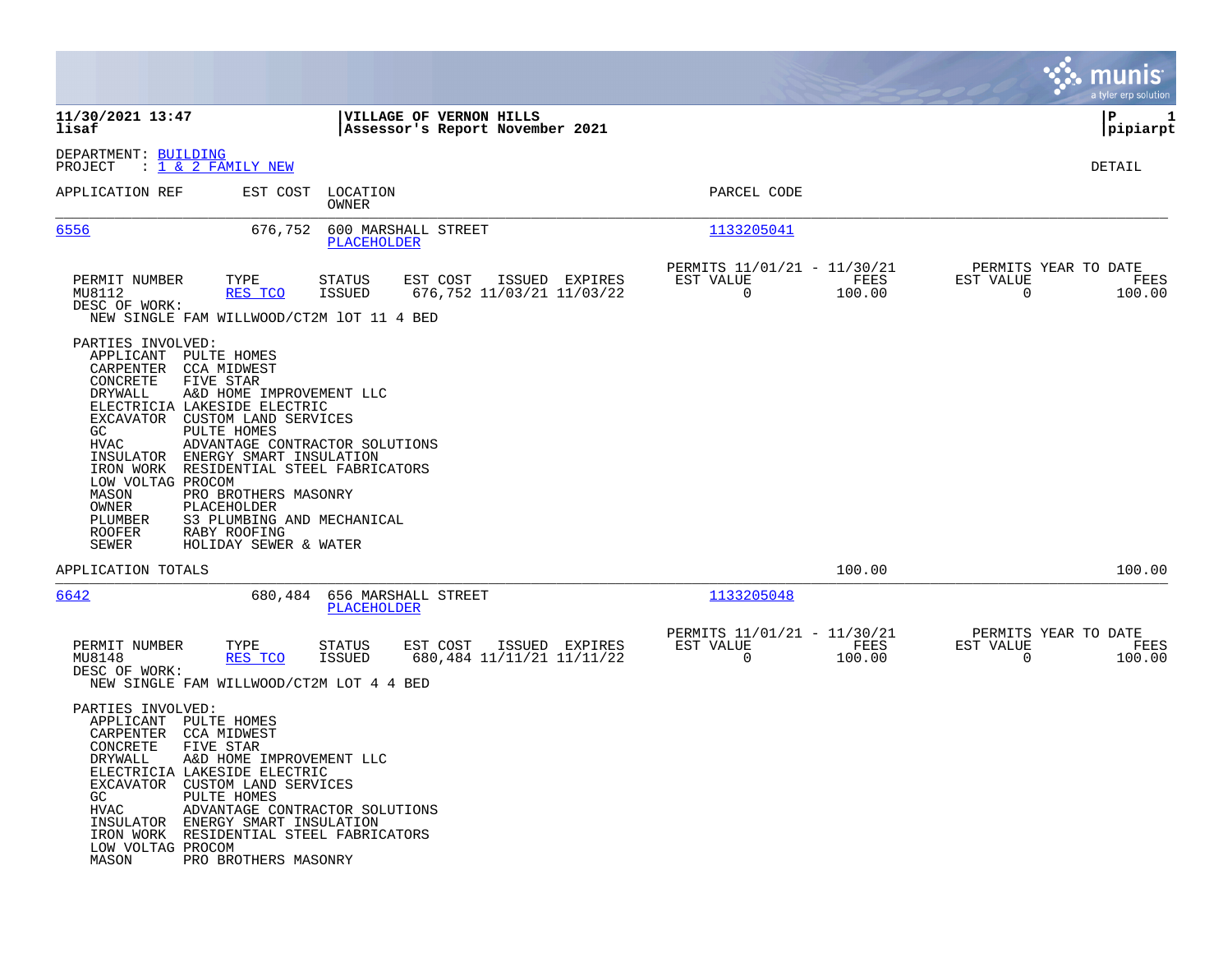|                                                                                                                                                                                                                                                                                                  |                                                                                                                                                                                                                                                            |                                           |                                                            |                |                                                         |                |                                               | munis<br>a tyler erp solution |
|--------------------------------------------------------------------------------------------------------------------------------------------------------------------------------------------------------------------------------------------------------------------------------------------------|------------------------------------------------------------------------------------------------------------------------------------------------------------------------------------------------------------------------------------------------------------|-------------------------------------------|------------------------------------------------------------|----------------|---------------------------------------------------------|----------------|-----------------------------------------------|-------------------------------|
| 11/30/2021 13:47<br>lisaf                                                                                                                                                                                                                                                                        |                                                                                                                                                                                                                                                            |                                           | VILLAGE OF VERNON HILLS<br>Assessor's Report November 2021 |                |                                                         |                |                                               | ΙP<br>1<br> pipiarpt          |
| DEPARTMENT: BUILDING<br>PROJECT                                                                                                                                                                                                                                                                  | : <u>1 &amp; 2 FAMILY NEW</u>                                                                                                                                                                                                                              |                                           |                                                            |                |                                                         |                |                                               | DETAIL                        |
| APPLICATION REF                                                                                                                                                                                                                                                                                  | EST COST                                                                                                                                                                                                                                                   | LOCATION<br>OWNER                         |                                                            |                | PARCEL CODE                                             |                |                                               |                               |
| 6556                                                                                                                                                                                                                                                                                             | 676,752                                                                                                                                                                                                                                                    | 600 MARSHALL STREET<br>PLACEHOLDER        |                                                            |                | 1133205041                                              |                |                                               |                               |
| PERMIT NUMBER<br>MU8112<br>DESC OF WORK:<br>NEW SINGLE FAM WILLWOOD/CT2M 1OT 11 4 BED                                                                                                                                                                                                            | TYPE<br>RES TCO                                                                                                                                                                                                                                            | <b>STATUS</b><br><b>ISSUED</b>            | EST COST<br>676,752 11/03/21 11/03/22                      | ISSUED EXPIRES | PERMITS 11/01/21 - 11/30/21<br>EST VALUE<br>$\mathbf 0$ | FEES<br>100.00 | PERMITS YEAR TO DATE<br>EST VALUE<br>$\Omega$ | FEES<br>100.00                |
| PARTIES INVOLVED:<br>APPLICANT<br>CARPENTER<br>CONCRETE<br>DRYWALL<br>ELECTRICIA LAKESIDE ELECTRIC<br>EXCAVATOR<br>GC<br><b>HVAC</b><br>INSULATOR ENERGY SMART INSULATION<br>IRON WORK RESIDENTIAL STEEL FABRICATORS<br>LOW VOLTAG PROCOM<br>MASON<br>OWNER<br>PLUMBER<br>ROOFER<br><b>SEWER</b> | PULTE HOMES<br>CCA MIDWEST<br>FIVE STAR<br>A&D HOME IMPROVEMENT LLC<br>CUSTOM LAND SERVICES<br>PULTE HOMES<br>ADVANTAGE CONTRACTOR SOLUTIONS<br>PRO BROTHERS MASONRY<br>PLACEHOLDER<br>S3 PLUMBING AND MECHANICAL<br>RABY ROOFING<br>HOLIDAY SEWER & WATER |                                           |                                                            |                |                                                         |                |                                               |                               |
| APPLICATION TOTALS                                                                                                                                                                                                                                                                               |                                                                                                                                                                                                                                                            |                                           |                                                            |                |                                                         | 100.00         |                                               | 100.00                        |
| 6642                                                                                                                                                                                                                                                                                             | 680,484                                                                                                                                                                                                                                                    | 656 MARSHALL STREET<br><b>PLACEHOLDER</b> |                                                            |                | 1133205048                                              |                |                                               |                               |
| PERMIT NUMBER<br>MU8148<br>DESC OF WORK:<br>NEW SINGLE FAM WILLWOOD/CT2M LOT 4 4 BED                                                                                                                                                                                                             | TYPE<br>RES TCO                                                                                                                                                                                                                                            | <b>STATUS</b><br><b>ISSUED</b>            | EST COST<br>680,484 11/11/21 11/11/22                      | ISSUED EXPIRES | PERMITS 11/01/21 - 11/30/21<br>EST VALUE<br>0           | FEES<br>100.00 | PERMITS YEAR TO DATE<br>EST VALUE<br>0        | FEES<br>100.00                |
| PARTIES INVOLVED:<br>APPLICANT PULTE HOMES<br>CARPENTER CCA MIDWEST<br>CONCRETE<br>DRYWALL<br>ELECTRICIA LAKESIDE ELECTRIC<br>EXCAVATOR CUSTOM LAND SERVICES<br>GC<br>HVAC<br>INSULATOR ENERGY SMART INSULATION<br>IRON WORK RESIDENTIAL STEEL FABRICATORS<br>LOW VOLTAG PROCOM<br>MASON         | FIVE STAR<br>A&D HOME IMPROVEMENT LLC<br>PULTE HOMES<br>ADVANTAGE CONTRACTOR SOLUTIONS<br>PRO BROTHERS MASONRY                                                                                                                                             |                                           |                                                            |                |                                                         |                |                                               |                               |

**Contract**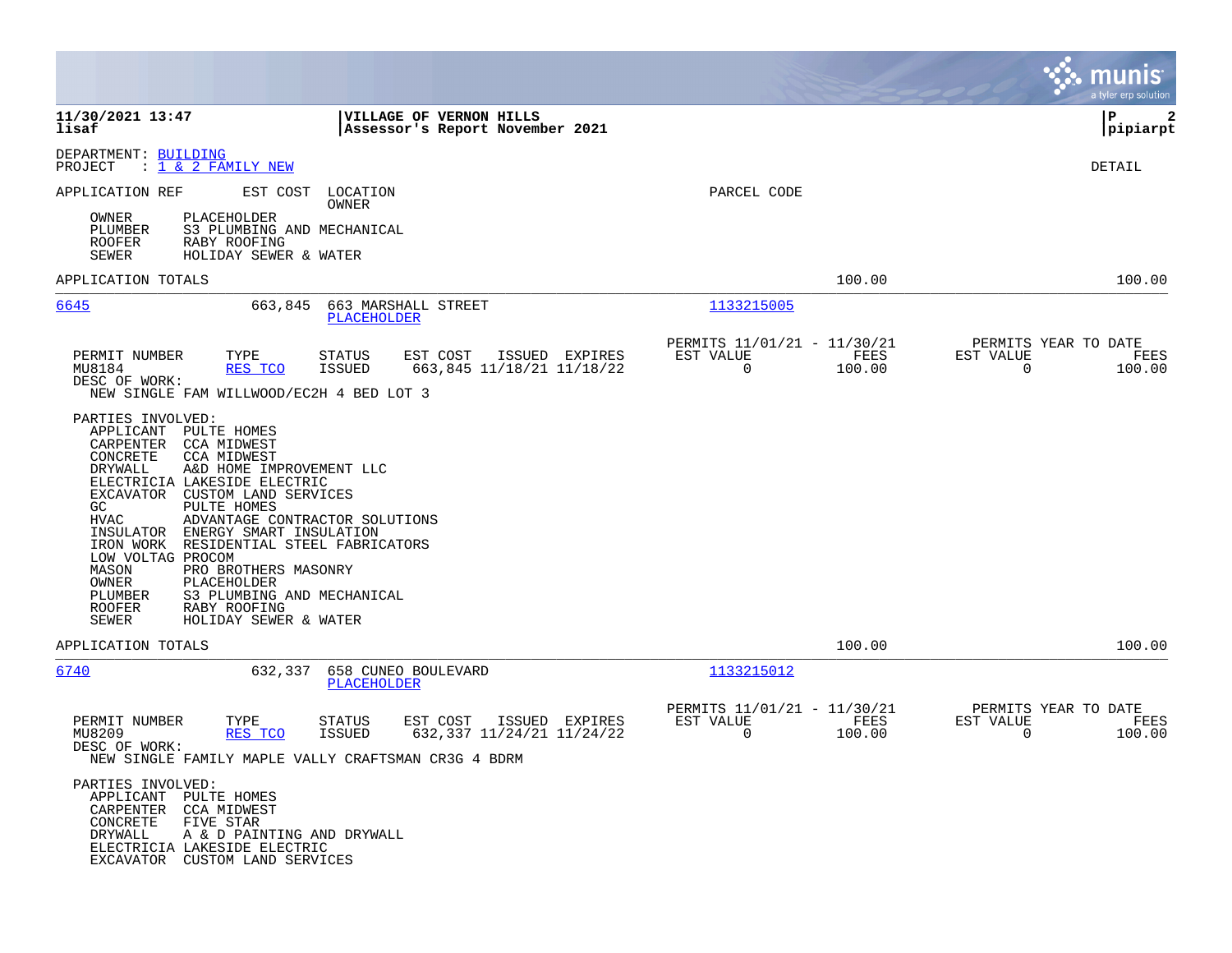|                                                                                                                                                                                                                                                                                                                                                                                                                                                                                                                                                               |                                                                                                                   |                                                                                         | a tyler erp solution                                            |
|---------------------------------------------------------------------------------------------------------------------------------------------------------------------------------------------------------------------------------------------------------------------------------------------------------------------------------------------------------------------------------------------------------------------------------------------------------------------------------------------------------------------------------------------------------------|-------------------------------------------------------------------------------------------------------------------|-----------------------------------------------------------------------------------------|-----------------------------------------------------------------|
| 11/30/2021 13:47<br>lisaf                                                                                                                                                                                                                                                                                                                                                                                                                                                                                                                                     | VILLAGE OF VERNON HILLS<br>Assessor's Report November 2021                                                        |                                                                                         | P<br>$\mathbf{2}$<br> pipiarpt                                  |
| DEPARTMENT: BUILDING<br>: 1 & 2 FAMILY NEW<br>PROJECT                                                                                                                                                                                                                                                                                                                                                                                                                                                                                                         |                                                                                                                   |                                                                                         | DETAIL                                                          |
| APPLICATION REF                                                                                                                                                                                                                                                                                                                                                                                                                                                                                                                                               | EST COST LOCATION<br>OWNER                                                                                        | PARCEL CODE                                                                             |                                                                 |
| PLACEHOLDER<br>OWNER<br>PLUMBER<br>S3 PLUMBING AND MECHANICAL<br><b>ROOFER</b><br>RABY ROOFING<br>SEWER<br>HOLIDAY SEWER & WATER                                                                                                                                                                                                                                                                                                                                                                                                                              |                                                                                                                   |                                                                                         |                                                                 |
| APPLICATION TOTALS                                                                                                                                                                                                                                                                                                                                                                                                                                                                                                                                            |                                                                                                                   | 100.00                                                                                  | 100.00                                                          |
| 6645<br>663,845                                                                                                                                                                                                                                                                                                                                                                                                                                                                                                                                               | 663 MARSHALL STREET<br>PLACEHOLDER                                                                                | 1133215005                                                                              |                                                                 |
| PERMIT NUMBER<br>TYPE<br>MU8184<br>RES TCO<br>DESC OF WORK:<br>NEW SINGLE FAM WILLWOOD/EC2H 4 BED LOT 3                                                                                                                                                                                                                                                                                                                                                                                                                                                       | <b>STATUS</b><br>EST COST<br>ISSUED EXPIRES<br><b>ISSUED</b><br>663,845 11/18/21 11/18/22                         | PERMITS 11/01/21 - 11/30/21<br>EST VALUE<br>FEES<br>$\mathbf 0$<br>100.00               | PERMITS YEAR TO DATE<br>EST VALUE<br>FEES<br>100.00<br>$\Omega$ |
| PARTIES INVOLVED:<br>APPLICANT<br>PULTE HOMES<br>CARPENTER CCA MIDWEST<br>CONCRETE<br><b>CCA MIDWEST</b><br>DRYWALL<br>A&D HOME IMPROVEMENT LLC<br>ELECTRICIA LAKESIDE ELECTRIC<br>EXCAVATOR CUSTOM LAND SERVICES<br>PULTE HOMES<br>GC<br>ADVANTAGE CONTRACTOR SOLUTIONS<br>HVAC<br>INSULATOR<br>ENERGY SMART INSULATION<br>IRON WORK RESIDENTIAL STEEL FABRICATORS<br>LOW VOLTAG PROCOM<br>PRO BROTHERS MASONRY<br>MASON<br>OWNER<br>PLACEHOLDER<br>S3 PLUMBING AND MECHANICAL<br>PLUMBER<br><b>ROOFER</b><br>RABY ROOFING<br>SEWER<br>HOLIDAY SEWER & WATER |                                                                                                                   |                                                                                         |                                                                 |
| APPLICATION TOTALS                                                                                                                                                                                                                                                                                                                                                                                                                                                                                                                                            |                                                                                                                   | 100.00                                                                                  | 100.00                                                          |
| 6740<br>632,337<br>TYPE<br>PERMIT NUMBER<br>MU8209<br>RES TCO<br>DESC OF WORK:                                                                                                                                                                                                                                                                                                                                                                                                                                                                                | 658 CUNEO BOULEVARD<br>PLACEHOLDER<br>ISSUED EXPIRES<br>STATUS<br>EST COST<br>632,337 11/24/21 11/24/22<br>ISSUED | 1133215012<br>PERMITS 11/01/21 - 11/30/21<br>EST VALUE<br>FEES<br>$\mathbf 0$<br>100.00 | PERMITS YEAR TO DATE<br>EST VALUE<br>FEES<br>$\Omega$<br>100.00 |
| NEW SINGLE FAMILY MAPLE VALLY CRAFTSMAN CR3G 4 BDRM<br>PARTIES INVOLVED:<br>APPLICANT PULTE HOMES<br>CARPENTER CCA MIDWEST<br>CONCRETE<br>FIVE STAR<br>DRYWALL<br>A & D PAINTING AND DRYWALL<br>ELECTRICIA LAKESIDE ELECTRIC<br>EXCAVATOR CUSTOM LAND SERVICES                                                                                                                                                                                                                                                                                                |                                                                                                                   |                                                                                         |                                                                 |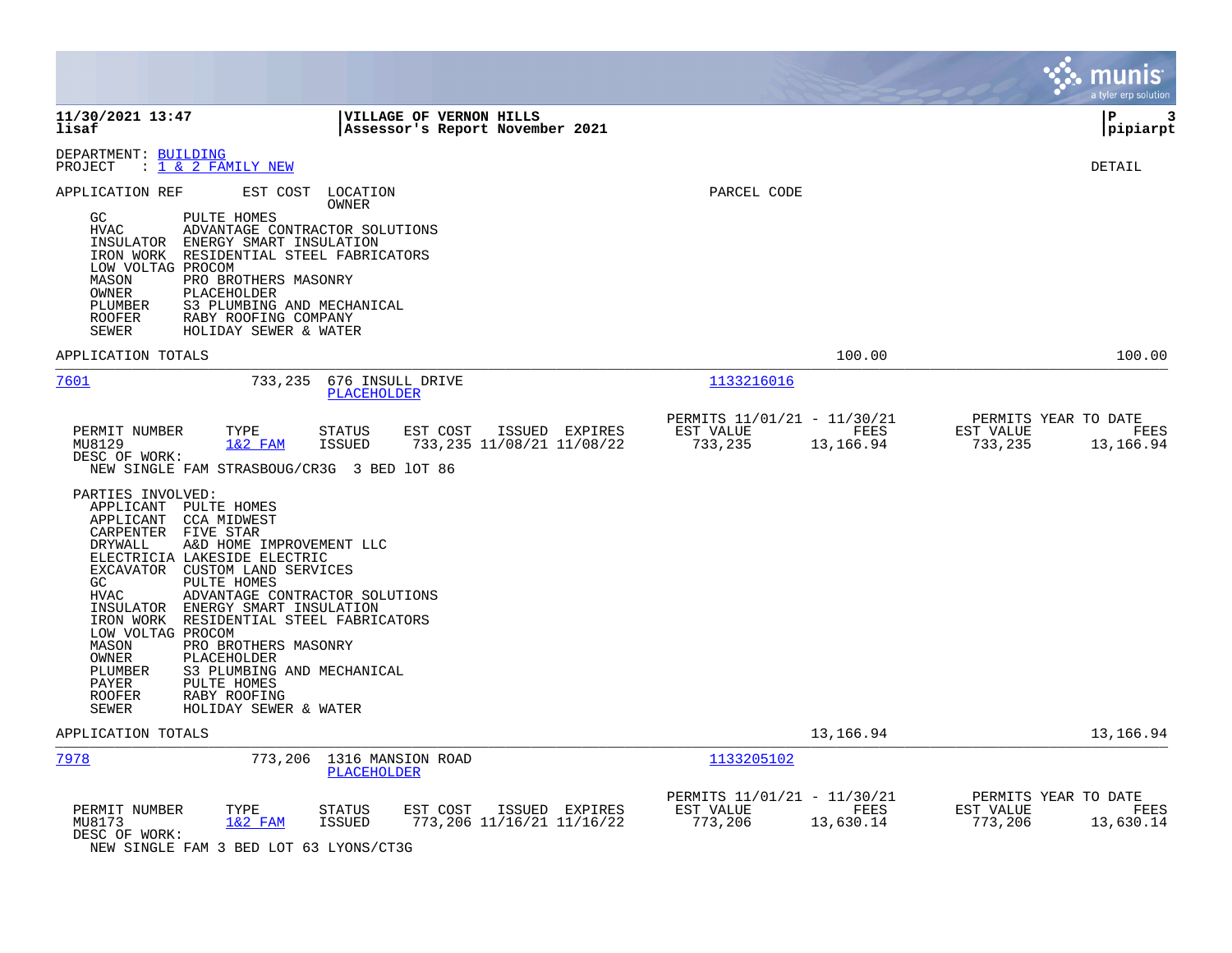|                                                                                                                                                                                                                                                                                                                                                                                                                                                                                                                                                           |                                                                                          | munis<br>a tyler erp solution                                     |
|-----------------------------------------------------------------------------------------------------------------------------------------------------------------------------------------------------------------------------------------------------------------------------------------------------------------------------------------------------------------------------------------------------------------------------------------------------------------------------------------------------------------------------------------------------------|------------------------------------------------------------------------------------------|-------------------------------------------------------------------|
| 11/30/2021 13:47<br>VILLAGE OF VERNON HILLS<br>lisaf<br>Assessor's Report November 2021                                                                                                                                                                                                                                                                                                                                                                                                                                                                   |                                                                                          | l P<br>3<br> pipiarpt                                             |
| DEPARTMENT: BUILDING<br>PROJECT : $1 \& 2$ FAMILY NEW                                                                                                                                                                                                                                                                                                                                                                                                                                                                                                     |                                                                                          | <b>DETAIL</b>                                                     |
| APPLICATION REF<br>EST COST LOCATION<br>OWNER<br>PULTE HOMES<br>GC<br><b>HVAC</b><br>ADVANTAGE CONTRACTOR SOLUTIONS<br>INSULATOR ENERGY SMART INSULATION<br>IRON WORK RESIDENTIAL STEEL FABRICATORS<br>LOW VOLTAG PROCOM<br>MASON<br>PRO BROTHERS MASONRY<br>OWNER<br>PLACEHOLDER<br>S3 PLUMBING AND MECHANICAL<br>PLUMBER<br>ROOFER<br>RABY ROOFING COMPANY<br>SEWER<br>HOLIDAY SEWER & WATER                                                                                                                                                            | PARCEL CODE                                                                              |                                                                   |
| APPLICATION TOTALS                                                                                                                                                                                                                                                                                                                                                                                                                                                                                                                                        | 100.00                                                                                   | 100.00                                                            |
| 7601<br>733,235 676 INSULL DRIVE<br><b>PLACEHOLDER</b>                                                                                                                                                                                                                                                                                                                                                                                                                                                                                                    | 1133216016                                                                               |                                                                   |
| PERMIT NUMBER<br>TYPE<br>EST COST<br>ISSUED EXPIRES<br>STATUS<br>$1&2$ FAM<br>ISSUED<br>733,235 11/08/21 11/08/22<br>MU8129<br>DESC OF WORK:<br>NEW SINGLE FAM STRASBOUG/CR3G 3 BED 10T 86<br>PARTIES INVOLVED:                                                                                                                                                                                                                                                                                                                                           | PERMITS 11/01/21 - 11/30/21<br>EST VALUE<br><b>EXECUTE: PEES</b><br>733,235<br>13,166.94 | PERMITS YEAR TO DATE<br>EST VALUE<br>FEES<br>733,235<br>13,166.94 |
| APPLICANT PULTE HOMES<br>CCA MIDWEST<br>APPLICANT<br>CARPENTER FIVE STAR<br>A&D HOME IMPROVEMENT LLC<br><b>DRYWALL</b><br>ELECTRICIA LAKESIDE ELECTRIC<br>EXCAVATOR CUSTOM LAND SERVICES<br>PULTE HOMES<br>GC<br>ADVANTAGE CONTRACTOR SOLUTIONS<br>HVAC<br>INSULATOR ENERGY SMART INSULATION<br>IRON WORK RESIDENTIAL STEEL FABRICATORS<br>LOW VOLTAG PROCOM<br>MASON<br>PRO BROTHERS MASONRY<br>OWNER<br>PLACEHOLDER<br>PLUMBER<br>S3 PLUMBING AND MECHANICAL<br>PAYER<br>PULTE HOMES<br><b>ROOFER</b><br>RABY ROOFING<br>SEWER<br>HOLIDAY SEWER & WATER |                                                                                          |                                                                   |
| APPLICATION TOTALS                                                                                                                                                                                                                                                                                                                                                                                                                                                                                                                                        | 13,166.94                                                                                | 13,166.94                                                         |
| 7978<br>773,206 1316 MANSION ROAD<br>PLACEHOLDER                                                                                                                                                                                                                                                                                                                                                                                                                                                                                                          | 1133205102                                                                               |                                                                   |
| PERMIT NUMBER<br>TYPE<br>EST COST<br>ISSUED EXPIRES<br>STATUS<br>773,206 11/16/21 11/16/22<br>MU8173<br>$1&2$ FAM<br>ISSUED<br>DESC OF WORK:<br>$\sim$ $\sim$ $\sim$ $\sim$ $\sim$ $\sim$ $\sim$ $\sim$<br>.                                                                                                                                                                                                                                                                                                                                              | PERMITS 11/01/21 - 11/30/21<br>EST VALUE<br><b>EXECUTE: PEES</b><br>773,206<br>13,630.14 | PERMITS YEAR TO DATE<br>EST VALUE<br>FEES<br>773,206<br>13,630.14 |

NEW SINGLE FAM 3 BED LOT 63 LYONS/CT3G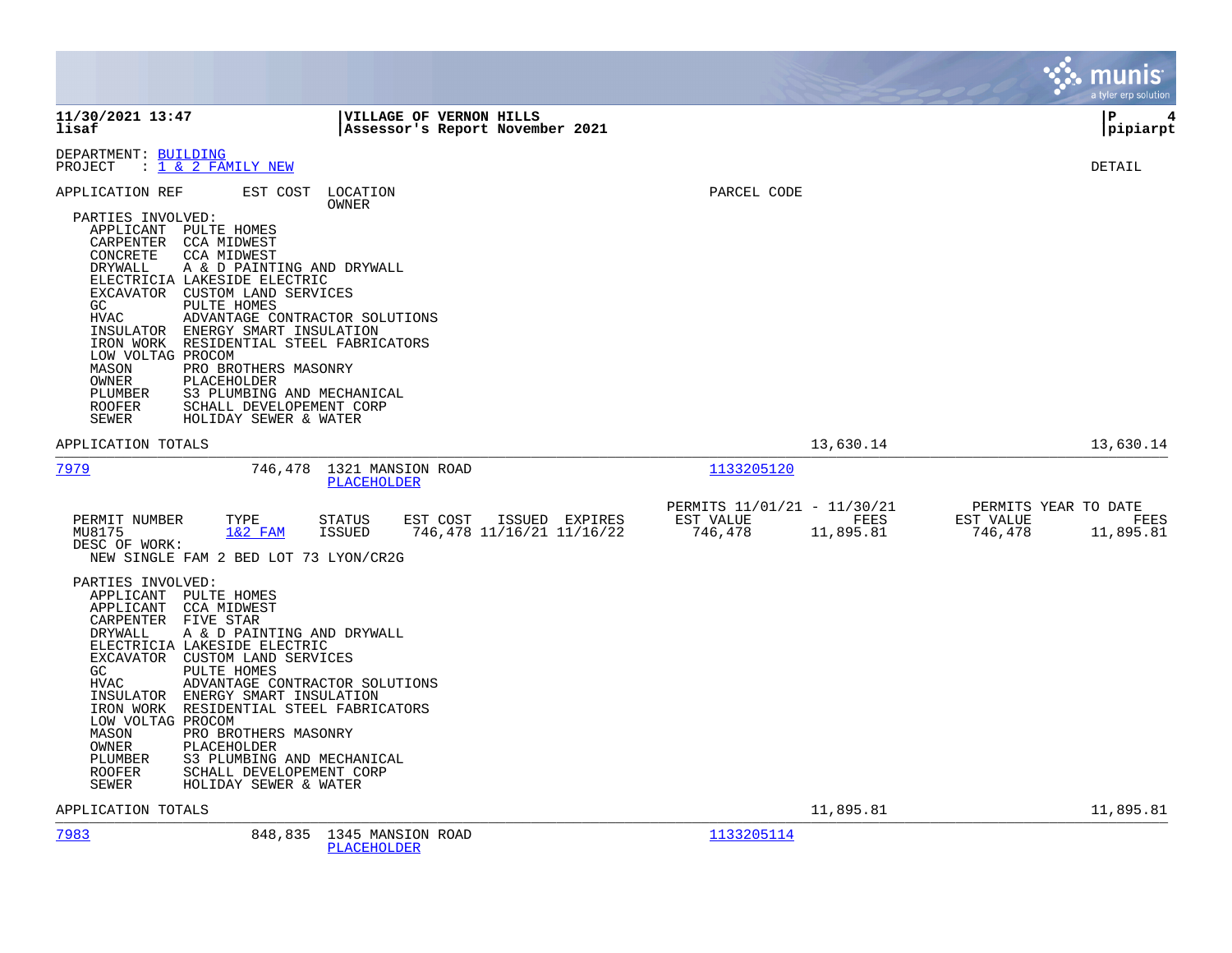|                                                                                                                                                                                  |                                                                                                                                                                                                                                                                                                                                                                                                                                         |                                                 |                                             |                      |                                                  | munis<br>a tyler erp solution                             |      |
|----------------------------------------------------------------------------------------------------------------------------------------------------------------------------------|-----------------------------------------------------------------------------------------------------------------------------------------------------------------------------------------------------------------------------------------------------------------------------------------------------------------------------------------------------------------------------------------------------------------------------------------|-------------------------------------------------|---------------------------------------------|----------------------|--------------------------------------------------|-----------------------------------------------------------|------|
| 11/30/2021 13:47<br>lisaf                                                                                                                                                        |                                                                                                                                                                                                                                                                                                                                                                                                                                         | <b>VILLAGE OF VERNON HILLS</b>                  | Assessor's Report November 2021             |                      |                                                  | ΙP<br>pipiarpt                                            | 4    |
| DEPARTMENT: BUILDING<br>PROJECT                                                                                                                                                  | : 1 & 2 FAMILY NEW                                                                                                                                                                                                                                                                                                                                                                                                                      |                                                 |                                             |                      |                                                  | DETAIL                                                    |      |
| APPLICATION REF<br>PARTIES INVOLVED:<br>CARPENTER<br>CONCRETE<br>DRYWALL<br>GC.<br>HVAC<br>INSULATOR<br>LOW VOLTAG PROCOM<br>MASON<br>OWNER<br>PLUMBER<br>ROOFER<br><b>SEWER</b> | EST COST LOCATION<br>APPLICANT PULTE HOMES<br><b>CCA MIDWEST</b><br><b>CCA MIDWEST</b><br>A & D PAINTING AND DRYWALL<br>ELECTRICIA LAKESIDE ELECTRIC<br>EXCAVATOR CUSTOM LAND SERVICES<br>PULTE HOMES<br>ADVANTAGE CONTRACTOR SOLUTIONS<br>ENERGY SMART INSULATION<br>IRON WORK RESIDENTIAL STEEL FABRICATORS<br>PRO BROTHERS MASONRY<br>PLACEHOLDER<br>S3 PLUMBING AND MECHANICAL<br>SCHALL DEVELOPEMENT CORP<br>HOLIDAY SEWER & WATER | OWNER                                           |                                             | PARCEL CODE          |                                                  |                                                           |      |
| APPLICATION TOTALS                                                                                                                                                               |                                                                                                                                                                                                                                                                                                                                                                                                                                         |                                                 |                                             |                      | 13,630.14                                        | 13,630.14                                                 |      |
| 7979                                                                                                                                                                             |                                                                                                                                                                                                                                                                                                                                                                                                                                         | 746,478 1321 MANSION ROAD<br><b>PLACEHOLDER</b> |                                             | 1133205120           |                                                  |                                                           |      |
| PERMIT NUMBER<br>MU8175<br>DESC OF WORK:                                                                                                                                         | TYPE<br>$1&2$ FAM<br>NEW SINGLE FAM 2 BED LOT 73 LYON/CR2G                                                                                                                                                                                                                                                                                                                                                                              | EST COST<br>STATUS<br>ISSUED                    | ISSUED EXPIRES<br>746,478 11/16/21 11/16/22 | EST VALUE<br>746,478 | PERMITS 11/01/21 - 11/30/21<br>FEES<br>11,895.81 | PERMITS YEAR TO DATE<br>EST VALUE<br>746,478<br>11,895.81 | FEES |
| PARTIES INVOLVED:<br>APPLICANT<br>CARPENTER FIVE STAR<br>DRYWALL<br>GC.<br><b>HVAC</b><br>LOW VOLTAG PROCOM<br>MASON<br>OWNER<br>PLUMBER<br>ROOFER<br>SEWER                      | APPLICANT PULTE HOMES<br><b>CCA MIDWEST</b><br>A & D PAINTING AND DRYWALL<br>ELECTRICIA LAKESIDE ELECTRIC<br>EXCAVATOR CUSTOM LAND SERVICES<br>PULTE HOMES<br>ADVANTAGE CONTRACTOR SOLUTIONS<br>INSULATOR ENERGY SMART INSULATION<br>IRON WORK RESIDENTIAL STEEL FABRICATORS<br>PRO BROTHERS MASONRY<br>PLACEHOLDER<br>S3 PLUMBING AND MECHANICAL<br>SCHALL DEVELOPEMENT CORP<br>HOLIDAY SEWER & WATER                                  |                                                 |                                             |                      |                                                  |                                                           |      |
| APPLICATION TOTALS                                                                                                                                                               |                                                                                                                                                                                                                                                                                                                                                                                                                                         |                                                 |                                             |                      | 11,895.81                                        | 11,895.81                                                 |      |
| 7983                                                                                                                                                                             | 848,835                                                                                                                                                                                                                                                                                                                                                                                                                                 | 1345 MANSION ROAD<br>PLACEHOLDER                |                                             | 1133205114           |                                                  |                                                           |      |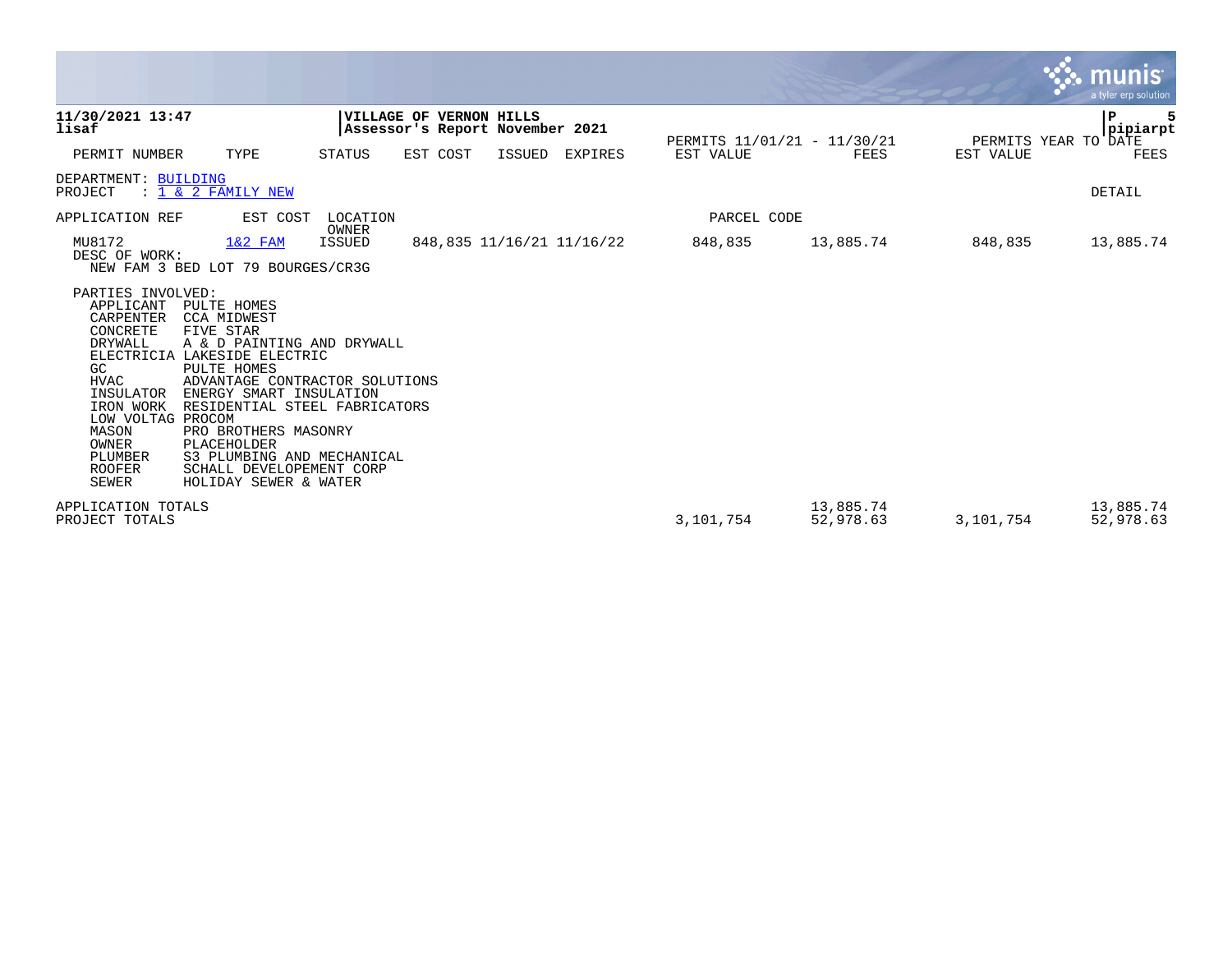|                                                                                                                                                                                                                                   |                                                                                                                                                                                                                                                                                                                                          |                                                            |          |        |                           |                             |                        |           | $\mathbf{\ddot{.}}\mathbf{\ddot{.}}\mathbf{.}$ munis<br>a tyler erp solution |
|-----------------------------------------------------------------------------------------------------------------------------------------------------------------------------------------------------------------------------------|------------------------------------------------------------------------------------------------------------------------------------------------------------------------------------------------------------------------------------------------------------------------------------------------------------------------------------------|------------------------------------------------------------|----------|--------|---------------------------|-----------------------------|------------------------|-----------|------------------------------------------------------------------------------|
| 11/30/2021 13:47<br>lisaf                                                                                                                                                                                                         |                                                                                                                                                                                                                                                                                                                                          | VILLAGE OF VERNON HILLS<br>Assessor's Report November 2021 |          |        |                           | PERMITS 11/01/21 - 11/30/21 |                        |           | P<br>5<br> pipiarpt<br>PERMITS YEAR TO DATE                                  |
| PERMIT NUMBER                                                                                                                                                                                                                     | TYPE                                                                                                                                                                                                                                                                                                                                     | <b>STATUS</b>                                              | EST COST | ISSUED | <b>EXPIRES</b>            | EST VALUE                   | <b>FEES</b>            | EST VALUE | <b>FEES</b>                                                                  |
| DEPARTMENT: BUILDING<br>PROJECT                                                                                                                                                                                                   | : 1 & 2 FAMILY NEW                                                                                                                                                                                                                                                                                                                       |                                                            |          |        |                           |                             |                        |           | DETAIL                                                                       |
| APPLICATION REF                                                                                                                                                                                                                   | EST COST                                                                                                                                                                                                                                                                                                                                 | LOCATION<br>OWNER                                          |          |        |                           | PARCEL CODE                 |                        |           |                                                                              |
| MU8172<br>DESC OF WORK:                                                                                                                                                                                                           | $1&2$ FAM<br>NEW FAM 3 BED LOT 79 BOURGES/CR3G                                                                                                                                                                                                                                                                                           | ISSUED                                                     |          |        | 848,835 11/16/21 11/16/22 | 848,835                     | 13,885.74              | 848,835   | 13,885.74                                                                    |
| PARTIES INVOLVED:<br>APPLICANT<br>CARPENTER<br>CONCRETE<br><b>DRYWALL</b><br><b>ELECTRICIA</b><br>GC.<br><b>HVAC</b><br>INSULATOR<br>IRON WORK<br>LOW VOLTAG PROCOM<br>MASON<br>OWNER<br>PLUMBER<br><b>ROOFER</b><br><b>SEWER</b> | PULTE HOMES<br><b>CCA MIDWEST</b><br>FIVE STAR<br>A & D PAINTING AND DRYWALL<br>LAKESIDE ELECTRIC<br>PULTE HOMES<br>ADVANTAGE CONTRACTOR SOLUTIONS<br>ENERGY SMART INSULATION<br>RESIDENTIAL STEEL FABRICATORS<br>PRO BROTHERS MASONRY<br>PLACEHOLDER<br>S3 PLUMBING AND MECHANICAL<br>SCHALL DEVELOPEMENT CORP<br>HOLIDAY SEWER & WATER |                                                            |          |        |                           |                             |                        |           |                                                                              |
| APPLICATION TOTALS<br>PROJECT TOTALS                                                                                                                                                                                              |                                                                                                                                                                                                                                                                                                                                          |                                                            |          |        |                           | 3,101,754                   | 13,885.74<br>52,978.63 | 3,101,754 | 13,885.74<br>52,978.63                                                       |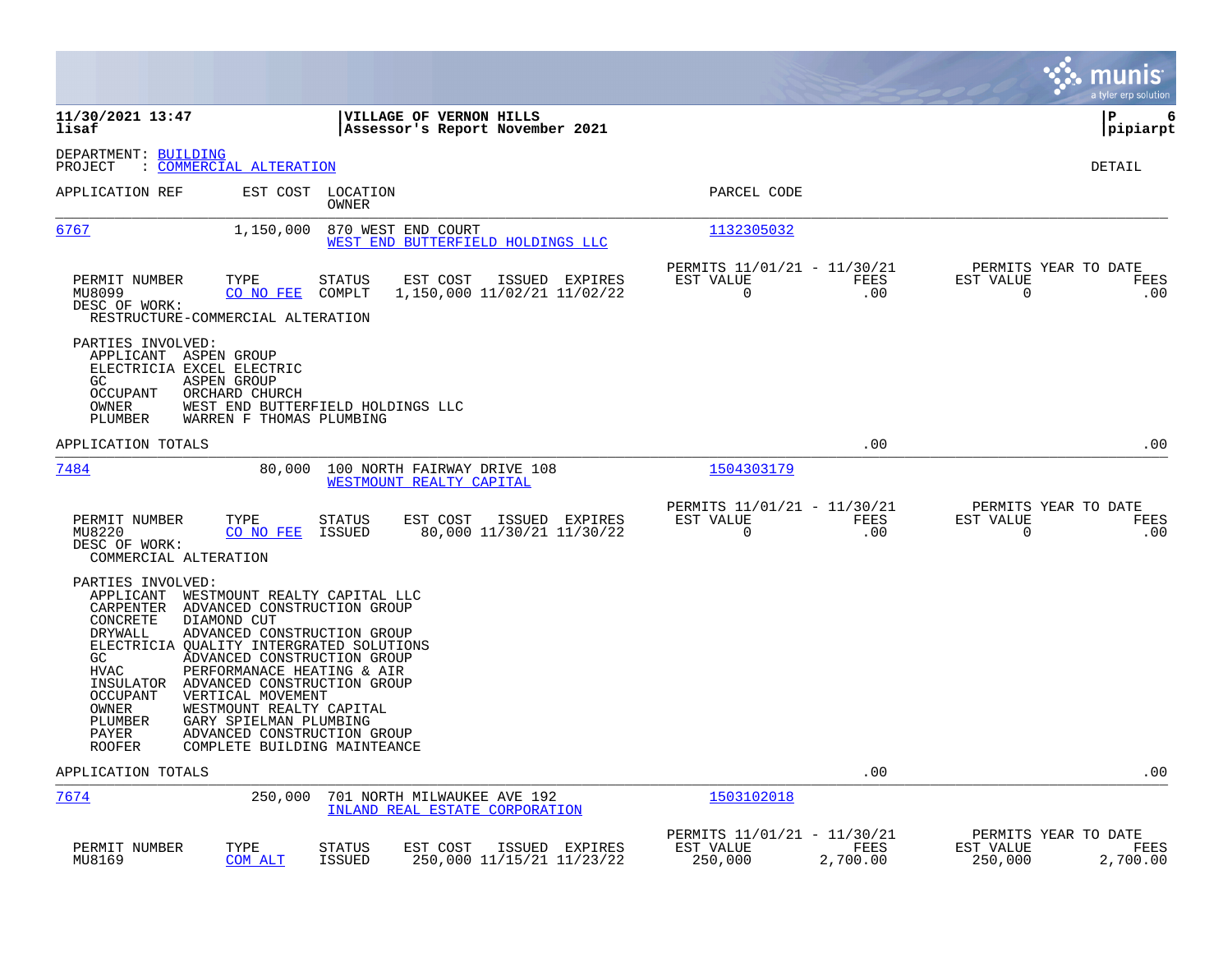|                                                                                                                                                                                                                                                                                                                                                                                                                                                                                                                                                                |                                                                         | munis<br>a tyler erp solution                                    |
|----------------------------------------------------------------------------------------------------------------------------------------------------------------------------------------------------------------------------------------------------------------------------------------------------------------------------------------------------------------------------------------------------------------------------------------------------------------------------------------------------------------------------------------------------------------|-------------------------------------------------------------------------|------------------------------------------------------------------|
| 11/30/2021 13:47<br>VILLAGE OF VERNON HILLS<br>lisaf<br>Assessor's Report November 2021                                                                                                                                                                                                                                                                                                                                                                                                                                                                        |                                                                         | P<br>6<br> pipiarpt                                              |
| DEPARTMENT: BUILDING<br>: COMMERCIAL ALTERATION<br>PROJECT                                                                                                                                                                                                                                                                                                                                                                                                                                                                                                     |                                                                         | <b>DETAIL</b>                                                    |
| APPLICATION REF<br>EST COST LOCATION<br>OWNER                                                                                                                                                                                                                                                                                                                                                                                                                                                                                                                  | PARCEL CODE                                                             |                                                                  |
| 6767<br>1,150,000<br>870 WEST END COURT<br>WEST END BUTTERFIELD HOLDINGS LLC                                                                                                                                                                                                                                                                                                                                                                                                                                                                                   | 1132305032                                                              |                                                                  |
| TYPE<br>PERMIT NUMBER<br><b>STATUS</b><br>EST COST<br>ISSUED EXPIRES<br>MU8099<br>COMPLT<br>1,150,000 11/02/21 11/02/22<br>CO NO FEE<br>DESC OF WORK:<br>RESTRUCTURE-COMMERCIAL ALTERATION                                                                                                                                                                                                                                                                                                                                                                     | PERMITS 11/01/21 - 11/30/21<br>EST VALUE<br>FEES<br>0<br>.00            | PERMITS YEAR TO DATE<br>EST VALUE<br>FEES<br>$\mathbf 0$<br>.00  |
| PARTIES INVOLVED:<br>APPLICANT ASPEN GROUP<br>ELECTRICIA EXCEL ELECTRIC<br>GC.<br>ASPEN GROUP<br>OCCUPANT<br>ORCHARD CHURCH<br>OWNER<br>WEST END BUTTERFIELD HOLDINGS LLC<br>PLUMBER<br>WARREN F THOMAS PLUMBING                                                                                                                                                                                                                                                                                                                                               |                                                                         |                                                                  |
| APPLICATION TOTALS                                                                                                                                                                                                                                                                                                                                                                                                                                                                                                                                             | .00                                                                     | .00                                                              |
| 7484<br>80,000<br>100 NORTH FAIRWAY DRIVE 108<br>WESTMOUNT REALTY CAPITAL                                                                                                                                                                                                                                                                                                                                                                                                                                                                                      | 1504303179                                                              |                                                                  |
| PERMIT NUMBER<br>TYPE<br>STATUS<br>EST COST ISSUED EXPIRES<br>CO NO FEE<br>ISSUED<br>80,000 11/30/21 11/30/22<br>MU8220<br>DESC OF WORK:<br>COMMERCIAL ALTERATION                                                                                                                                                                                                                                                                                                                                                                                              | PERMITS 11/01/21 - 11/30/21<br>EST VALUE<br>FEES<br>$\mathbf 0$<br>.00  | PERMITS YEAR TO DATE<br>EST VALUE<br>FEES<br>$\mathbf 0$<br>.00  |
| PARTIES INVOLVED:<br>APPLICANT WESTMOUNT REALTY CAPITAL LLC<br>CARPENTER<br>ADVANCED CONSTRUCTION GROUP<br>CONCRETE<br>DIAMOND CUT<br>DRYWALL<br>ADVANCED CONSTRUCTION GROUP<br>ELECTRICIA QUALITY INTERGRATED SOLUTIONS<br>GC<br>ADVANCED CONSTRUCTION GROUP<br><b>HVAC</b><br>PERFORMANACE HEATING & AIR<br>INSULATOR ADVANCED CONSTRUCTION GROUP<br><b>OCCUPANT</b><br>VERTICAL MOVEMENT<br>WESTMOUNT REALTY CAPITAL<br>OWNER<br>GARY SPIELMAN PLUMBING<br>PLUMBER<br>PAYER<br>ADVANCED CONSTRUCTION GROUP<br><b>ROOFER</b><br>COMPLETE BUILDING MAINTEANCE |                                                                         |                                                                  |
| APPLICATION TOTALS                                                                                                                                                                                                                                                                                                                                                                                                                                                                                                                                             | .00                                                                     | .00                                                              |
| 7674<br>250,000<br>701 NORTH MILWAUKEE AVE 192<br>INLAND REAL ESTATE CORPORATION                                                                                                                                                                                                                                                                                                                                                                                                                                                                               | 1503102018                                                              |                                                                  |
| PERMIT NUMBER<br>TYPE<br>EST COST<br>STATUS<br>ISSUED EXPIRES<br>MU8169<br>COM ALT<br><b>ISSUED</b><br>250,000 11/15/21 11/23/22                                                                                                                                                                                                                                                                                                                                                                                                                               | PERMITS 11/01/21 - 11/30/21<br>FEES<br>EST VALUE<br>250,000<br>2,700.00 | PERMITS YEAR TO DATE<br>EST VALUE<br>FEES<br>250,000<br>2,700.00 |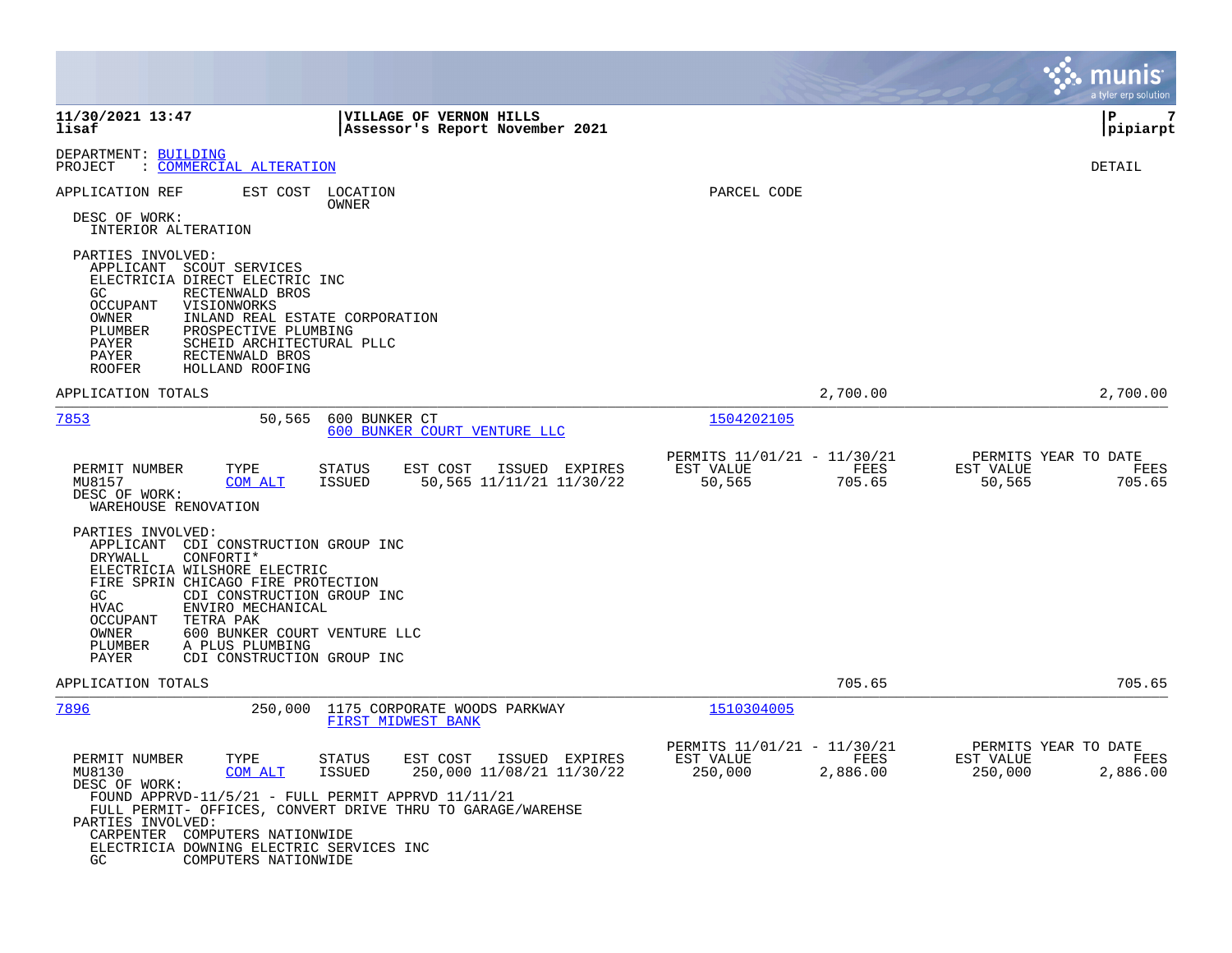|                                                                                                                                                                                                                                                                                                                                                                                                                           |                                                                         | munis<br>a tyler erp solution                                    |
|---------------------------------------------------------------------------------------------------------------------------------------------------------------------------------------------------------------------------------------------------------------------------------------------------------------------------------------------------------------------------------------------------------------------------|-------------------------------------------------------------------------|------------------------------------------------------------------|
| 11/30/2021 13:47<br><b>VILLAGE OF VERNON HILLS</b><br>lisaf<br>Assessor's Report November 2021                                                                                                                                                                                                                                                                                                                            |                                                                         | l P<br>7<br> pipiarpt                                            |
| DEPARTMENT: BUILDING<br>: COMMERCIAL ALTERATION<br>PROJECT                                                                                                                                                                                                                                                                                                                                                                |                                                                         | DETAIL                                                           |
| APPLICATION REF<br>EST COST LOCATION<br>OWNER<br>DESC OF WORK:<br>INTERIOR ALTERATION                                                                                                                                                                                                                                                                                                                                     | PARCEL CODE                                                             |                                                                  |
| PARTIES INVOLVED:<br>APPLICANT SCOUT SERVICES<br>ELECTRICIA DIRECT ELECTRIC INC<br>RECTENWALD BROS<br>GC.<br><b>OCCUPANT</b><br>VISIONWORKS<br>OWNER<br>INLAND REAL ESTATE CORPORATION<br>PROSPECTIVE PLUMBING<br>PLUMBER<br>SCHEID ARCHITECTURAL PLLC<br>PAYER<br>PAYER<br>RECTENWALD BROS<br>HOLLAND ROOFING<br>ROOFER                                                                                                  |                                                                         |                                                                  |
| APPLICATION TOTALS                                                                                                                                                                                                                                                                                                                                                                                                        | 2,700.00                                                                | 2,700.00                                                         |
| 7853<br>50,565<br>600 BUNKER CT<br>600 BUNKER COURT VENTURE LLC                                                                                                                                                                                                                                                                                                                                                           | 1504202105                                                              |                                                                  |
| PERMIT NUMBER<br>TYPE<br><b>STATUS</b><br>EST COST<br>ISSUED EXPIRES<br>COM ALT<br>50,565 11/11/21 11/30/22<br>MU8157<br>ISSUED<br>DESC OF WORK:<br>WAREHOUSE RENOVATION                                                                                                                                                                                                                                                  | PERMITS 11/01/21 - 11/30/21<br>EST VALUE<br>FEES<br>50,565<br>705.65    | PERMITS YEAR TO DATE<br>EST VALUE<br>FEES<br>50,565<br>705.65    |
| PARTIES INVOLVED:<br>APPLICANT CDI CONSTRUCTION GROUP INC<br>DRYWALL<br>CONFORTI*<br>ELECTRICIA WILSHORE ELECTRIC<br>FIRE SPRIN CHICAGO FIRE PROTECTION<br>GC.<br>CDI CONSTRUCTION GROUP INC<br><b>HVAC</b><br>ENVIRO MECHANICAL<br>OCCUPANT<br>TETRA PAK<br>600 BUNKER COURT VENTURE LLC<br>OWNER<br>A PLUS PLUMBING<br>PLUMBER<br>PAYER<br>CDI CONSTRUCTION GROUP INC                                                   |                                                                         |                                                                  |
| APPLICATION TOTALS                                                                                                                                                                                                                                                                                                                                                                                                        | 705.65                                                                  | 705.65                                                           |
| 7896<br>250,000<br>1175 CORPORATE WOODS PARKWAY<br>FIRST MIDWEST BANK                                                                                                                                                                                                                                                                                                                                                     | 1510304005                                                              |                                                                  |
| PERMIT NUMBER<br>TYPE<br>EST COST<br>ISSUED EXPIRES<br><b>STATUS</b><br>250,000 11/08/21 11/30/22<br>MU8130<br><b>COM ALT</b><br><b>ISSUED</b><br>DESC OF WORK:<br>FOUND APPRVD-11/5/21 - FULL PERMIT APPRVD $11/11/21$<br>FULL PERMIT- OFFICES, CONVERT DRIVE THRU TO GARAGE/WAREHSE<br>PARTIES INVOLVED:<br>CARPENTER<br>COMPUTERS NATIONWIDE<br>ELECTRICIA DOWNING ELECTRIC SERVICES INC<br>GC<br>COMPUTERS NATIONWIDE | PERMITS 11/01/21 - 11/30/21<br>EST VALUE<br>FEES<br>250,000<br>2,886.00 | PERMITS YEAR TO DATE<br>EST VALUE<br>FEES<br>250,000<br>2,886.00 |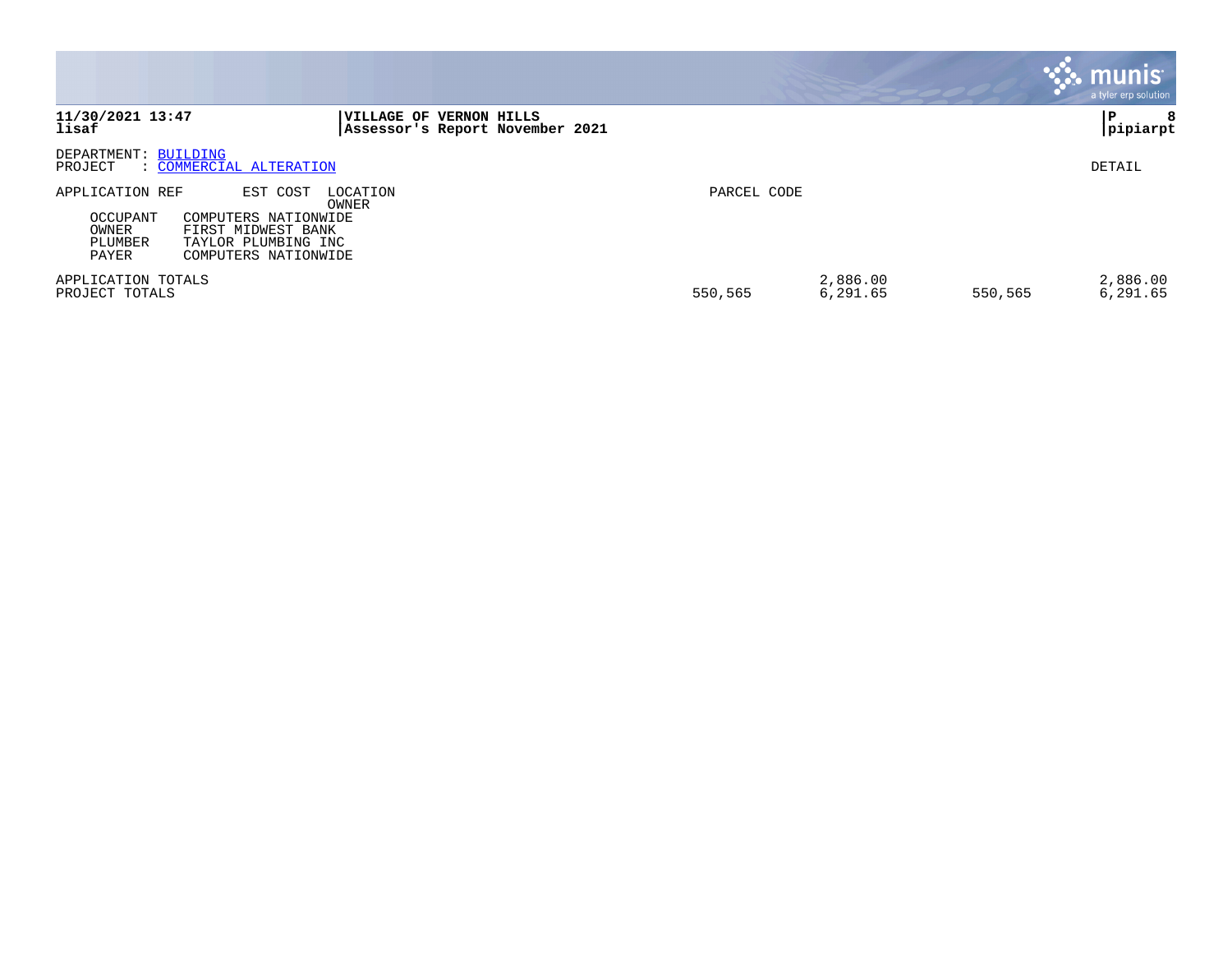|                                                          |                                                                                                       |                                                            |             |                      |         | <b>munis</b><br>a tyler erp solution |
|----------------------------------------------------------|-------------------------------------------------------------------------------------------------------|------------------------------------------------------------|-------------|----------------------|---------|--------------------------------------|
| 11/30/2021 13:47<br>lisaf                                |                                                                                                       | VILLAGE OF VERNON HILLS<br>Assessor's Report November 2021 |             |                      |         | ΙP<br>8<br>pipiarpt                  |
| DEPARTMENT: BUILDING<br>PROJECT                          | : COMMERCIAL ALTERATION                                                                               |                                                            |             |                      |         | DETAIL                               |
| APPLICATION REF<br>OCCUPANT<br>OWNER<br>PLUMBER<br>PAYER | EST COST<br>COMPUTERS NATIONWIDE<br>FIRST MIDWEST BANK<br>TAYLOR PLUMBING INC<br>COMPUTERS NATIONWIDE | LOCATION<br>OWNER                                          | PARCEL CODE |                      |         |                                      |
| APPLICATION TOTALS<br>PROJECT TOTALS                     |                                                                                                       |                                                            | 550,565     | 2,886.00<br>6,291.65 | 550,565 | 2,886.00<br>6,291.65                 |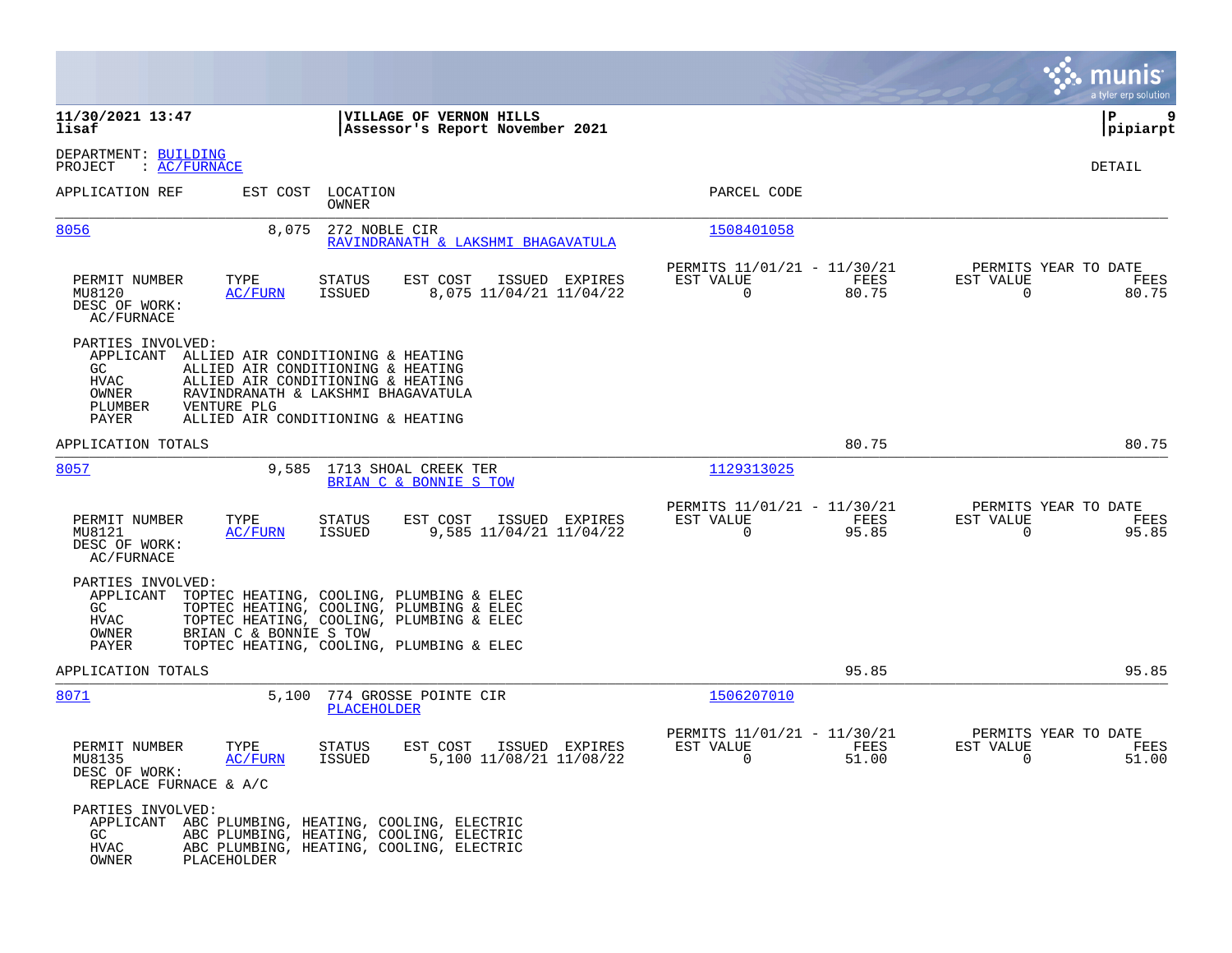|                                                                                    |                                                                                                                                                                                                        |                                                                          | munis<br>a tyler erp solution                                     |
|------------------------------------------------------------------------------------|--------------------------------------------------------------------------------------------------------------------------------------------------------------------------------------------------------|--------------------------------------------------------------------------|-------------------------------------------------------------------|
| 11/30/2021 13:47<br>lisaf                                                          | VILLAGE OF VERNON HILLS<br>Assessor's Report November 2021                                                                                                                                             |                                                                          | ΙP<br>9<br> pipiarpt                                              |
| DEPARTMENT: BUILDING<br>: AC/FURNACE<br>PROJECT                                    |                                                                                                                                                                                                        |                                                                          | DETAIL                                                            |
| APPLICATION REF                                                                    | EST COST LOCATION<br>OWNER                                                                                                                                                                             | PARCEL CODE                                                              |                                                                   |
| 8056                                                                               | 272 NOBLE CIR<br>8,075<br>RAVINDRANATH & LAKSHMI BHAGAVATULA                                                                                                                                           | 1508401058                                                               |                                                                   |
| PERMIT NUMBER<br>TYPE<br>MU8120<br>DESC OF WORK:<br>AC/FURNACE                     | EST COST<br>ISSUED EXPIRES<br>STATUS<br><b>ISSUED</b><br>8,075 11/04/21 11/04/22<br>AC/FURN                                                                                                            | PERMITS 11/01/21 - 11/30/21<br>EST VALUE<br>FEES<br>0<br>80.75           | PERMITS YEAR TO DATE<br>EST VALUE<br>FEES<br>$\mathbf 0$<br>80.75 |
| PARTIES INVOLVED:<br>GC<br><b>HVAC</b><br>OWNER<br>VENTURE PLG<br>PLUMBER<br>PAYER | APPLICANT ALLIED AIR CONDITIONING & HEATING<br>ALLIED AIR CONDITIONING & HEATING<br>ALLIED AIR CONDITIONING & HEATING<br>RAVINDRANATH & LAKSHMI BHAGAVATULA<br>ALLIED AIR CONDITIONING & HEATING       |                                                                          |                                                                   |
| APPLICATION TOTALS                                                                 |                                                                                                                                                                                                        | 80.75                                                                    | 80.75                                                             |
| 8057                                                                               | 9,585 1713 SHOAL CREEK TER<br>BRIAN C & BONNIE S TOW                                                                                                                                                   | 1129313025                                                               |                                                                   |
| PERMIT NUMBER<br>TYPE<br>MU8121<br>DESC OF WORK:<br>AC/FURNACE                     | EST COST<br>ISSUED EXPIRES<br><b>STATUS</b><br>9,585 11/04/21 11/04/22<br>AC/FURN<br>ISSUED                                                                                                            | PERMITS 11/01/21 - 11/30/21<br>EST VALUE<br>FEES<br>0<br>95.85           | PERMITS YEAR TO DATE<br>EST VALUE<br>FEES<br>95.85<br>0           |
| PARTIES INVOLVED:<br>APPLICANT<br>GC<br><b>HVAC</b><br>OWNER<br>PAYER              | TOPTEC HEATING, COOLING, PLUMBING & ELEC<br>TOPTEC HEATING, COOLING, PLUMBING & ELEC<br>TOPTEC HEATING, COOLING, PLUMBING & ELEC<br>BRIAN C & BONNIE S TOW<br>TOPTEC HEATING, COOLING, PLUMBING & ELEC |                                                                          |                                                                   |
| APPLICATION TOTALS                                                                 |                                                                                                                                                                                                        | 95.85                                                                    | 95.85                                                             |
| 8071                                                                               | 5,100<br>774 GROSSE POINTE CIR<br><b>PLACEHOLDER</b>                                                                                                                                                   | 1506207010                                                               |                                                                   |
| PERMIT NUMBER<br>TYPE<br>MU8135<br>DESC OF WORK:<br>REPLACE FURNACE & A/C          | EST COST<br>ISSUED EXPIRES<br>STATUS<br><b>ISSUED</b><br>5,100 11/08/21 11/08/22<br>AC/FURN                                                                                                            | PERMITS 11/01/21 - 11/30/21<br>EST VALUE<br>FEES<br>$\mathbf 0$<br>51.00 | PERMITS YEAR TO DATE<br>EST VALUE<br>FEES<br>$\mathbf 0$<br>51.00 |
| PARTIES INVOLVED:<br>GC<br><b>HVAC</b><br>PLACEHOLDER<br>OWNER                     | APPLICANT ABC PLUMBING, HEATING, COOLING, ELECTRIC<br>ABC PLUMBING, HEATING, COOLING, ELECTRIC<br>ABC PLUMBING, HEATING, COOLING, ELECTRIC                                                             |                                                                          |                                                                   |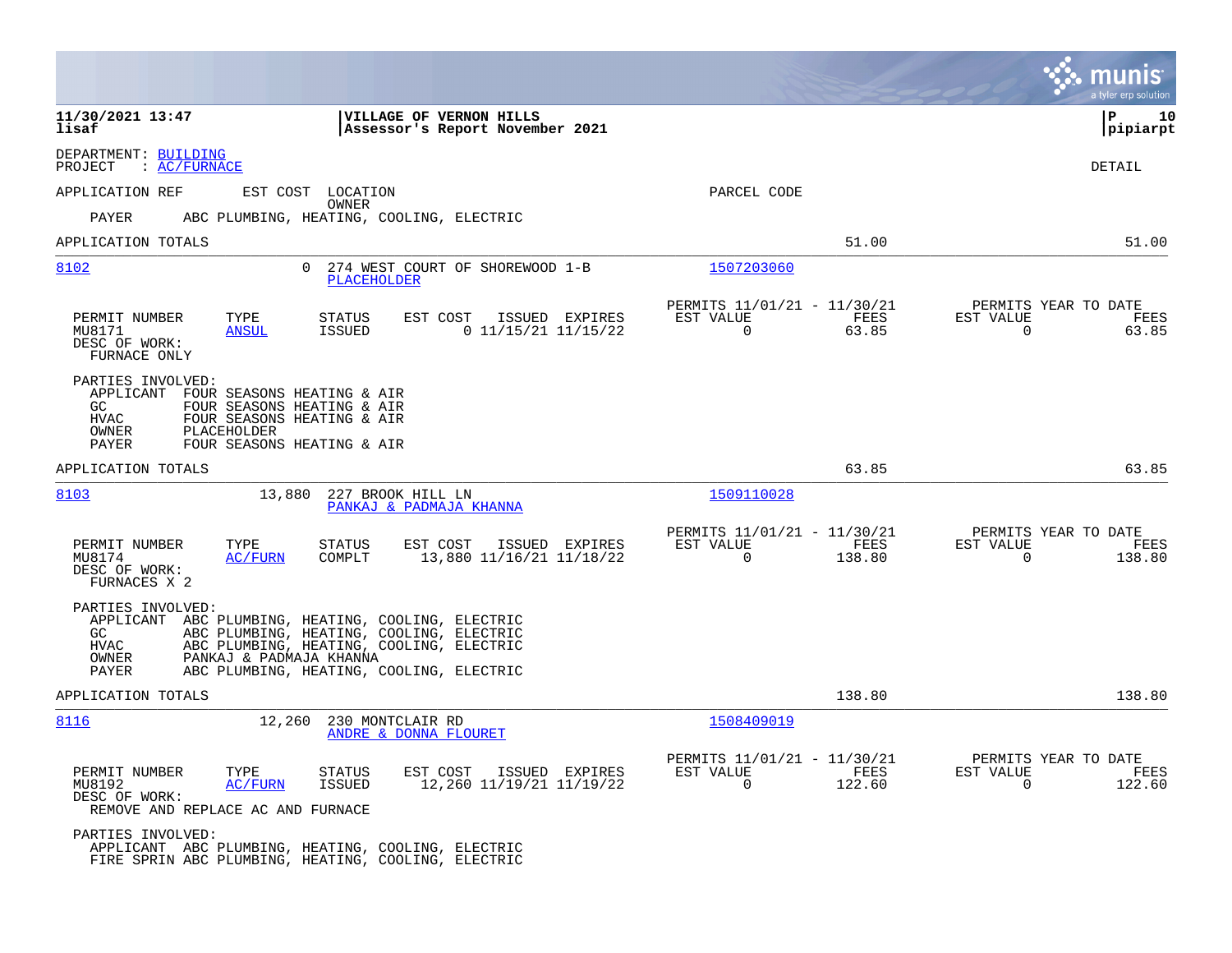|                                                                                                                                                                                                                                                                        | a tyler erp solution                                                                                                                            |
|------------------------------------------------------------------------------------------------------------------------------------------------------------------------------------------------------------------------------------------------------------------------|-------------------------------------------------------------------------------------------------------------------------------------------------|
| VILLAGE OF VERNON HILLS<br>11/30/2021 13:47<br>lisaf<br>Assessor's Report November 2021                                                                                                                                                                                | ΙP<br>10<br> pipiarpt                                                                                                                           |
| DEPARTMENT: BUILDING<br>: AC/FURNACE<br>PROJECT                                                                                                                                                                                                                        | DETAIL                                                                                                                                          |
| APPLICATION REF<br>EST COST LOCATION                                                                                                                                                                                                                                   | PARCEL CODE                                                                                                                                     |
| OWNER<br>PAYER<br>ABC PLUMBING, HEATING, COOLING, ELECTRIC                                                                                                                                                                                                             |                                                                                                                                                 |
| APPLICATION TOTALS                                                                                                                                                                                                                                                     | 51.00<br>51.00                                                                                                                                  |
| 8102<br>274 WEST COURT OF SHOREWOOD 1-B<br>$\Omega$<br><b>PLACEHOLDER</b>                                                                                                                                                                                              | 1507203060                                                                                                                                      |
| EST COST<br>PERMIT NUMBER<br>TYPE<br>STATUS<br>ISSUED EXPIRES<br>$0$ 11/15/21 11/15/22<br>MU8171<br><b>ANSUL</b><br>ISSUED<br>DESC OF WORK:<br>FURNACE ONLY                                                                                                            | PERMITS 11/01/21 - 11/30/21<br>PERMITS YEAR TO DATE<br>EST VALUE<br>FEES<br>EST VALUE<br>FEES<br>$\mathbf 0$<br>63.85<br>$\mathbf 0$<br>63.85   |
| PARTIES INVOLVED:<br>APPLICANT FOUR SEASONS HEATING & AIR<br>GC<br>FOUR SEASONS HEATING & AIR<br><b>HVAC</b><br>FOUR SEASONS HEATING & AIR<br>PLACEHOLDER<br>OWNER<br>FOUR SEASONS HEATING & AIR<br>PAYER                                                              |                                                                                                                                                 |
| APPLICATION TOTALS                                                                                                                                                                                                                                                     | 63.85<br>63.85                                                                                                                                  |
| 8103<br>13,880<br>227 BROOK HILL LN<br>PANKAJ & PADMAJA KHANNA                                                                                                                                                                                                         | 1509110028                                                                                                                                      |
| PERMIT NUMBER<br>TYPE<br>EST COST<br>ISSUED EXPIRES<br><b>STATUS</b><br>13,880 11/16/21 11/18/22<br>MU8174<br><b>AC/FURN</b><br>COMPLT<br>DESC OF WORK:<br>FURNACES X 2                                                                                                | PERMITS 11/01/21 - 11/30/21<br>PERMITS YEAR TO DATE<br>EST VALUE<br>FEES<br>EST VALUE<br>FEES<br>$\Omega$<br>138.80<br>$\Omega$<br>138.80       |
| PARTIES INVOLVED:<br>APPLICANT ABC PLUMBING, HEATING, COOLING, ELECTRIC<br>ABC PLUMBING, HEATING, COOLING, ELECTRIC<br>GC<br>ABC PLUMBING, HEATING, COOLING, ELECTRIC<br>HVAC<br>OWNER<br>PANKAJ & PADMAJA KHANNA<br>ABC PLUMBING, HEATING, COOLING, ELECTRIC<br>PAYER |                                                                                                                                                 |
| APPLICATION TOTALS                                                                                                                                                                                                                                                     | 138.80<br>138.80                                                                                                                                |
| 230 MONTCLAIR RD<br>8116<br>12,260<br>ANDRE & DONNA FLOURET                                                                                                                                                                                                            | 1508409019                                                                                                                                      |
| PERMIT NUMBER<br>TYPE<br><b>STATUS</b><br>EST COST<br>ISSUED EXPIRES<br><b>AC/FURN</b><br>12,260 11/19/21 11/19/22<br>MU8192<br><b>ISSUED</b><br>DESC OF WORK:<br>REMOVE AND REPLACE AC AND FURNACE                                                                    | PERMITS 11/01/21 - 11/30/21<br>PERMITS YEAR TO DATE<br>EST VALUE<br>FEES<br>EST VALUE<br>FEES<br>$\mathbf 0$<br>122.60<br>$\mathbf 0$<br>122.60 |
| PARTIES INVOLVED:<br>APPLICANT ABC PLUMBING, HEATING, COOLING, ELECTRIC<br>FIRE SPRIN ABC PLUMBING, HEATING, COOLING, ELECTRIC                                                                                                                                         |                                                                                                                                                 |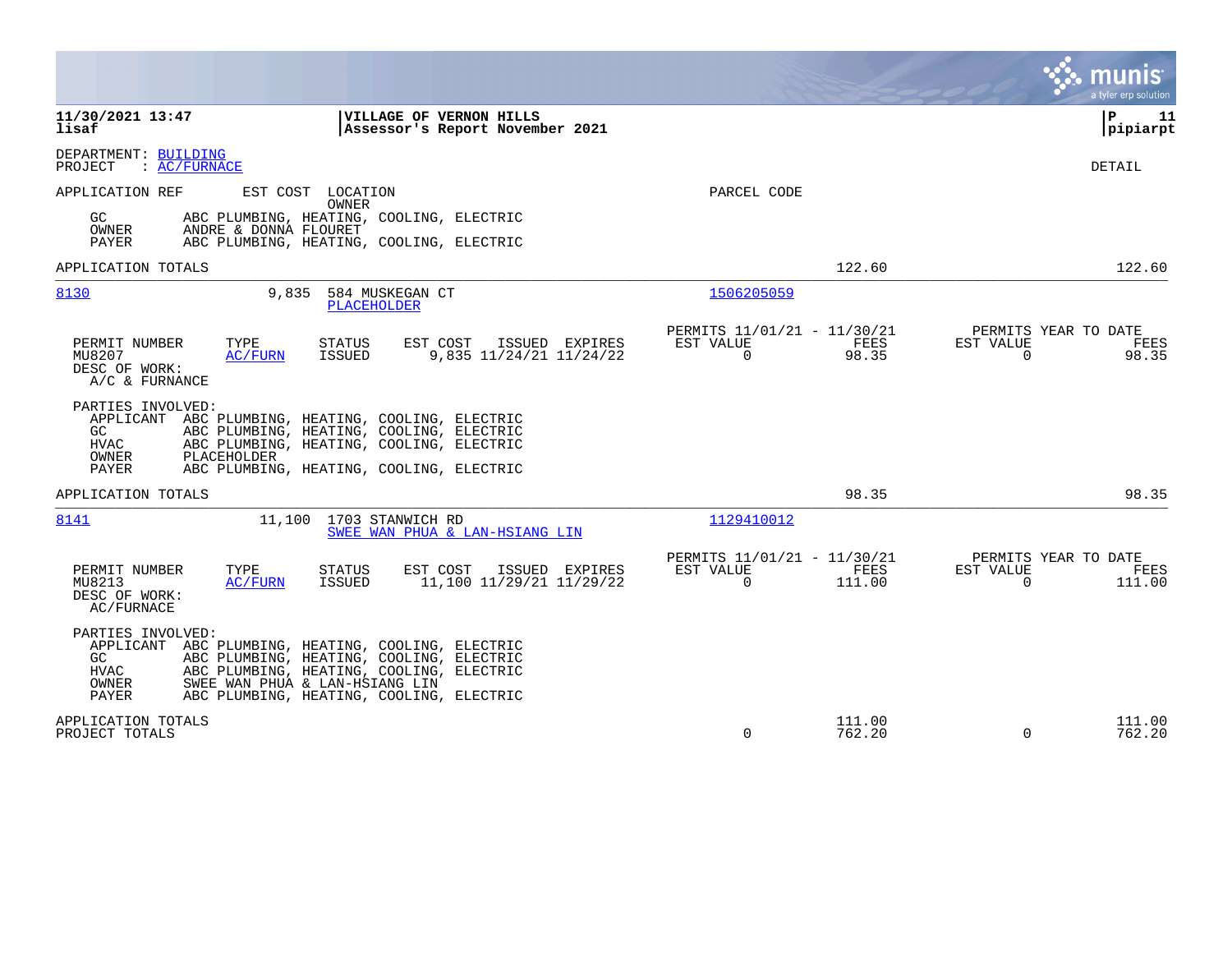|                                                                                                                                                                                                                                                                                |                                                                        | munis<br>a tyler erp solution                                   |
|--------------------------------------------------------------------------------------------------------------------------------------------------------------------------------------------------------------------------------------------------------------------------------|------------------------------------------------------------------------|-----------------------------------------------------------------|
| 11/30/2021 13:47<br>VILLAGE OF VERNON HILLS<br>lisaf<br>Assessor's Report November 2021                                                                                                                                                                                        |                                                                        | l P<br>11<br> pipiarpt                                          |
| DEPARTMENT: BUILDING<br>: AC/FURNACE<br>PROJECT                                                                                                                                                                                                                                |                                                                        | <b>DETAIL</b>                                                   |
| APPLICATION REF<br>EST COST LOCATION<br>OWNER<br>ABC PLUMBING, HEATING, COOLING, ELECTRIC<br>GC.<br>OWNER<br>ANDRE & DONNA FLOURET<br>PAYER<br>ABC PLUMBING, HEATING, COOLING, ELECTRIC                                                                                        | PARCEL CODE                                                            |                                                                 |
| APPLICATION TOTALS                                                                                                                                                                                                                                                             | 122.60                                                                 | 122.60                                                          |
| 8130<br>9,835<br>584 MUSKEGAN CT<br>PLACEHOLDER                                                                                                                                                                                                                                | 1506205059                                                             |                                                                 |
| EST COST<br>ISSUED EXPIRES<br>PERMIT NUMBER<br>TYPE<br>STATUS<br>9,835 11/24/21 11/24/22<br>MU8207<br><b>ISSUED</b><br>AC/FURN<br>DESC OF WORK:<br>A/C & FURNANCE                                                                                                              | PERMITS 11/01/21 - 11/30/21<br>EST VALUE<br>FEES<br>$\Omega$<br>98.35  | PERMITS YEAR TO DATE<br>EST VALUE<br>FEES<br>$\Omega$<br>98.35  |
| PARTIES INVOLVED:<br>APPLICANT<br>ABC PLUMBING, HEATING, COOLING, ELECTRIC<br>ABC PLUMBING, HEATING, COOLING, ELECTRIC<br>GC<br><b>HVAC</b><br>ABC PLUMBING, HEATING, COOLING, ELECTRIC<br>OWNER<br>PLACEHOLDER<br>PAYER<br>ABC PLUMBING, HEATING, COOLING, ELECTRIC           |                                                                        |                                                                 |
| APPLICATION TOTALS                                                                                                                                                                                                                                                             | 98.35                                                                  | 98.35                                                           |
| 8141<br>1703 STANWICH RD<br>11,100<br>SWEE WAN PHUA & LAN-HSIANG LIN                                                                                                                                                                                                           | 1129410012                                                             |                                                                 |
| PERMIT NUMBER<br>TYPE<br>STATUS<br>EST COST<br>ISSUED EXPIRES<br>MU8213<br>ISSUED<br>11,100 11/29/21 11/29/22<br>AC/FURN<br>DESC OF WORK:<br>AC/FURNACE                                                                                                                        | PERMITS 11/01/21 - 11/30/21<br>EST VALUE<br>FEES<br>$\Omega$<br>111.00 | PERMITS YEAR TO DATE<br>EST VALUE<br>FEES<br>$\Omega$<br>111.00 |
| PARTIES INVOLVED:<br>APPLICANT ABC PLUMBING, HEATING, COOLING, ELECTRIC<br>GC.<br>ABC PLUMBING, HEATING, COOLING, ELECTRIC<br>HVAC<br>ABC PLUMBING, HEATING, COOLING, ELECTRIC<br>SWEE WAN PHUA & LAN-HSIANG LIN<br>OWNER<br>PAYER<br>ABC PLUMBING, HEATING, COOLING, ELECTRIC |                                                                        |                                                                 |
| APPLICATION TOTALS<br>PROJECT TOTALS                                                                                                                                                                                                                                           | 111.00<br>$\mathbf 0$<br>762.20                                        | 111.00<br>$\Omega$<br>762.20                                    |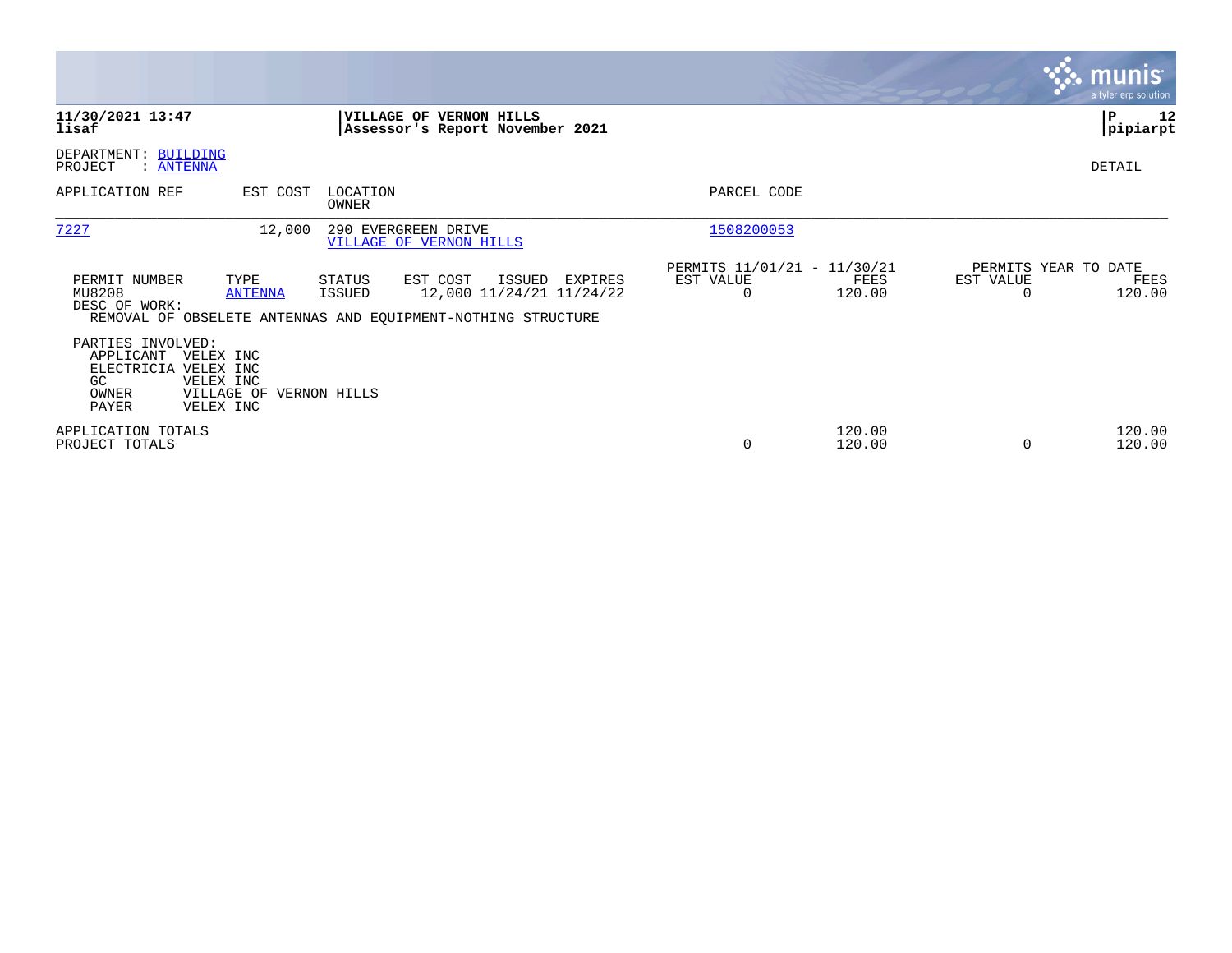|                                                                                                                                      |                                                                                                                                               |                                                                        | <b>munis</b><br>a tyler erp solution                |
|--------------------------------------------------------------------------------------------------------------------------------------|-----------------------------------------------------------------------------------------------------------------------------------------------|------------------------------------------------------------------------|-----------------------------------------------------|
| 11/30/2021 13:47<br>lisaf                                                                                                            | VILLAGE OF VERNON HILLS<br>Assessor's Report November 2021                                                                                    |                                                                        | P<br>12<br> pipiarpt                                |
| DEPARTMENT: BUILDING<br>PROJECT<br>: <u>ANTENNA</u>                                                                                  |                                                                                                                                               |                                                                        | DETAIL                                              |
| APPLICATION REF<br>EST COST                                                                                                          | LOCATION<br><b>OWNER</b>                                                                                                                      | PARCEL CODE                                                            |                                                     |
| 7227<br>12,000                                                                                                                       | 290 EVERGREEN DRIVE<br>VILLAGE OF VERNON HILLS                                                                                                | 1508200053                                                             |                                                     |
| PERMIT NUMBER<br>TYPE<br>MU8208<br><b>ANTENNA</b><br>DESC OF WORK:                                                                   | STATUS<br>EST COST<br>ISSUED<br>EXPIRES<br>12,000 11/24/21 11/24/22<br>ISSUED<br>REMOVAL OF OBSELETE ANTENNAS AND EQUIPMENT-NOTHING STRUCTURE | PERMITS 11/01/21 - 11/30/21<br>EST VALUE<br>FEES<br>120.00<br>$\Omega$ | PERMITS YEAR TO DATE<br>EST VALUE<br>FEES<br>120.00 |
| PARTIES INVOLVED:<br>APPLICANT<br>VELEX INC<br>ELECTRICIA VELEX INC<br>VELEX INC<br>GC.<br>VILLAGE OF<br>OWNER<br>PAYER<br>VELEX INC | VERNON HILLS                                                                                                                                  |                                                                        |                                                     |
| APPLICATION TOTALS<br>PROJECT TOTALS                                                                                                 |                                                                                                                                               | 120.00<br>0<br>120.00                                                  | 120.00<br>120.00<br>$\Omega$                        |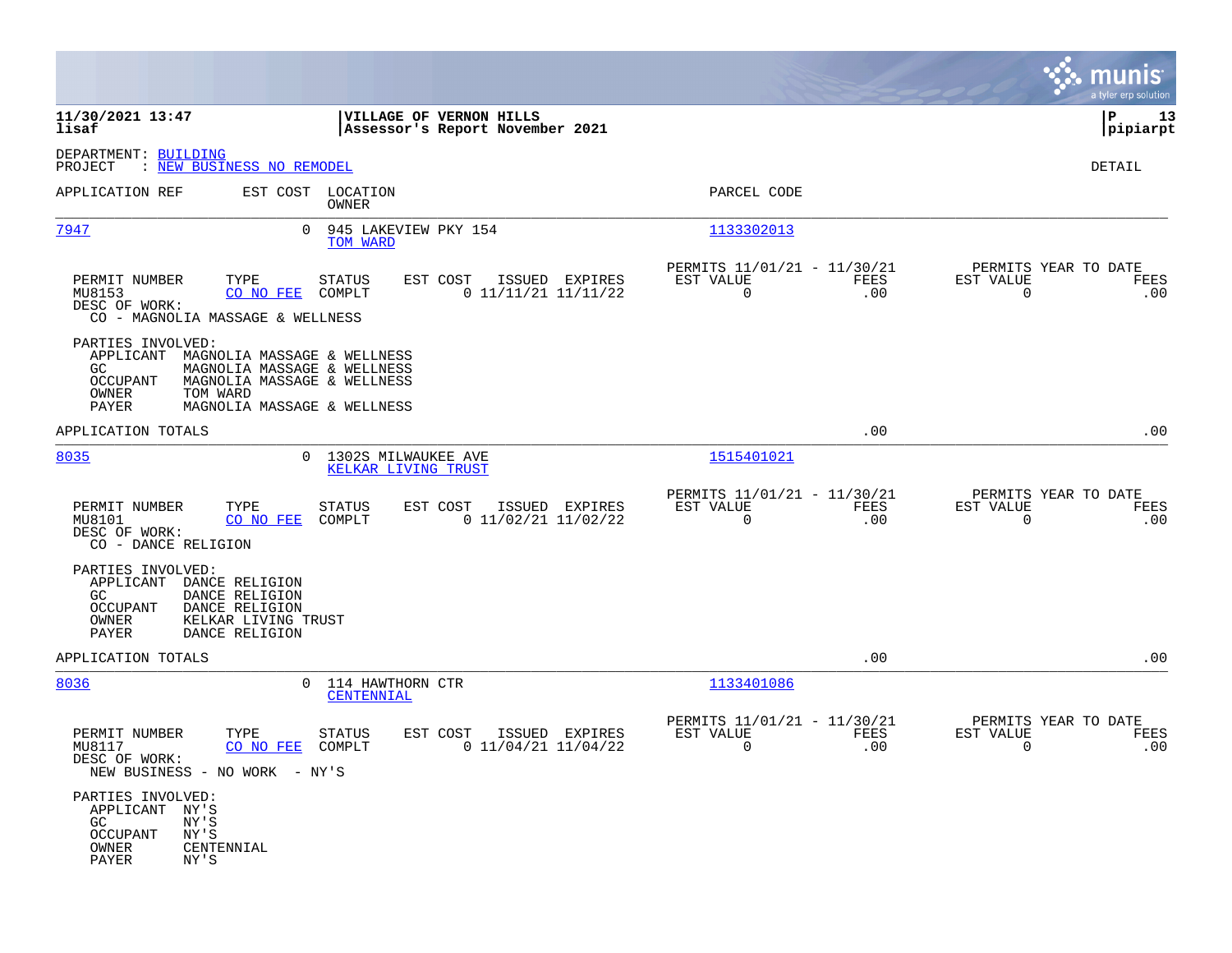|                                                                                                                                                                                                            |                                              |                                                            |                                                            |             |                                                     | munis<br>a tyler erp solution |
|------------------------------------------------------------------------------------------------------------------------------------------------------------------------------------------------------------|----------------------------------------------|------------------------------------------------------------|------------------------------------------------------------|-------------|-----------------------------------------------------|-------------------------------|
| 11/30/2021 13:47<br>lisaf                                                                                                                                                                                  |                                              | VILLAGE OF VERNON HILLS<br>Assessor's Report November 2021 |                                                            |             |                                                     | P<br>13<br> pipiarpt          |
| DEPARTMENT: BUILDING<br>PROJECT<br>: NEW BUSINESS NO REMODEL                                                                                                                                               |                                              |                                                            |                                                            |             |                                                     | DETAIL                        |
| EST COST LOCATION<br>APPLICATION REF                                                                                                                                                                       | OWNER                                        |                                                            | PARCEL CODE                                                |             |                                                     |                               |
| $\Omega$<br><u>7947</u>                                                                                                                                                                                    | 945 LAKEVIEW PKY 154<br>TOM WARD             |                                                            | 1133302013                                                 |             |                                                     |                               |
| PERMIT NUMBER<br>TYPE<br>MU8153<br>CO NO FEE<br>DESC OF WORK:<br>CO - MAGNOLIA MASSAGE & WELLNESS                                                                                                          | STATUS<br>COMPLT                             | EST COST<br>ISSUED EXPIRES<br>$0$ 11/11/21 11/11/22        | PERMITS 11/01/21 - 11/30/21<br>EST VALUE<br>$\overline{0}$ | FEES<br>.00 | PERMITS YEAR TO DATE<br>EST VALUE<br>$\overline{0}$ | FEES<br>.00                   |
| PARTIES INVOLVED:<br>APPLICANT<br>MAGNOLIA MASSAGE & WELLNESS<br>GC<br>MAGNOLIA MASSAGE & WELLNESS<br>OCCUPANT<br>MAGNOLIA MASSAGE & WELLNESS<br>OWNER<br>TOM WARD<br>PAYER<br>MAGNOLIA MASSAGE & WELLNESS |                                              |                                                            |                                                            |             |                                                     |                               |
| APPLICATION TOTALS                                                                                                                                                                                         |                                              |                                                            |                                                            | .00         |                                                     | .00                           |
| 8035                                                                                                                                                                                                       | 0 1302S MILWAUKEE AVE<br>KELKAR LIVING TRUST |                                                            | 1515401021                                                 |             |                                                     |                               |
| TYPE<br>PERMIT NUMBER<br>MU8101<br>CO NO FEE<br>DESC OF WORK:<br>CO - DANCE RELIGION                                                                                                                       | STATUS<br>COMPLT                             | EST COST ISSUED EXPIRES<br>$0$ 11/02/21 11/02/22           | PERMITS 11/01/21 - 11/30/21<br>EST VALUE<br>$\mathbf 0$    | FEES<br>.00 | PERMITS YEAR TO DATE<br>EST VALUE<br>$\overline{0}$ | FEES<br>.00                   |
| PARTIES INVOLVED:<br>APPLICANT<br>DANCE RELIGION<br>DANCE RELIGION<br>GC<br>OCCUPANT<br>DANCE RELIGION<br>OWNER<br>KELKAR LIVING TRUST<br>PAYER<br>DANCE RELIGION                                          |                                              |                                                            |                                                            |             |                                                     |                               |
| APPLICATION TOTALS                                                                                                                                                                                         |                                              |                                                            |                                                            | .00         |                                                     | .00                           |
| 8036                                                                                                                                                                                                       | 0 114 HAWTHORN CTR<br>CENTENNIAL             |                                                            | 1133401086                                                 |             |                                                     |                               |
| PERMIT NUMBER<br>TYPE<br>MU8117<br>CO NO FEE<br>DESC OF WORK:<br>NEW BUSINESS - NO WORK - NY'S                                                                                                             | <b>STATUS</b><br>COMPLT                      | EST COST<br>ISSUED EXPIRES<br>$0$ 11/04/21 11/04/22        | PERMITS 11/01/21 - 11/30/21<br>EST VALUE<br>0              | FEES<br>.00 | PERMITS YEAR TO DATE<br>EST VALUE<br>0              | FEES<br>.00                   |
| PARTIES INVOLVED:<br>APPLICANT NY'S<br>GC<br>NY'S<br><b>OCCUPANT</b><br>NY'S<br>OWNER<br>CENTENNIAL<br>PAYER<br>NY'S                                                                                       |                                              |                                                            |                                                            |             |                                                     |                               |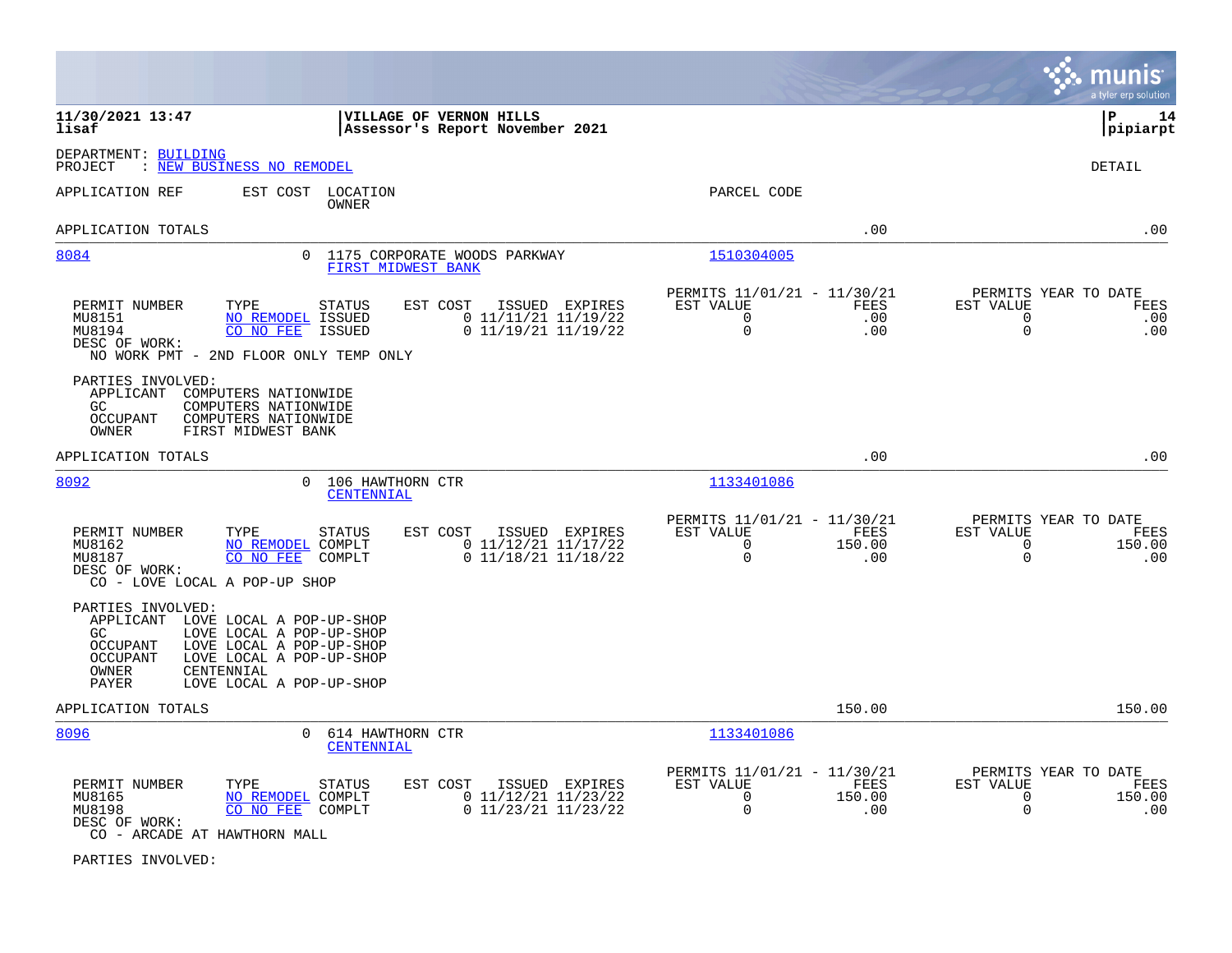|                                                                                                                                                                                                                                                      |                                                                                                         |                                                                                              | munis<br>a tyler erp solution                                                            |
|------------------------------------------------------------------------------------------------------------------------------------------------------------------------------------------------------------------------------------------------------|---------------------------------------------------------------------------------------------------------|----------------------------------------------------------------------------------------------|------------------------------------------------------------------------------------------|
| 11/30/2021 13:47<br>lisaf                                                                                                                                                                                                                            | VILLAGE OF VERNON HILLS<br>Assessor's Report November 2021                                              |                                                                                              | l P<br>14<br> pipiarpt                                                                   |
| DEPARTMENT: BUILDING<br>: NEW BUSINESS NO REMODEL<br>PROJECT                                                                                                                                                                                         |                                                                                                         |                                                                                              | <b>DETAIL</b>                                                                            |
| APPLICATION REF                                                                                                                                                                                                                                      | EST COST LOCATION<br><b>OWNER</b>                                                                       | PARCEL CODE                                                                                  |                                                                                          |
| APPLICATION TOTALS                                                                                                                                                                                                                                   |                                                                                                         | .00                                                                                          | .00                                                                                      |
| 8084                                                                                                                                                                                                                                                 | 0 1175 CORPORATE WOODS PARKWAY<br><b>FIRST MIDWEST BANK</b>                                             | 1510304005                                                                                   |                                                                                          |
| PERMIT NUMBER<br>TYPE<br>MU8151<br><b>NO REMODEL ISSUED</b><br>MU8194<br>CO NO FEE<br>DESC OF WORK:<br>NO WORK PMT - 2ND FLOOR ONLY TEMP ONLY                                                                                                        | <b>STATUS</b><br>EST COST<br>ISSUED EXPIRES<br>$0$ 11/11/21 11/19/22<br>$0$ 11/19/21 11/19/22<br>ISSUED | PERMITS 11/01/21 - 11/30/21<br>EST VALUE<br>FEES<br>$\Omega$<br>.00<br>$\mathbf 0$<br>.00    | PERMITS YEAR TO DATE<br>EST VALUE<br>FEES<br>$\Omega$<br>.00<br>$\mathbf 0$<br>.00       |
| PARTIES INVOLVED:<br>APPLICANT<br>COMPUTERS NATIONWIDE<br>COMPUTERS NATIONWIDE<br>GC.<br><b>OCCUPANT</b><br>COMPUTERS NATIONWIDE<br>OWNER<br>FIRST MIDWEST BANK                                                                                      |                                                                                                         |                                                                                              |                                                                                          |
| APPLICATION TOTALS                                                                                                                                                                                                                                   |                                                                                                         | .00                                                                                          | .00                                                                                      |
| 8092                                                                                                                                                                                                                                                 | 0 106 HAWTHORN CTR<br>CENTENNIAL                                                                        | 1133401086                                                                                   |                                                                                          |
| PERMIT NUMBER<br>TYPE<br>MU8162<br>NO REMODEL COMPLT<br>MU8187<br>CO NO FEE<br>DESC OF WORK:<br>CO - LOVE LOCAL A POP-UP SHOP                                                                                                                        | <b>STATUS</b><br>EST COST<br>ISSUED EXPIRES<br>$0$ 11/12/21 11/17/22<br>COMPLT<br>$0$ 11/18/21 11/18/22 | PERMITS 11/01/21 - 11/30/21<br>EST VALUE<br>FEES<br>$\Omega$<br>150.00<br>0<br>.00           | PERMITS YEAR TO DATE<br>EST VALUE<br><b>FEES</b><br>$\Omega$<br>150.00<br>0<br>.00       |
| PARTIES INVOLVED:<br>APPLICANT LOVE LOCAL A POP-UP-SHOP<br>LOVE LOCAL A POP-UP-SHOP<br>GC.<br>LOVE LOCAL A POP-UP-SHOP<br>OCCUPANT<br>LOVE LOCAL A POP-UP-SHOP<br><b>OCCUPANT</b><br><b>OWNER</b><br>CENTENNIAL<br>LOVE LOCAL A POP-UP-SHOP<br>PAYER |                                                                                                         |                                                                                              |                                                                                          |
| APPLICATION TOTALS                                                                                                                                                                                                                                   |                                                                                                         | 150.00                                                                                       | 150.00                                                                                   |
| 8096                                                                                                                                                                                                                                                 | $\Omega$<br>614 HAWTHORN CTR<br>CENTENNIAL                                                              | 1133401086                                                                                   |                                                                                          |
| PERMIT NUMBER<br>TYPE<br>MU8165<br>NO REMODEL COMPLT<br>MU8198<br>CO NO FEE<br>DESC OF WORK:<br>CO - ARCADE AT HAWTHORN MALL                                                                                                                         | STATUS<br>EST COST<br>ISSUED EXPIRES<br>$0$ 11/12/21 11/23/22<br>$0$ 11/23/21 11/23/22<br>COMPLT        | PERMITS 11/01/21 - 11/30/21<br>EST VALUE<br>FEES<br>$\Omega$<br>150.00<br>$\mathbf 0$<br>.00 | PERMITS YEAR TO DATE<br>EST VALUE<br>FEES<br>150.00<br>$\mathbf 0$<br>$\mathbf 0$<br>.00 |

PARTIES INVOLVED: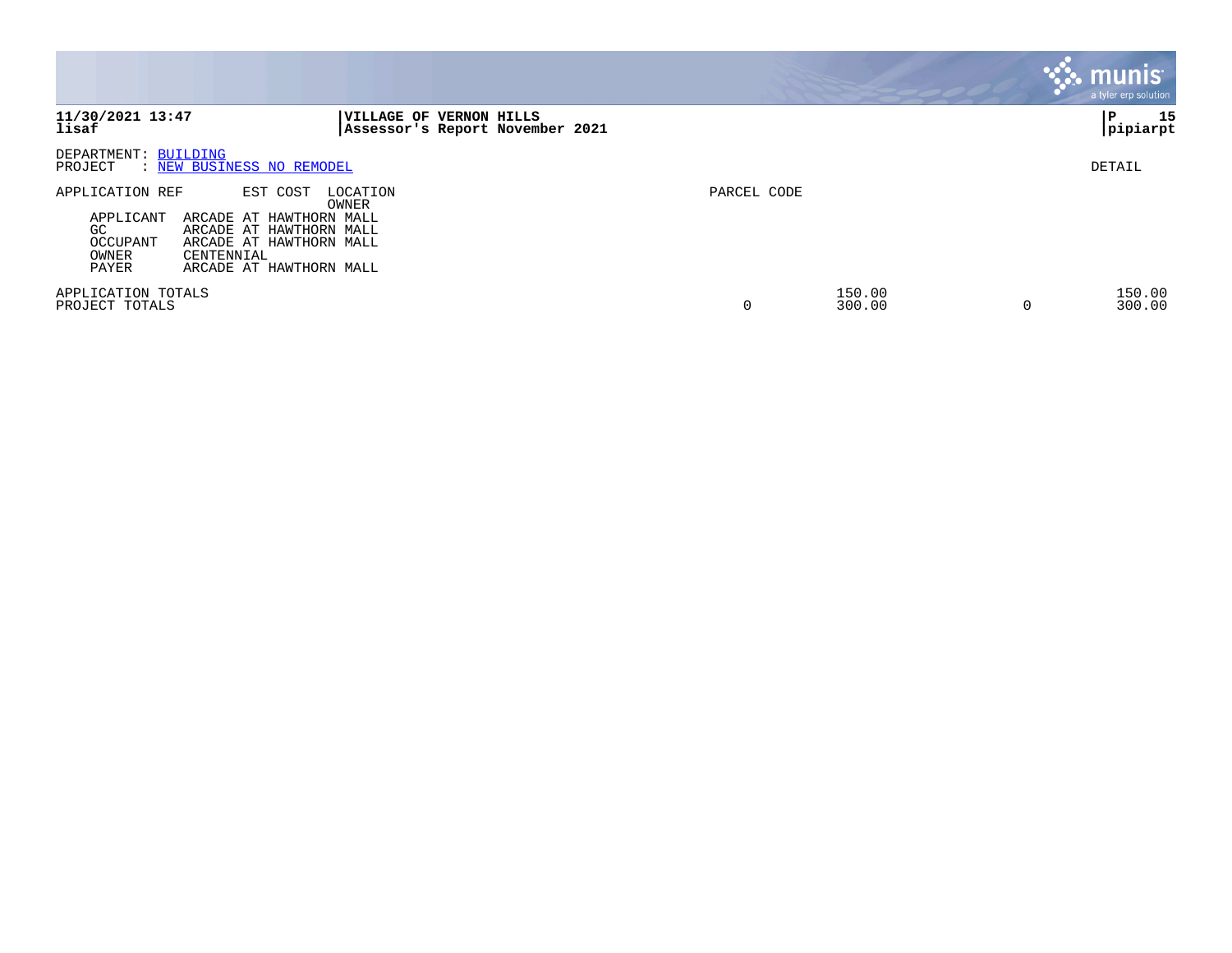|                                                                                                                                                                                                        |                                                                             |             |                  | <b>munis</b><br>a tyler erp solution |
|--------------------------------------------------------------------------------------------------------------------------------------------------------------------------------------------------------|-----------------------------------------------------------------------------|-------------|------------------|--------------------------------------|
| 11/30/2021 13:47<br>lisaf                                                                                                                                                                              | <b>VERNON HILLS</b><br><b>VILLAGE OF</b><br>Assessor's Report November 2021 |             |                  | 15<br>P<br> pipiarpt                 |
| DEPARTMENT: BUILDING<br>: NEW BUSINESS NO REMODEL<br>PROJECT                                                                                                                                           |                                                                             |             |                  | DETAIL                               |
| APPLICATION REF<br>EST COST<br>ARCADE AT HAWTHORN MALL<br>APPLICANT<br>GC<br>ARCADE AT HAWTHORN MALL<br>OCCUPANT<br>ARCADE AT HAWTHORN MALL<br>OWNER<br>CENTENNIAL<br>PAYER<br>ARCADE AT HAWTHORN MALL | LOCATION<br>OWNER                                                           | PARCEL CODE |                  |                                      |
| APPLICATION TOTALS<br>PROJECT TOTALS                                                                                                                                                                   |                                                                             | $\Omega$    | 150.00<br>300.00 | 150.00<br>300.00                     |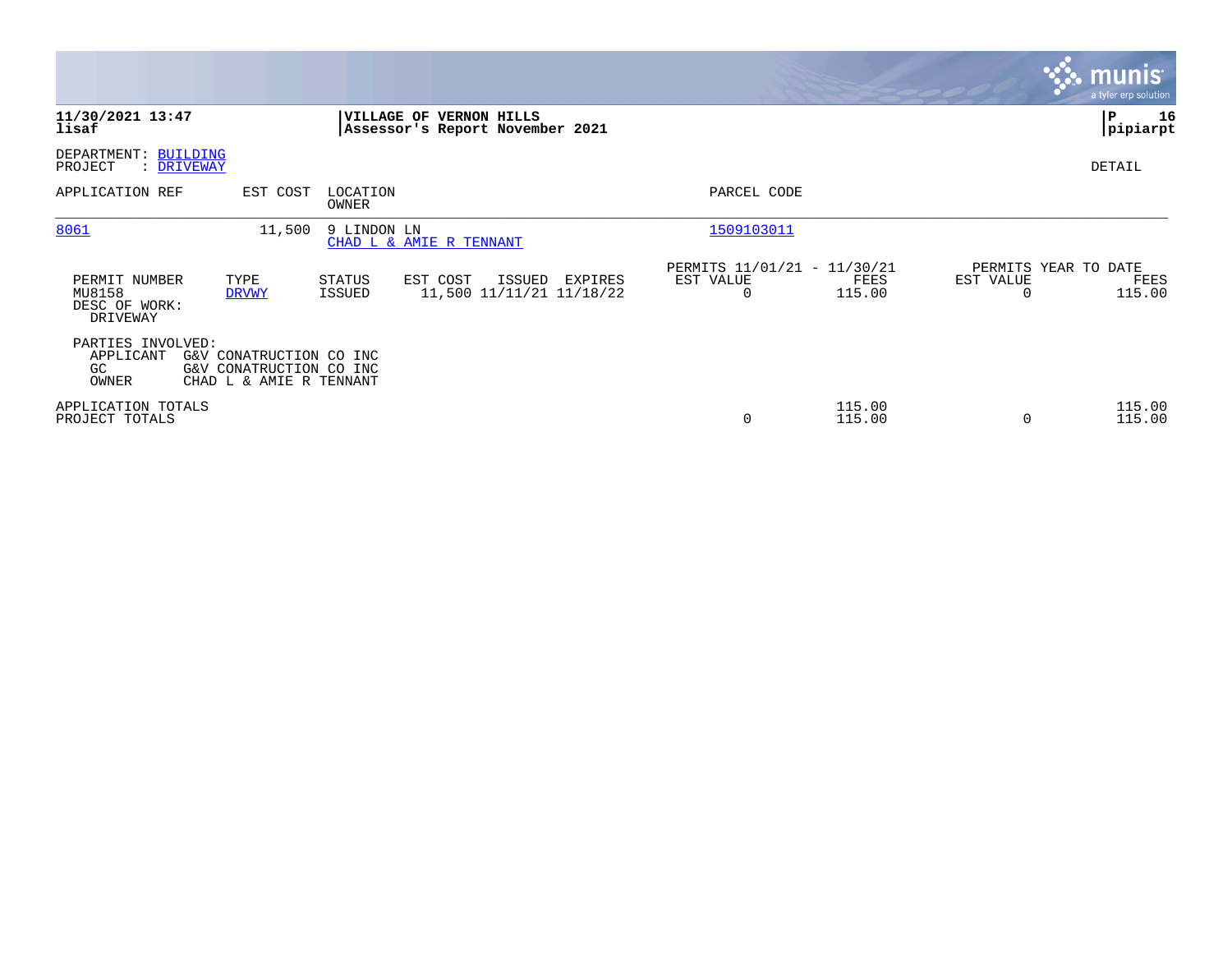|                                                      |                                                                               |                         |                                                            |         |                                               |                  |                | <b>munis</b><br>a tyler erp solution   |
|------------------------------------------------------|-------------------------------------------------------------------------------|-------------------------|------------------------------------------------------------|---------|-----------------------------------------------|------------------|----------------|----------------------------------------|
| 11/30/2021 13:47<br>lisaf                            |                                                                               |                         | VILLAGE OF VERNON HILLS<br>Assessor's Report November 2021 |         |                                               |                  |                | P<br>16<br> pipiarpt                   |
| DEPARTMENT: BUILDING<br>PROJECT<br>: DRIVEWAY        |                                                                               |                         |                                                            |         |                                               |                  |                | DETAIL                                 |
| APPLICATION REF                                      | EST COST                                                                      | LOCATION<br>OWNER       |                                                            |         | PARCEL CODE                                   |                  |                |                                        |
| 8061                                                 | 11,500                                                                        | 9 LINDON LN             | CHAD L & AMIE R TENNANT                                    |         | 1509103011                                    |                  |                |                                        |
| PERMIT NUMBER<br>MU8158<br>DESC OF WORK:<br>DRIVEWAY | TYPE<br><b>DRVWY</b>                                                          | STATUS<br><b>ISSUED</b> | EST COST<br>ISSUED<br>11,500 11/11/21 11/18/22             | EXPIRES | PERMITS 11/01/21 - 11/30/21<br>EST VALUE<br>0 | FEES<br>115.00   | EST VALUE<br>0 | PERMITS YEAR TO DATE<br>FEES<br>115.00 |
| PARTIES INVOLVED:<br>APPLICANT<br>GC.<br>OWNER       | G&V CONATRUCTION CO INC<br>G&V CONATRUCTION CO INC<br>CHAD L & AMIE R TENNANT |                         |                                                            |         |                                               |                  |                |                                        |
| APPLICATION TOTALS<br>PROJECT TOTALS                 |                                                                               |                         |                                                            |         | $\mathbf 0$                                   | 115.00<br>115.00 | 0              | 115.00<br>115.00                       |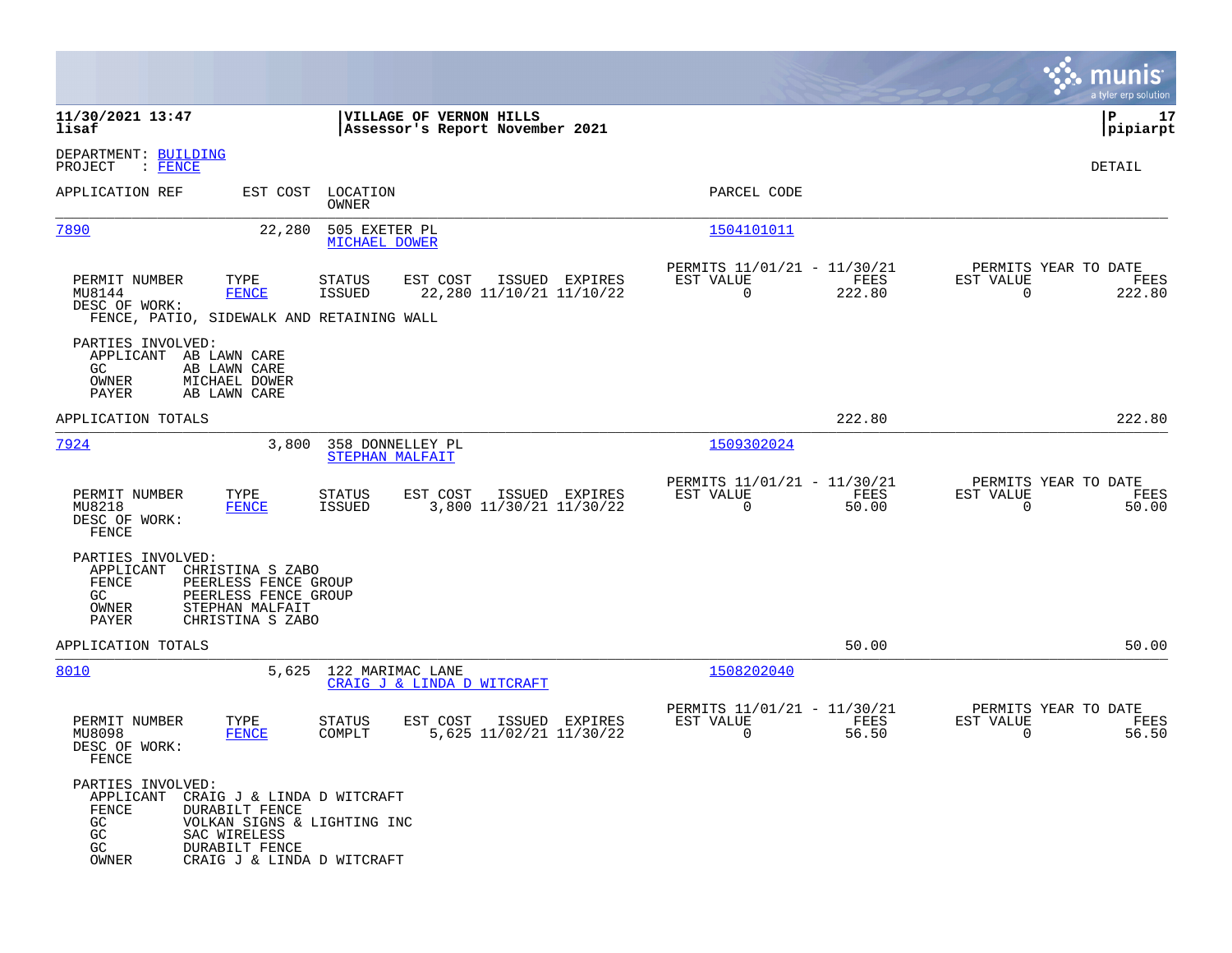|                                                                                                                                                                             |                                                                                         |                                                                              | munis<br>a tyler erp solution                                      |
|-----------------------------------------------------------------------------------------------------------------------------------------------------------------------------|-----------------------------------------------------------------------------------------|------------------------------------------------------------------------------|--------------------------------------------------------------------|
| 11/30/2021 13:47<br>lisaf                                                                                                                                                   | VILLAGE OF VERNON HILLS<br>Assessor's Report November 2021                              |                                                                              | 17<br>l P<br> pipiarpt                                             |
| DEPARTMENT: BUILDING<br>PROJECT<br>: FENCE                                                                                                                                  |                                                                                         |                                                                              | DETAIL                                                             |
| APPLICATION REF                                                                                                                                                             | EST COST LOCATION<br>OWNER                                                              | PARCEL CODE                                                                  |                                                                    |
| 7890                                                                                                                                                                        | 505 EXETER PL<br>22,280<br>MICHAEL DOWER                                                | <u>1504101011</u>                                                            |                                                                    |
| PERMIT NUMBER<br>TYPE<br>MU8144<br><b>FENCE</b><br>DESC OF WORK:<br>FENCE, PATIO, SIDEWALK AND RETAINING WALL                                                               | <b>STATUS</b><br>EST COST<br>ISSUED EXPIRES<br>ISSUED<br>22,280 11/10/21 11/10/22       | PERMITS 11/01/21 - 11/30/21<br>FEES<br>EST VALUE<br>$\overline{0}$<br>222.80 | PERMITS YEAR TO DATE<br>EST VALUE<br>FEES<br>$\mathbf 0$<br>222.80 |
| PARTIES INVOLVED:<br>APPLICANT AB LAWN CARE<br>GC.<br>AB LAWN CARE<br>OWNER<br>MICHAEL DOWER<br>AB LAWN CARE<br>PAYER                                                       |                                                                                         |                                                                              |                                                                    |
| APPLICATION TOTALS                                                                                                                                                          |                                                                                         | 222.80                                                                       | 222.80                                                             |
| 7924                                                                                                                                                                        | 3,800<br>358 DONNELLEY PL<br>STEPHAN MALFAIT                                            | 1509302024                                                                   |                                                                    |
| PERMIT NUMBER<br>TYPE<br>MU8218<br><b>FENCE</b><br>DESC OF WORK:<br>FENCE                                                                                                   | <b>STATUS</b><br>EST COST<br>ISSUED EXPIRES<br><b>ISSUED</b><br>3,800 11/30/21 11/30/22 | PERMITS 11/01/21 - 11/30/21<br>EST VALUE<br>FEES<br>$\mathbf 0$<br>50.00     | PERMITS YEAR TO DATE<br>EST VALUE<br>FEES<br>$\mathbf 0$<br>50.00  |
| PARTIES INVOLVED:<br>APPLICANT<br>CHRISTINA S ZABO<br>FENCE<br>PEERLESS FENCE GROUP<br>PEERLESS FENCE GROUP<br>GC.<br>STEPHAN MALFAIT<br>OWNER<br>PAYER<br>CHRISTINA S ZABO |                                                                                         |                                                                              |                                                                    |
| APPLICATION TOTALS                                                                                                                                                          |                                                                                         | 50.00                                                                        | 50.00                                                              |
| 8010                                                                                                                                                                        | 5,625<br>122 MARIMAC LANE<br>CRAIG J & LINDA D WITCRAFT                                 | 1508202040                                                                   |                                                                    |
| PERMIT NUMBER<br>TYPE<br>MU8098<br><b>FENCE</b><br>DESC OF WORK:<br>FENCE                                                                                                   | EST COST<br>ISSUED<br>EXPIRES<br><b>STATUS</b><br>5,625 11/02/21 11/30/22<br>COMPLT     | PERMITS 11/01/21 - 11/30/21<br>EST VALUE<br>FEES<br>$\mathbf 0$<br>56.50     | PERMITS YEAR TO DATE<br>EST VALUE<br>FEES<br>$\mathbf 0$<br>56.50  |
| PARTIES INVOLVED:<br>APPLICANT<br>FENCE<br>DURABILT FENCE<br>GC<br>GC.<br>SAC WIRELESS<br>GC<br>DURABILT FENCE<br>OWNER                                                     | CRAIG J & LINDA D WITCRAFT<br>VOLKAN SIGNS & LIGHTING INC<br>CRAIG J & LINDA D WITCRAFT |                                                                              |                                                                    |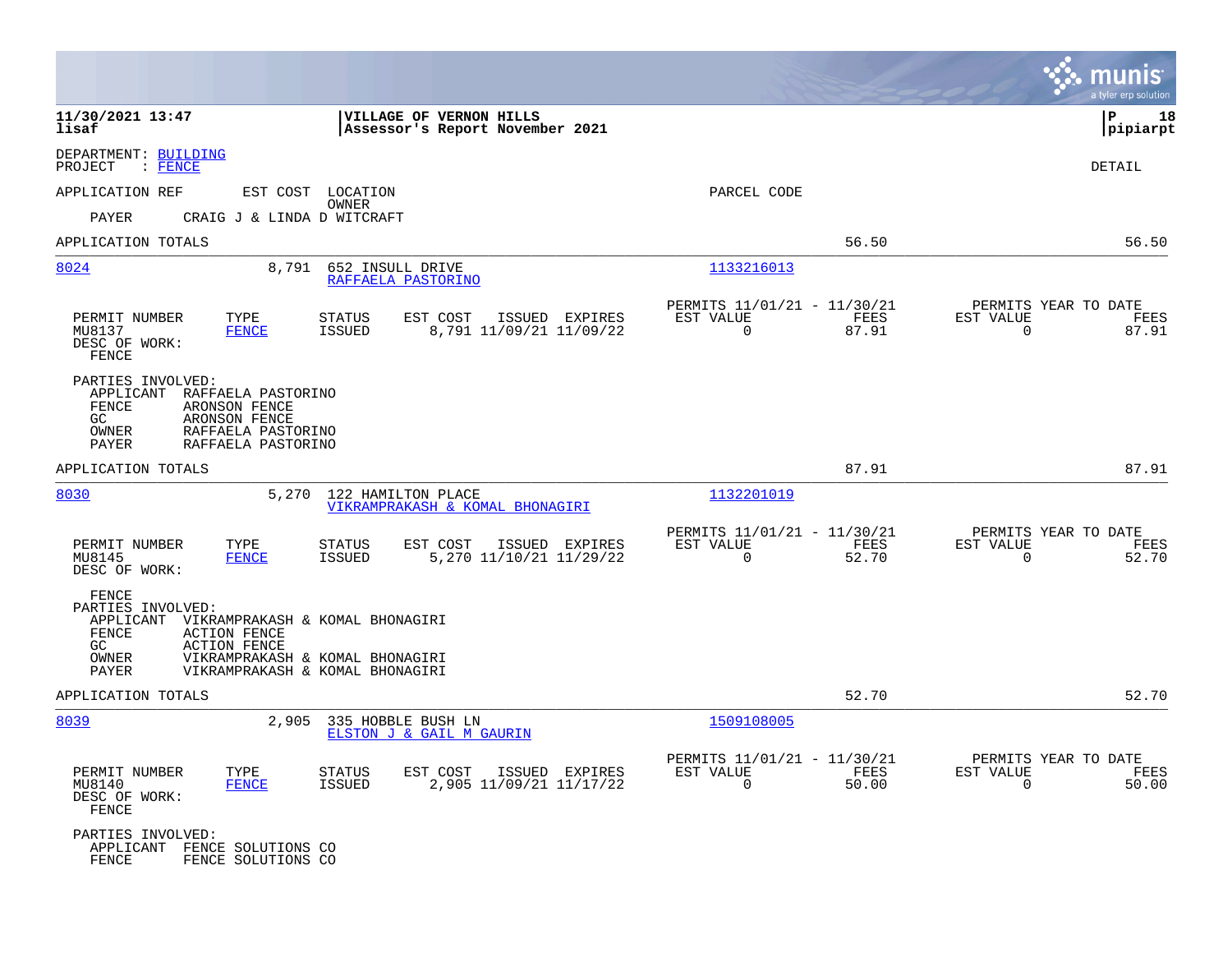|                                                                                                                                                                                                                                      |                                                                          | munis<br>a tyler erp solution                                        |
|--------------------------------------------------------------------------------------------------------------------------------------------------------------------------------------------------------------------------------------|--------------------------------------------------------------------------|----------------------------------------------------------------------|
| 11/30/2021 13:47<br>VILLAGE OF VERNON HILLS<br>lisaf<br>Assessor's Report November 2021                                                                                                                                              |                                                                          | lР<br>18<br> pipiarpt                                                |
| DEPARTMENT: BUILDING<br>PROJECT<br>$:$ FENCE                                                                                                                                                                                         |                                                                          | <b>DETAIL</b>                                                        |
| APPLICATION REF<br>EST COST LOCATION                                                                                                                                                                                                 | PARCEL CODE                                                              |                                                                      |
| <b>OWNER</b><br>PAYER<br>CRAIG J & LINDA D WITCRAFT                                                                                                                                                                                  |                                                                          |                                                                      |
| APPLICATION TOTALS                                                                                                                                                                                                                   | 56.50                                                                    | 56.50                                                                |
| 8024<br>8,791<br>652 INSULL DRIVE<br>RAFFAELA PASTORINO                                                                                                                                                                              | 1133216013                                                               |                                                                      |
| TYPE<br>PERMIT NUMBER<br>STATUS<br>EST COST<br>ISSUED EXPIRES<br><b>FENCE</b><br>ISSUED<br>8,791 11/09/21 11/09/22<br>MU8137<br>DESC OF WORK:<br>FENCE                                                                               | PERMITS 11/01/21 - 11/30/21<br>EST VALUE<br>FEES<br>$\mathbf 0$<br>87.91 | PERMITS YEAR TO DATE<br>EST VALUE<br>FEES<br>$\mathbf 0$<br>87.91    |
| PARTIES INVOLVED:<br>RAFFAELA PASTORINO<br>APPLICANT<br>FENCE<br>ARONSON FENCE<br>GC.<br>ARONSON FENCE<br>RAFFAELA PASTORINO<br>OWNER<br>PAYER<br>RAFFAELA PASTORINO                                                                 |                                                                          |                                                                      |
| APPLICATION TOTALS                                                                                                                                                                                                                   | 87.91                                                                    | 87.91                                                                |
| 8030<br>5,270<br>122 HAMILTON PLACE<br>VIKRAMPRAKASH & KOMAL BHONAGIRI                                                                                                                                                               | 1132201019                                                               |                                                                      |
| PERMIT NUMBER<br>TYPE<br>EST COST<br>ISSUED EXPIRES<br>STATUS<br>MU8145<br><b>FENCE</b><br>ISSUED<br>5, 270 11/10/21 11/29/22<br>DESC OF WORK:                                                                                       | PERMITS 11/01/21 - 11/30/21<br>EST VALUE<br>FEES<br>$\Omega$<br>52.70    | PERMITS YEAR TO DATE<br>EST VALUE<br>FEES<br>$\mathbf 0$<br>52.70    |
| FENCE<br>PARTIES INVOLVED:<br>APPLICANT VIKRAMPRAKASH & KOMAL BHONAGIRI<br>FENCE<br><b>ACTION FENCE</b><br><b>ACTION FENCE</b><br>GC.<br>VIKRAMPRAKASH & KOMAL BHONAGIRI<br>OWNER<br><b>PAYER</b><br>VIKRAMPRAKASH & KOMAL BHONAGIRI |                                                                          |                                                                      |
| APPLICATION TOTALS                                                                                                                                                                                                                   | 52.70                                                                    | 52.70                                                                |
| 8039<br>2,905<br>335 HOBBLE BUSH LN<br>ELSTON J & GAIL M GAURIN                                                                                                                                                                      | 1509108005                                                               |                                                                      |
| PERMIT NUMBER<br>TYPE<br><b>STATUS</b><br>EST COST<br>ISSUED EXPIRES<br>MU8140<br><b>FENCE</b><br>ISSUED<br>2,905 11/09/21 11/17/22<br>DESC OF WORK:<br>FENCE                                                                        | PERMITS 11/01/21 - 11/30/21<br>EST VALUE<br>FEES<br>0<br>50.00           | PERMITS YEAR TO DATE<br>EST VALUE<br>FEES<br>$\overline{0}$<br>50.00 |
| PARTIES INVOLVED:<br>APPLICANT FENCE SOLUTIONS CO<br><b>FENCE</b><br>FENCE SOLUTIONS CO                                                                                                                                              |                                                                          |                                                                      |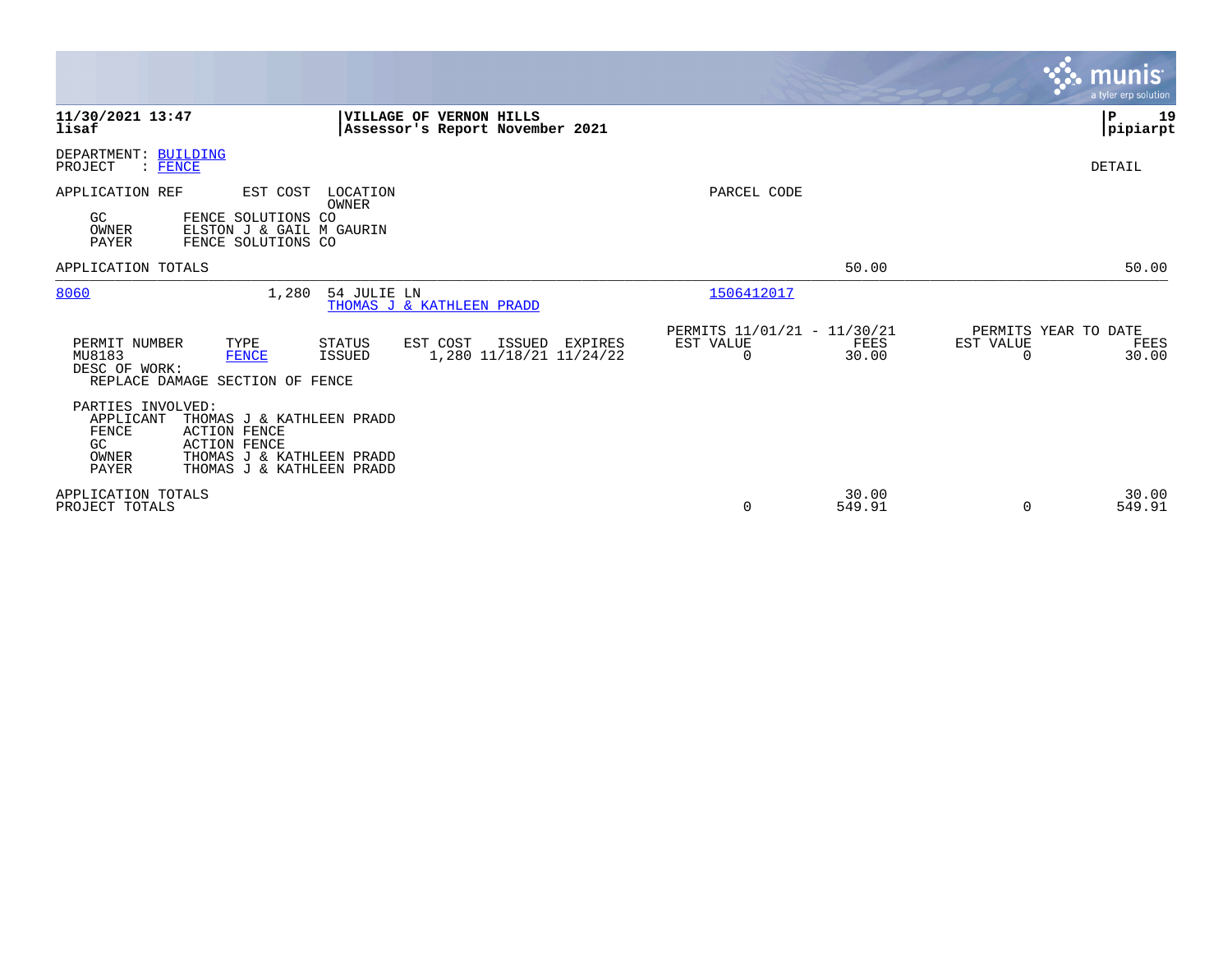|                                                                                                                                                                                                      |                                                                                     |                                               |                 | <b>munis</b><br>a tyler erp solution            |      |
|------------------------------------------------------------------------------------------------------------------------------------------------------------------------------------------------------|-------------------------------------------------------------------------------------|-----------------------------------------------|-----------------|-------------------------------------------------|------|
| 11/30/2021 13:47<br>lisaf                                                                                                                                                                            | VILLAGE OF VERNON HILLS<br>Assessor's Report November 2021                          |                                               |                 | l P<br> pipiarpt                                | 19   |
| DEPARTMENT: BUILDING<br>: FENCE<br>PROJECT                                                                                                                                                           |                                                                                     |                                               |                 | DETAIL                                          |      |
| APPLICATION REF<br>EST COST<br>GC<br>FENCE SOLUTIONS CO<br>ELSTON J & GAIL M GAURIN<br>OWNER<br>PAYER<br>FENCE SOLUTIONS CO                                                                          | LOCATION<br>OWNER                                                                   | PARCEL CODE                                   |                 |                                                 |      |
| APPLICATION TOTALS                                                                                                                                                                                   |                                                                                     |                                               | 50.00           | 50.00                                           |      |
| 8060<br>1,280                                                                                                                                                                                        | 54 JULIE LN<br>THOMAS J & KATHLEEN PRADD                                            | 1506412017                                    |                 |                                                 |      |
| PERMIT NUMBER<br>TYPE<br>MU8183<br><b>FENCE</b><br>DESC OF WORK:<br>REPLACE DAMAGE SECTION OF FENCE                                                                                                  | EST COST<br>STATUS<br>ISSUED<br>EXPIRES<br><b>ISSUED</b><br>1,280 11/18/21 11/24/22 | PERMITS 11/01/21 - 11/30/21<br>EST VALUE<br>0 | FEES<br>30.00   | PERMITS YEAR TO DATE<br>EST VALUE<br>0<br>30.00 | FEES |
| PARTIES INVOLVED:<br>APPLICANT<br>THOMAS J & KATHLEEN PRADD<br><b>ACTION FENCE</b><br>FENCE<br>GC<br><b>ACTION FENCE</b><br>THOMAS J & KATHLEEN PRADD<br>OWNER<br>PAYER<br>THOMAS J & KATHLEEN PRADD |                                                                                     |                                               |                 |                                                 |      |
| APPLICATION TOTALS<br>PROJECT TOTALS                                                                                                                                                                 |                                                                                     | 0                                             | 30.00<br>549.91 | 30.00<br>$\Omega$<br>549.91                     |      |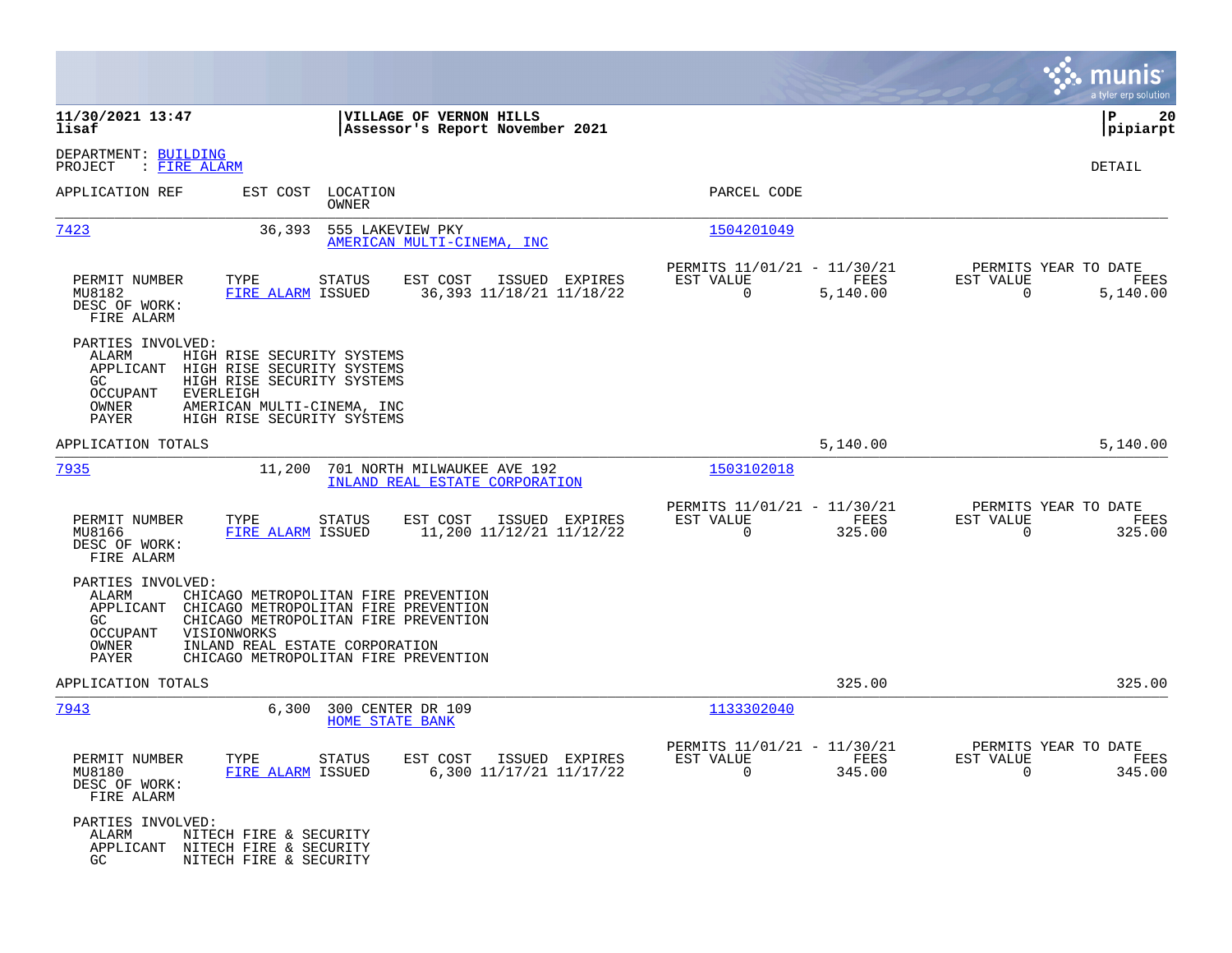|                                                                                                                                                                                                                                                                                                      |                                                                        | munis<br>a tyler erp solution                                        |
|------------------------------------------------------------------------------------------------------------------------------------------------------------------------------------------------------------------------------------------------------------------------------------------------------|------------------------------------------------------------------------|----------------------------------------------------------------------|
| 11/30/2021 13:47<br>VILLAGE OF VERNON HILLS<br>lisaf<br>Assessor's Report November 2021                                                                                                                                                                                                              |                                                                        | P<br>20<br> pipiarpt                                                 |
| DEPARTMENT: BUILDING<br>: <u>FIRE ALARM</u><br>PROJECT                                                                                                                                                                                                                                               |                                                                        | <b>DETAIL</b>                                                        |
| APPLICATION REF<br>EST COST<br>LOCATION<br>OWNER                                                                                                                                                                                                                                                     | PARCEL CODE                                                            |                                                                      |
| <u>7423</u><br>36,393<br>555 LAKEVIEW PKY<br>AMERICAN MULTI-CINEMA, INC                                                                                                                                                                                                                              | 1504201049                                                             |                                                                      |
| PERMIT NUMBER<br>TYPE<br><b>STATUS</b><br>EST COST<br>ISSUED EXPIRES<br>MU8182<br>FIRE ALARM ISSUED<br>36, 393 11/18/21 11/18/22<br>DESC OF WORK:<br>FIRE ALARM                                                                                                                                      | PERMITS 11/01/21 - 11/30/21<br>EST VALUE<br>FEES<br>0<br>5,140.00      | PERMITS YEAR TO DATE<br>EST VALUE<br>FEES<br>$\mathbf 0$<br>5,140.00 |
| PARTIES INVOLVED:<br>ALARM<br>HIGH RISE SECURITY SYSTEMS<br>APPLICANT<br>HIGH RISE SECURITY SYSTEMS<br>GC.<br>HIGH RISE SECURITY SYSTEMS<br>OCCUPANT<br><b>EVERLEIGH</b><br>OWNER<br>AMERICAN MULTI-CINEMA, INC<br>PAYER<br>HIGH RISE SECURITY SYSTEMS                                               |                                                                        |                                                                      |
| APPLICATION TOTALS                                                                                                                                                                                                                                                                                   | 5,140.00                                                               | 5,140.00                                                             |
| 7935<br>11,200<br>701 NORTH MILWAUKEE AVE 192<br>INLAND REAL ESTATE CORPORATION                                                                                                                                                                                                                      | 1503102018                                                             |                                                                      |
| PERMIT NUMBER<br>TYPE<br><b>STATUS</b><br>EST COST<br>ISSUED EXPIRES<br>FIRE ALARM ISSUED<br>11,200 11/12/21 11/12/22<br>MU8166<br>DESC OF WORK:<br>FIRE ALARM                                                                                                                                       | PERMITS 11/01/21 - 11/30/21<br>EST VALUE<br>FEES<br>$\Omega$<br>325.00 | PERMITS YEAR TO DATE<br>EST VALUE<br>FEES<br>$\Omega$<br>325.00      |
| PARTIES INVOLVED:<br>CHICAGO METROPOLITAN FIRE PREVENTION<br>ALARM<br>APPLICANT<br>CHICAGO METROPOLITAN FIRE PREVENTION<br>GC.<br>CHICAGO METROPOLITAN FIRE PREVENTION<br><b>OCCUPANT</b><br>VISIONWORKS<br>OWNER<br>INLAND REAL ESTATE CORPORATION<br>PAYER<br>CHICAGO METROPOLITAN FIRE PREVENTION |                                                                        |                                                                      |
| APPLICATION TOTALS                                                                                                                                                                                                                                                                                   | 325.00                                                                 | 325.00                                                               |
| 7943<br>6,300<br>300 CENTER DR 109<br><b>HOME STATE BANK</b>                                                                                                                                                                                                                                         | 1133302040                                                             |                                                                      |
| PERMIT NUMBER<br>TYPE<br><b>STATUS</b><br>EST COST<br>ISSUED EXPIRES<br>6,300 11/17/21 11/17/22<br>MU8180<br>FIRE ALARM ISSUED<br>DESC OF WORK:<br>FIRE ALARM                                                                                                                                        | PERMITS 11/01/21 - 11/30/21<br>EST VALUE<br>FEES<br>$\Omega$<br>345.00 | PERMITS YEAR TO DATE<br>EST VALUE<br>FEES<br>$\Omega$<br>345.00      |
| PARTIES INVOLVED:<br>ALARM<br>NITECH FIRE & SECURITY<br>APPLICANT<br>NITECH FIRE & SECURITY<br>GC<br>NITECH FIRE & SECURITY                                                                                                                                                                          |                                                                        |                                                                      |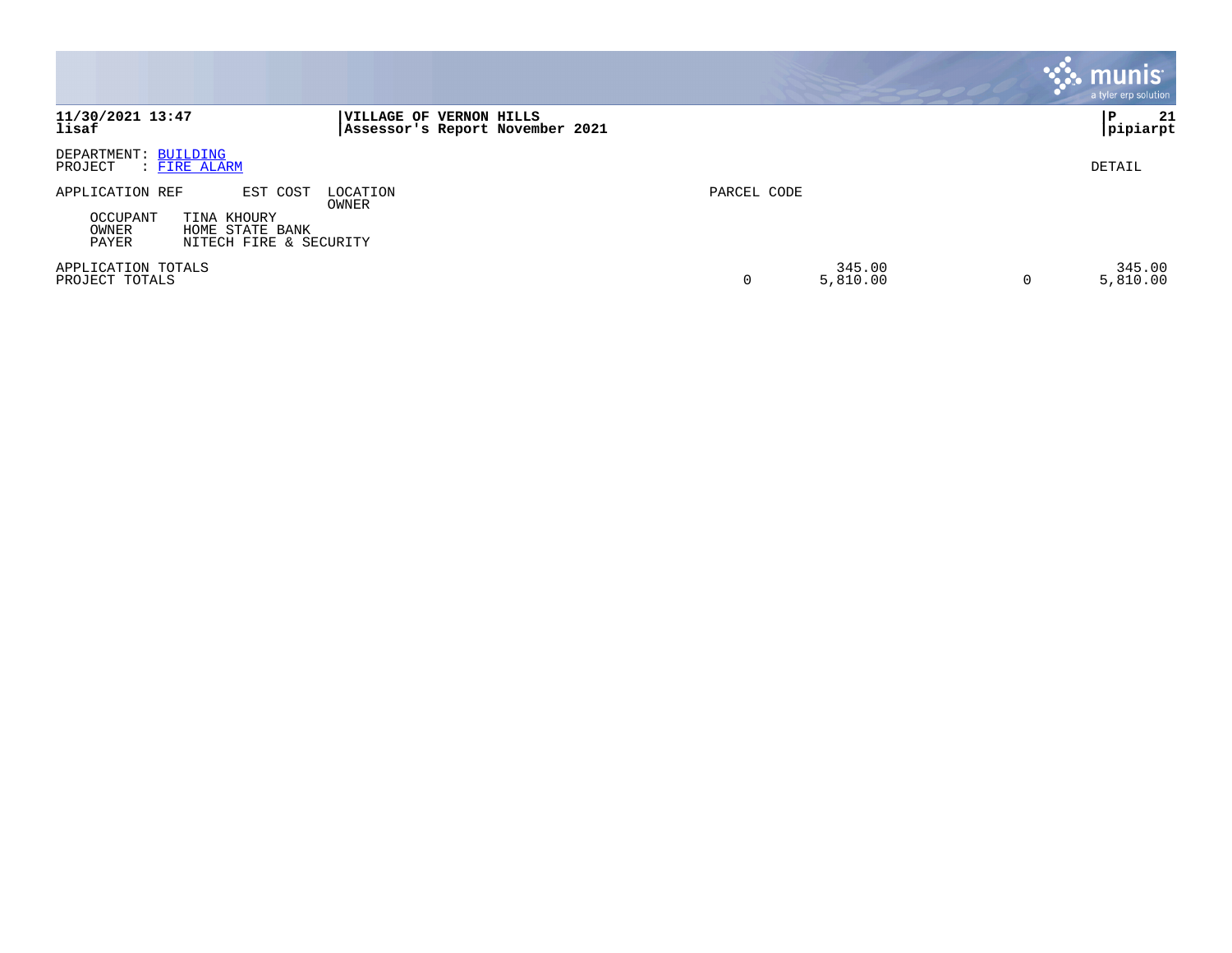|                                                                                                                              |                                                            |             |                    | <b>munis</b><br>a tyler erp solution |
|------------------------------------------------------------------------------------------------------------------------------|------------------------------------------------------------|-------------|--------------------|--------------------------------------|
| 11/30/2021 13:47<br>lisaf                                                                                                    | VILLAGE OF VERNON HILLS<br>Assessor's Report November 2021 |             |                    | 21<br>P<br> pipiarpt                 |
| DEPARTMENT: BUILDING<br>PROJECT<br>: FIRE ALARM                                                                              |                                                            |             |                    | DETAIL                               |
| APPLICATION REF<br>EST COST<br><b>OCCUPANT</b><br>TINA KHOURY<br>OWNER<br>HOME STATE BANK<br>PAYER<br>NITECH FIRE & SECURITY | LOCATION<br>OWNER                                          | PARCEL CODE |                    |                                      |
| APPLICATION TOTALS<br>PROJECT TOTALS                                                                                         |                                                            | 0           | 345.00<br>5,810.00 | 345.00<br>5,810.00<br>0              |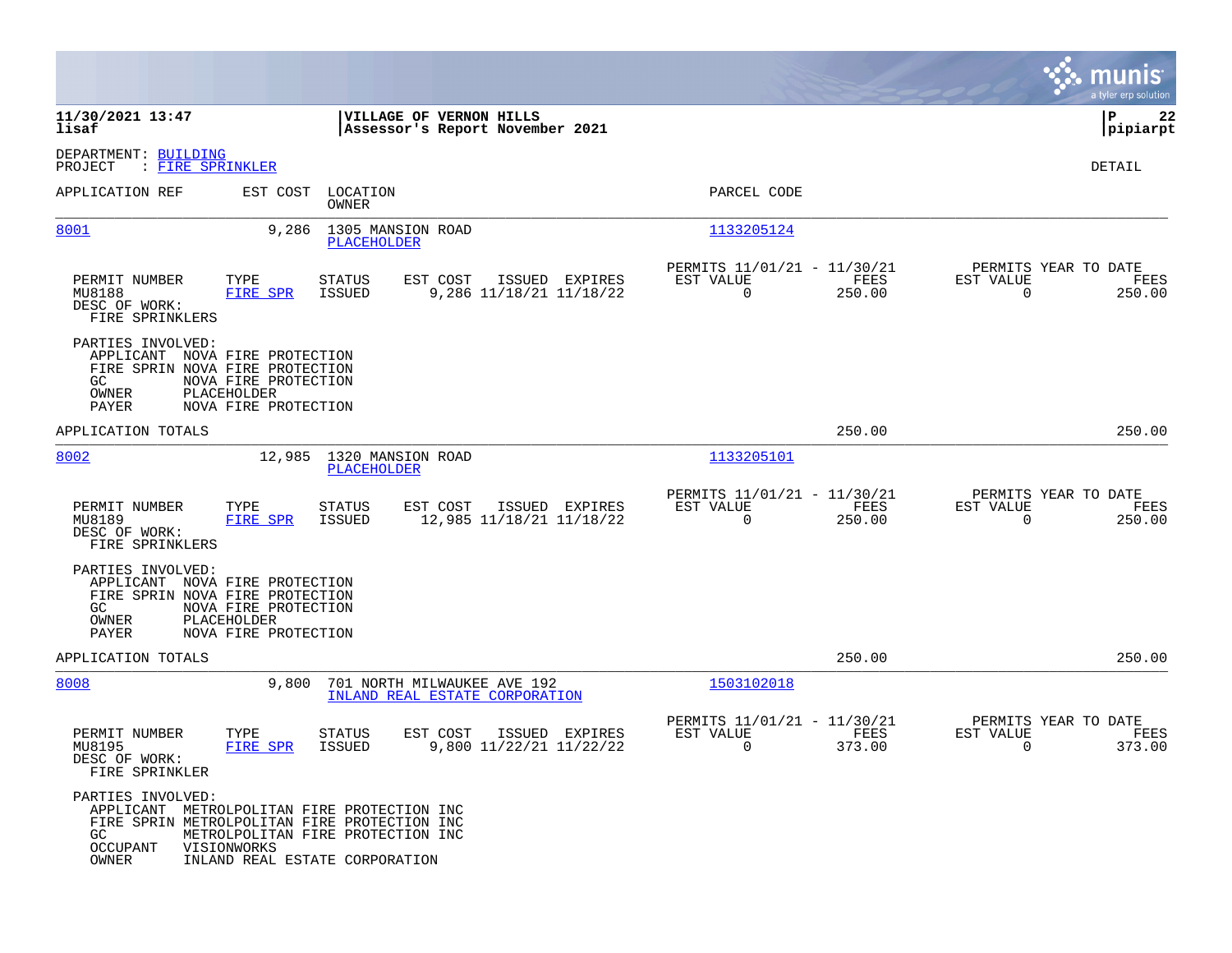|                                                             |                                                                                                                                                                                   |                                                               |                                                         |                | munis<br>a tyler erp solution                                   |
|-------------------------------------------------------------|-----------------------------------------------------------------------------------------------------------------------------------------------------------------------------------|---------------------------------------------------------------|---------------------------------------------------------|----------------|-----------------------------------------------------------------|
| 11/30/2021 13:47<br>lisaf                                   |                                                                                                                                                                                   | VILLAGE OF VERNON HILLS<br>Assessor's Report November 2021    |                                                         |                | P<br>22<br> pipiarpt                                            |
| DEPARTMENT: BUILDING<br>PROJECT<br>: FIRE SPRINKLER         |                                                                                                                                                                                   |                                                               |                                                         |                | DETAIL                                                          |
| APPLICATION REF                                             | EST COST<br>LOCATION<br>OWNER                                                                                                                                                     |                                                               | PARCEL CODE                                             |                |                                                                 |
| 8001                                                        | 9,286<br>1305 MANSION ROAD<br>PLACEHOLDER                                                                                                                                         |                                                               | 1133205124                                              |                |                                                                 |
| PERMIT NUMBER<br>MU8188<br>DESC OF WORK:<br>FIRE SPRINKLERS | TYPE<br><b>STATUS</b><br>FIRE SPR<br>ISSUED                                                                                                                                       | EST COST<br>ISSUED EXPIRES<br>9,286 11/18/21 11/18/22         | PERMITS 11/01/21 - 11/30/21<br>EST VALUE<br>$\mathbf 0$ | FEES<br>250.00 | PERMITS YEAR TO DATE<br>EST VALUE<br>FEES<br>$\Omega$<br>250.00 |
| PARTIES INVOLVED:<br>GC.<br>OWNER<br>PAYER                  | APPLICANT NOVA FIRE PROTECTION<br>FIRE SPRIN NOVA FIRE PROTECTION<br>NOVA FIRE PROTECTION<br>PLACEHOLDER<br>NOVA FIRE PROTECTION                                                  |                                                               |                                                         |                |                                                                 |
| APPLICATION TOTALS                                          |                                                                                                                                                                                   |                                                               |                                                         | 250.00         | 250.00                                                          |
| 8002                                                        | 12,985 1320 MANSION ROAD<br>PLACEHOLDER                                                                                                                                           |                                                               | 1133205101                                              |                |                                                                 |
| PERMIT NUMBER<br>MU8189<br>DESC OF WORK:<br>FIRE SPRINKLERS | TYPE<br><b>STATUS</b><br>FIRE SPR<br>ISSUED                                                                                                                                       | EST COST<br>ISSUED EXPIRES<br>12,985 11/18/21 11/18/22        | PERMITS 11/01/21 - 11/30/21<br>EST VALUE<br>$\mathbf 0$ | FEES<br>250.00 | PERMITS YEAR TO DATE<br>EST VALUE<br>FEES<br>$\Omega$<br>250.00 |
| PARTIES INVOLVED:<br>GC.<br>OWNER<br>PAYER                  | APPLICANT NOVA FIRE PROTECTION<br>FIRE SPRIN NOVA FIRE PROTECTION<br>NOVA FIRE PROTECTION<br>PLACEHOLDER<br>NOVA FIRE PROTECTION                                                  |                                                               |                                                         |                |                                                                 |
| APPLICATION TOTALS                                          |                                                                                                                                                                                   |                                                               |                                                         | 250.00         | 250.00                                                          |
| 8008                                                        | 9,800                                                                                                                                                                             | 701 NORTH MILWAUKEE AVE 192<br>INLAND REAL ESTATE CORPORATION | 1503102018                                              |                |                                                                 |
| PERMIT NUMBER<br>MU8195<br>DESC OF WORK:<br>FIRE SPRINKLER  | TYPE<br>STATUS<br>FIRE SPR<br>ISSUED                                                                                                                                              | EST COST<br>ISSUED EXPIRES<br>9,800 11/22/21 11/22/22         | PERMITS 11/01/21 - 11/30/21<br>EST VALUE<br>0           | FEES<br>373.00 | PERMITS YEAR TO DATE<br>EST VALUE<br>FEES<br>0<br>373.00        |
| PARTIES INVOLVED:<br>GC<br><b>OCCUPANT</b><br>OWNER         | APPLICANT METROLPOLITAN FIRE PROTECTION INC<br>FIRE SPRIN METROLPOLITAN FIRE PROTECTION INC<br>METROLPOLITAN FIRE PROTECTION INC<br>VISIONWORKS<br>INLAND REAL ESTATE CORPORATION |                                                               |                                                         |                |                                                                 |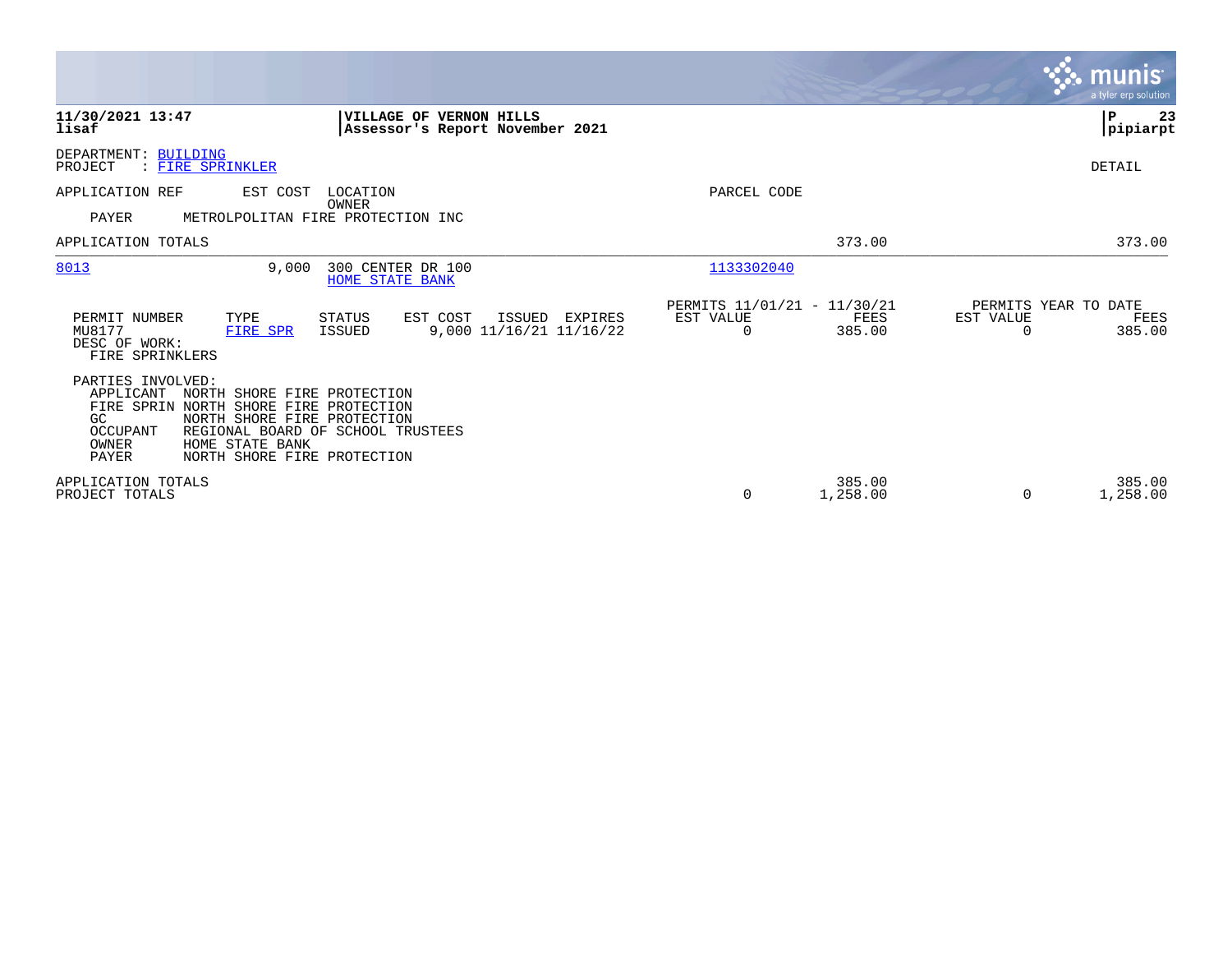|                                                                                                                                                                                                                                                                           |                                                                        | <b>munis</b><br>a tyler erp solution.                           |
|---------------------------------------------------------------------------------------------------------------------------------------------------------------------------------------------------------------------------------------------------------------------------|------------------------------------------------------------------------|-----------------------------------------------------------------|
| 11/30/2021 13:47<br><b>VILLAGE OF VERNON HILLS</b><br>lisaf<br>Assessor's Report November 2021                                                                                                                                                                            |                                                                        | l P<br>-23<br> pipiarpt                                         |
| DEPARTMENT: BUILDING<br>: FIRE SPRINKLER<br>PROJECT                                                                                                                                                                                                                       |                                                                        | DETAIL                                                          |
| APPLICATION REF<br>EST COST<br>LOCATION<br>OWNER                                                                                                                                                                                                                          | PARCEL CODE                                                            |                                                                 |
| PAYER<br>METROLPOLITAN FIRE PROTECTION INC                                                                                                                                                                                                                                |                                                                        |                                                                 |
| APPLICATION TOTALS                                                                                                                                                                                                                                                        | 373.00                                                                 | 373.00                                                          |
| 8013<br>300 CENTER DR 100<br>9.000<br><b>HOME STATE BANK</b>                                                                                                                                                                                                              | 1133302040                                                             |                                                                 |
| PERMIT NUMBER<br>TYPE<br>EST COST<br>STATUS<br>ISSUED<br>EXPIRES<br>MU8177<br>9,000 11/16/21 11/16/22<br>ISSUED<br>FIRE SPR<br>DESC OF WORK:<br>FIRE SPRINKLERS                                                                                                           | PERMITS 11/01/21 - 11/30/21<br>EST VALUE<br>FEES<br>385.00<br>$\Omega$ | PERMITS YEAR TO DATE<br>EST VALUE<br>FEES<br>385.00<br>$\Omega$ |
| PARTIES INVOLVED:<br>APPLICANT<br>NORTH SHORE FIRE PROTECTION<br>FIRE SPRIN NORTH SHORE FIRE PROTECTION<br>NORTH SHORE FIRE PROTECTION<br>GC.<br>OCCUPANT<br>REGIONAL BOARD OF SCHOOL TRUSTEES<br>HOME STATE BANK<br>OWNER<br><b>PAYER</b><br>NORTH SHORE FIRE PROTECTION |                                                                        |                                                                 |
| APPLICATION TOTALS<br>PROJECT TOTALS                                                                                                                                                                                                                                      | 385.00<br>0<br>1,258.00                                                | 385.00<br>1,258.00                                              |

 $\mathcal{L}^{\text{max}}$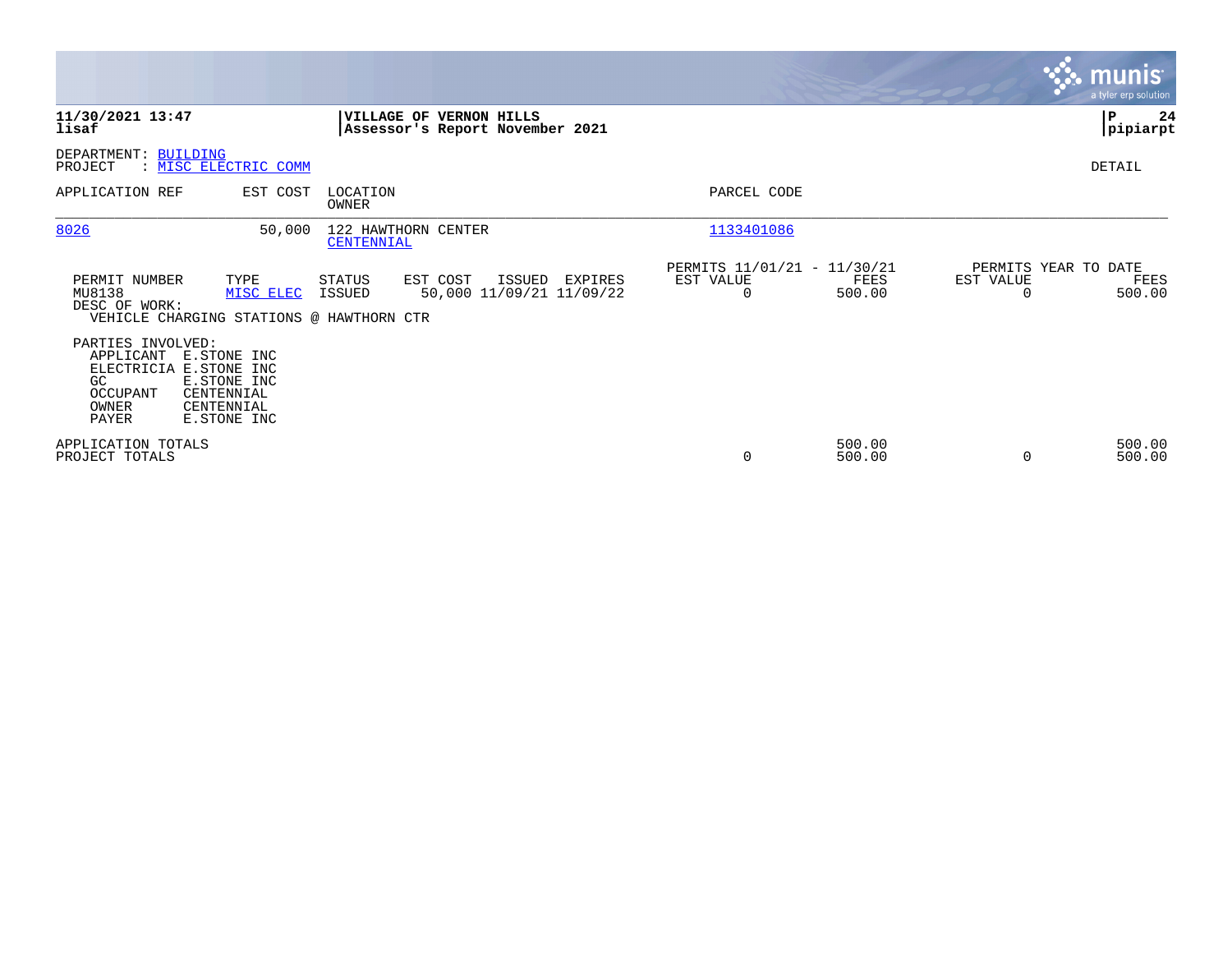|                                                                                                                                                                              |                                                                               |                                                                 | <b>munis</b><br>a tyler erp solution                |
|------------------------------------------------------------------------------------------------------------------------------------------------------------------------------|-------------------------------------------------------------------------------|-----------------------------------------------------------------|-----------------------------------------------------|
| 11/30/2021 13:47<br>lisaf                                                                                                                                                    | VILLAGE OF<br><b>VERNON HILLS</b><br>Assessor's Report November 2021          |                                                                 | ∣P<br>24<br> pipiarpt                               |
| DEPARTMENT: BUILDING<br>: MISC ELECTRIC COMM<br>PROJECT                                                                                                                      |                                                                               |                                                                 | DETAIL                                              |
| APPLICATION REF<br>EST COST                                                                                                                                                  | LOCATION<br>OWNER                                                             | PARCEL CODE                                                     |                                                     |
| 8026<br>50,000                                                                                                                                                               | 122 HAWTHORN CENTER<br>CENTENNIAL                                             | 1133401086                                                      |                                                     |
| PERMIT NUMBER<br>TYPE<br>MU8138<br>MISC ELEC<br>DESC OF WORK:<br>VEHICLE CHARGING STATIONS @ HAWTHORN CTR                                                                    | EST COST<br>STATUS<br>ISSUED<br>EXPIRES<br>50,000 11/09/21 11/09/22<br>ISSUED | PERMITS 11/01/21 - 11/30/21<br>EST VALUE<br>FEES<br>500.00<br>0 | PERMITS YEAR TO DATE<br>EST VALUE<br>FEES<br>500.00 |
| PARTIES INVOLVED:<br>APPLICANT<br>E.STONE INC<br>ELECTRICIA E.STONE INC<br>GC<br>E.STONE INC<br><b>OCCUPANT</b><br>CENTENNIAL<br>OWNER<br>CENTENNIAL<br>PAYER<br>E.STONE INC |                                                                               |                                                                 |                                                     |
| APPLICATION TOTALS<br>PROJECT TOTALS                                                                                                                                         |                                                                               | 500.00<br>0<br>500.00                                           | 500.00<br>500.00                                    |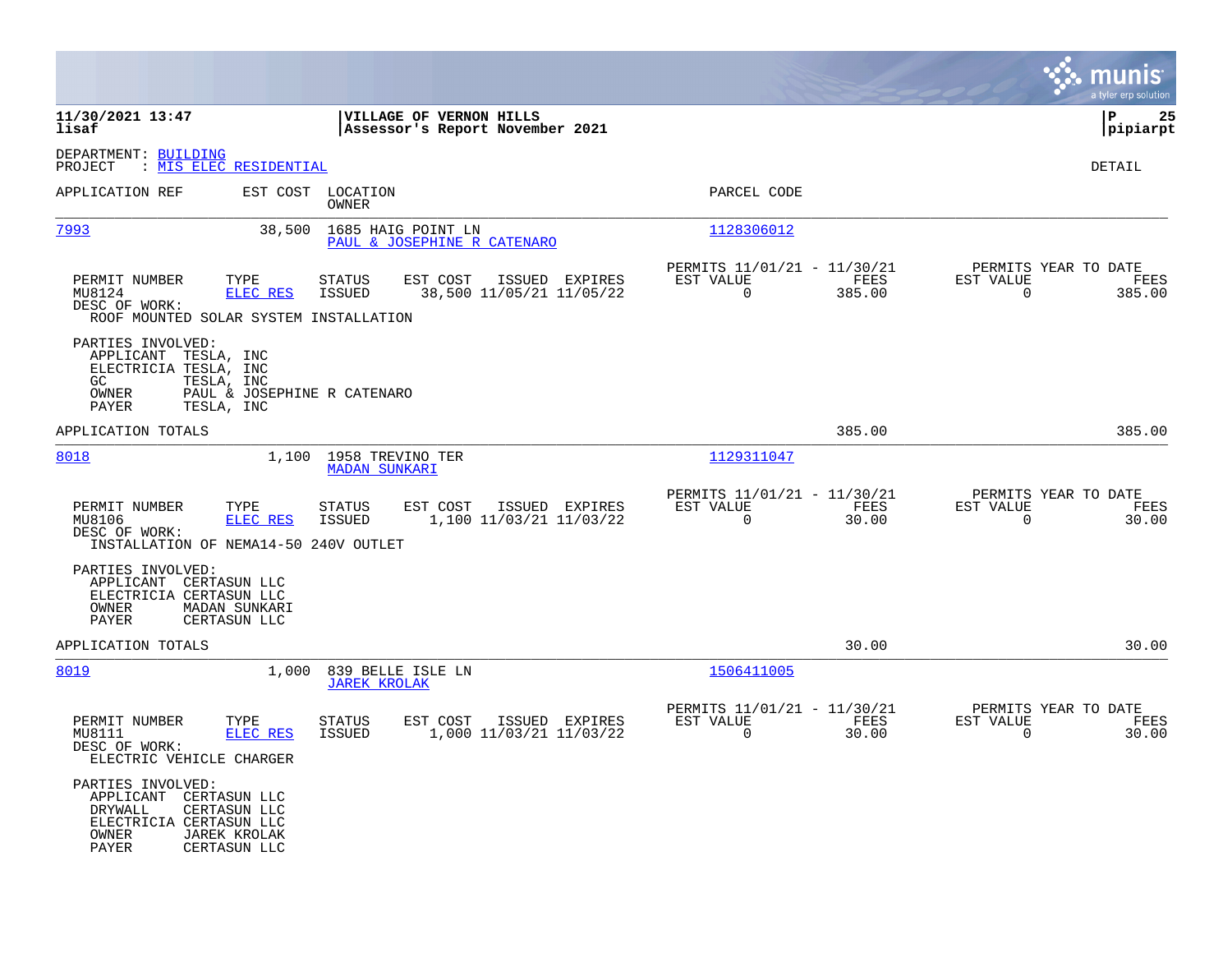|                                                                                                                                                            |                                                                                          |                                                                          | munis<br>a tyler erp solution                                     |
|------------------------------------------------------------------------------------------------------------------------------------------------------------|------------------------------------------------------------------------------------------|--------------------------------------------------------------------------|-------------------------------------------------------------------|
| 11/30/2021 13:47<br>lisaf                                                                                                                                  | VILLAGE OF VERNON HILLS<br>Assessor's Report November 2021                               |                                                                          | ΙP<br>25<br> pipiarpt                                             |
| DEPARTMENT: BUILDING<br>: MIS ELEC RESIDENTIAL<br>PROJECT                                                                                                  |                                                                                          |                                                                          | DETAIL                                                            |
| APPLICATION REF<br>EST COST                                                                                                                                | LOCATION<br>OWNER                                                                        | PARCEL CODE                                                              |                                                                   |
| 7993<br>38,500                                                                                                                                             | 1685 HAIG POINT LN<br>PAUL & JOSEPHINE R CATENARO                                        | 1128306012                                                               |                                                                   |
| TYPE<br>PERMIT NUMBER<br>MU8124<br><b>ELEC RES</b><br>DESC OF WORK:<br>ROOF MOUNTED SOLAR SYSTEM INSTALLATION                                              | EST COST<br><b>STATUS</b><br>ISSUED EXPIRES<br>38,500 11/05/21 11/05/22<br><b>ISSUED</b> | PERMITS 11/01/21 - 11/30/21<br>EST VALUE<br>FEES<br>$\Omega$<br>385.00   | PERMITS YEAR TO DATE<br>EST VALUE<br>FEES<br>$\Omega$<br>385.00   |
| PARTIES INVOLVED:<br>APPLICANT TESLA, INC<br>ELECTRICIA TESLA, INC<br>TESLA, INC<br>GC.<br>OWNER<br>PAYER<br>TESLA, INC                                    | PAUL & JOSEPHINE R CATENARO                                                              |                                                                          |                                                                   |
| APPLICATION TOTALS                                                                                                                                         |                                                                                          | 385.00                                                                   | 385.00                                                            |
| 8018<br>1,100                                                                                                                                              | 1958 TREVINO TER<br><b>MADAN SUNKARI</b>                                                 | 1129311047                                                               |                                                                   |
| PERMIT NUMBER<br>TYPE<br>MU8106<br>ELEC RES<br>DESC OF WORK:<br>INSTALLATION OF NEMA14-50 240V OUTLET                                                      | EST COST<br><b>STATUS</b><br>ISSUED EXPIRES<br>1,100 11/03/21 11/03/22<br>ISSUED         | PERMITS 11/01/21 - 11/30/21<br>EST VALUE<br>FEES<br>$\mathbf 0$<br>30.00 | PERMITS YEAR TO DATE<br>EST VALUE<br>FEES<br>$\mathbf 0$<br>30.00 |
| PARTIES INVOLVED:<br>APPLICANT CERTASUN LLC<br>ELECTRICIA CERTASUN LLC<br>OWNER<br>MADAN SUNKARI<br>PAYER<br>CERTASUN LLC                                  |                                                                                          |                                                                          |                                                                   |
| APPLICATION TOTALS                                                                                                                                         |                                                                                          | 30.00                                                                    | 30.00                                                             |
| 8019<br>1,000                                                                                                                                              | 839 BELLE ISLE LN<br><b>JAREK KROLAK</b>                                                 | 1506411005                                                               |                                                                   |
| PERMIT NUMBER<br>TYPE<br>ELEC RES<br>MU8111<br>DESC OF WORK:<br>ELECTRIC VEHICLE CHARGER                                                                   | <b>STATUS</b><br>EST COST<br>ISSUED EXPIRES<br>1,000 11/03/21 11/03/22<br>ISSUED         | PERMITS 11/01/21 - 11/30/21<br>EST VALUE<br>FEES<br>$\Omega$<br>30.00    | PERMITS YEAR TO DATE<br>EST VALUE<br>FEES<br>$\Omega$<br>30.00    |
| PARTIES INVOLVED:<br>APPLICANT CERTASUN LLC<br>DRYWALL<br>CERTASUN LLC<br>ELECTRICIA CERTASUN LLC<br>OWNER<br><b>JAREK KROLAK</b><br>PAYER<br>CERTASUN LLC |                                                                                          |                                                                          |                                                                   |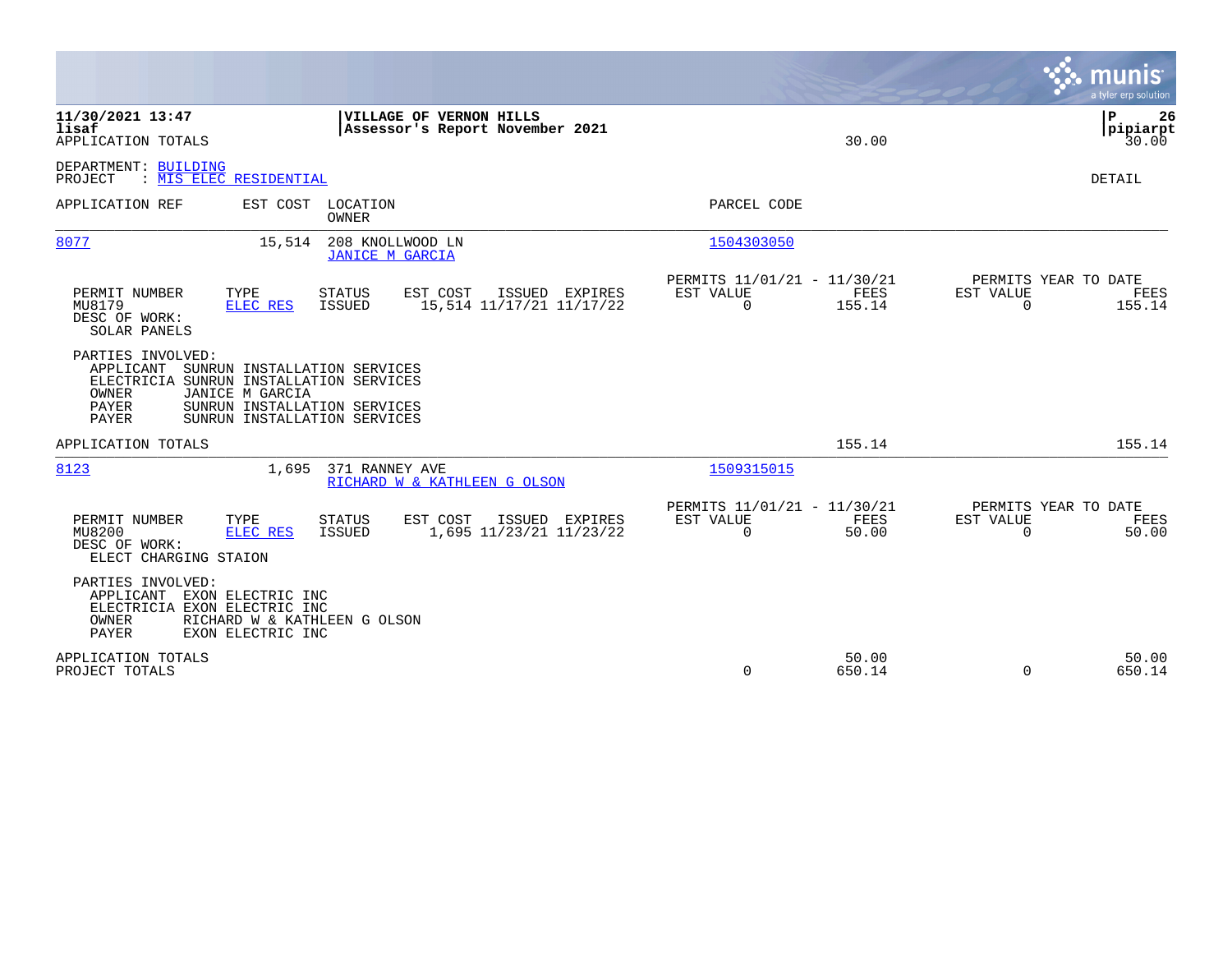|                                                                                                                                                                                                                         |                                                                              | munis<br>a tyler erp solution                                   |
|-------------------------------------------------------------------------------------------------------------------------------------------------------------------------------------------------------------------------|------------------------------------------------------------------------------|-----------------------------------------------------------------|
| 11/30/2021 13:47<br>VILLAGE OF VERNON HILLS<br>lisaf<br>Assessor's Report November 2021<br>APPLICATION TOTALS                                                                                                           | 30.00                                                                        | P<br>26<br> pipiarpt<br>30.00                                   |
| DEPARTMENT: BUILDING<br>: MIS ELEC RESIDENTIAL<br>PROJECT                                                                                                                                                               |                                                                              | <b>DETAIL</b>                                                   |
| EST COST<br>LOCATION<br>APPLICATION REF<br><b>OWNER</b>                                                                                                                                                                 | PARCEL CODE                                                                  |                                                                 |
| 8077<br>15,514<br>208 KNOLLWOOD LN<br><b>JANICE M GARCIA</b>                                                                                                                                                            | 1504303050                                                                   |                                                                 |
| PERMIT NUMBER<br><b>STATUS</b><br>EST COST<br>ISSUED EXPIRES<br>TYPE<br>15,514 11/17/21 11/17/22<br>MU8179<br>ELEC RES<br><b>ISSUED</b><br>DESC OF WORK:<br>SOLAR PANELS                                                | PERMITS 11/01/21 - 11/30/21<br>EST VALUE<br>FEES<br>155.14<br>$\Omega$       | PERMITS YEAR TO DATE<br>EST VALUE<br>FEES<br>$\Omega$<br>155.14 |
| PARTIES INVOLVED:<br>SUNRUN INSTALLATION SERVICES<br>APPLICANT<br>ELECTRICIA SUNRUN INSTALLATION SERVICES<br>OWNER<br>JANICE M GARCIA<br>PAYER<br>SUNRUN INSTALLATION SERVICES<br>PAYER<br>SUNRUN INSTALLATION SERVICES |                                                                              |                                                                 |
| APPLICATION TOTALS                                                                                                                                                                                                      | 155.14                                                                       | 155.14                                                          |
| 8123<br>371 RANNEY AVE<br>1,695<br>RICHARD W & KATHLEEN G OLSON                                                                                                                                                         | 1509315015                                                                   |                                                                 |
| PERMIT NUMBER<br><b>STATUS</b><br>EST COST<br>ISSUED EXPIRES<br>TYPE<br>1,695 11/23/21 11/23/22<br>MU8200<br>ELEC RES<br>ISSUED<br>DESC OF WORK:<br>ELECT CHARGING STAION                                               | PERMITS 11/01/21 - 11/30/21<br><b>EST VALUE</b><br>FEES<br>$\Omega$<br>50.00 | PERMITS YEAR TO DATE<br>EST VALUE<br>FEES<br>$\Omega$<br>50.00  |
| PARTIES INVOLVED:<br>EXON ELECTRIC INC<br>APPLICANT<br>ELECTRICIA EXON ELECTRIC INC<br>OWNER<br>RICHARD W & KATHLEEN G OLSON<br><b>PAYER</b><br>EXON ELECTRIC INC                                                       |                                                                              |                                                                 |
| APPLICATION TOTALS<br>PROJECT TOTALS                                                                                                                                                                                    | 50.00<br>$\Omega$<br>650.14                                                  | 50.00<br>$\Omega$<br>650.14                                     |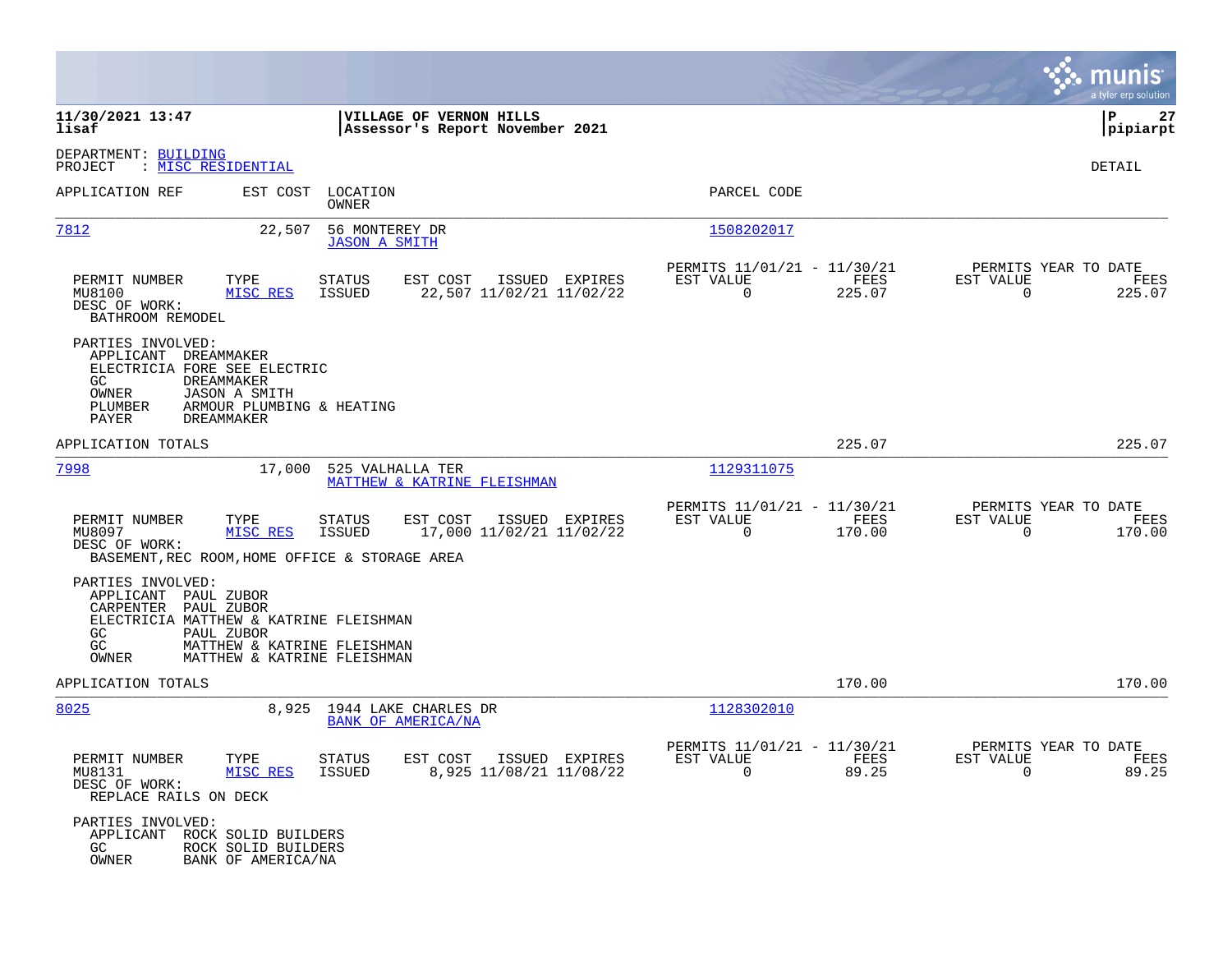|                                                                                                                                                                                                              |                                                                            |                                                                              | munis<br>a tyler erp solution                                   |
|--------------------------------------------------------------------------------------------------------------------------------------------------------------------------------------------------------------|----------------------------------------------------------------------------|------------------------------------------------------------------------------|-----------------------------------------------------------------|
| 11/30/2021 13:47<br>lisaf                                                                                                                                                                                    | VILLAGE OF VERNON HILLS<br>Assessor's Report November 2021                 |                                                                              | 27<br>l P<br> pipiarpt                                          |
| DEPARTMENT: BUILDING<br>: <u>MISC RESIDENTIAL</u><br>PROJECT                                                                                                                                                 |                                                                            |                                                                              | DETAIL                                                          |
| APPLICATION REF                                                                                                                                                                                              | EST COST LOCATION<br>OWNER                                                 | PARCEL CODE                                                                  |                                                                 |
| 7812<br>22,507                                                                                                                                                                                               | 56 MONTEREY DR<br><b>JASON A SMITH</b>                                     | 1508202017                                                                   |                                                                 |
| PERMIT NUMBER<br>TYPE<br>MU8100<br>MISC RES<br>DESC OF WORK:<br>BATHROOM REMODEL                                                                                                                             | EST COST<br>ISSUED EXPIRES<br>STATUS<br>22,507 11/02/21 11/02/22<br>ISSUED | PERMITS 11/01/21 - 11/30/21<br>EST VALUE<br>FEES<br>225.07<br>$\overline{0}$ | PERMITS YEAR TO DATE<br>EST VALUE<br>FEES<br>225.07<br>$\Omega$ |
| PARTIES INVOLVED:<br>APPLICANT DREAMMAKER<br>ELECTRICIA FORE SEE ELECTRIC<br>GC.<br>DREAMMAKER<br>OWNER<br><b>JASON A SMITH</b><br>PLUMBER<br>ARMOUR PLUMBING & HEATING<br>PAYER<br><b>DREAMMAKER</b>        |                                                                            |                                                                              |                                                                 |
| APPLICATION TOTALS                                                                                                                                                                                           |                                                                            | 225.07                                                                       | 225.07                                                          |
| 7998                                                                                                                                                                                                         | 17,000 525 VALHALLA TER<br>MATTHEW & KATRINE FLEISHMAN                     | 1129311075                                                                   |                                                                 |
| PERMIT NUMBER<br>TYPE<br>MU8097<br>MISC RES<br>DESC OF WORK:<br>BASEMENT, REC ROOM, HOME OFFICE & STORAGE AREA                                                                                               | EST COST<br>ISSUED EXPIRES<br>STATUS<br>17,000 11/02/21 11/02/22<br>ISSUED | PERMITS 11/01/21 - 11/30/21<br>EST VALUE<br>FEES<br>$\Omega$<br>170.00       | PERMITS YEAR TO DATE<br>EST VALUE<br>FEES<br>170.00<br>$\Omega$ |
| PARTIES INVOLVED:<br>APPLICANT PAUL ZUBOR<br>CARPENTER PAUL ZUBOR<br>ELECTRICIA MATTHEW & KATRINE FLEISHMAN<br>GC<br>PAUL ZUBOR<br>GC<br>MATTHEW & KATRINE FLEISHMAN<br>OWNER<br>MATTHEW & KATRINE FLEISHMAN |                                                                            |                                                                              |                                                                 |
| APPLICATION TOTALS                                                                                                                                                                                           |                                                                            | 170.00                                                                       | 170.00                                                          |
| 8025                                                                                                                                                                                                         | 8,925 1944 LAKE CHARLES DR<br>BANK OF AMERICA/NA                           | 1128302010                                                                   |                                                                 |
| PERMIT NUMBER<br>TYPE<br>MU8131<br>MISC RES<br>DESC OF WORK:<br>REPLACE RAILS ON DECK                                                                                                                        | STATUS<br>EST COST ISSUED EXPIRES<br>ISSUED<br>8,925 11/08/21 11/08/22     | PERMITS 11/01/21 - 11/30/21<br>EST VALUE<br>FEES<br>$\Omega$<br>89.25        | PERMITS YEAR TO DATE<br>EST VALUE<br>FEES<br>$\Omega$<br>89.25  |
| PARTIES INVOLVED:<br>APPLICANT<br>ROCK SOLID BUILDERS<br>GC<br>ROCK SOLID BUILDERS<br>OWNER<br>BANK OF AMERICA/NA                                                                                            |                                                                            |                                                                              |                                                                 |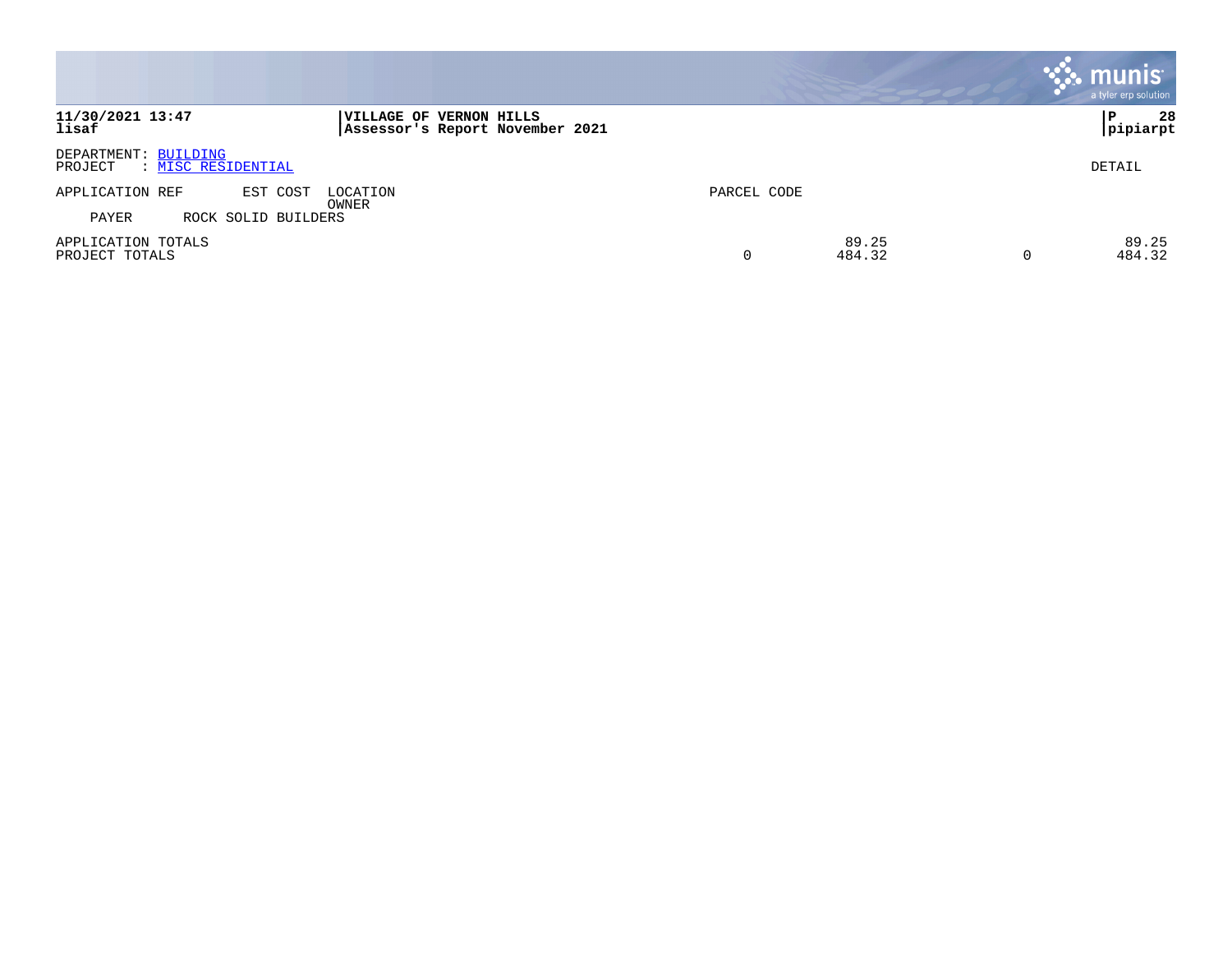|                                                       |                                                            |             |                 |   | munis <sup>®</sup><br>a tyler erp solution |
|-------------------------------------------------------|------------------------------------------------------------|-------------|-----------------|---|--------------------------------------------|
| 11/30/2021 13:47<br>lisaf                             | VILLAGE OF VERNON HILLS<br>Assessor's Report November 2021 |             |                 |   | 28<br>P<br> pipiarpt                       |
| DEPARTMENT: BUILDING<br>: MISC RESIDENTIAL<br>PROJECT |                                                            |             |                 |   | DETAIL                                     |
| APPLICATION REF<br>EST COST                           | LOCATION<br>OWNER                                          | PARCEL CODE |                 |   |                                            |
| PAYER<br>ROCK SOLID BUILDERS                          |                                                            |             |                 |   |                                            |
| APPLICATION TOTALS<br>PROJECT TOTALS                  |                                                            | 0           | 89.25<br>484.32 | O | 89.25<br>484.32                            |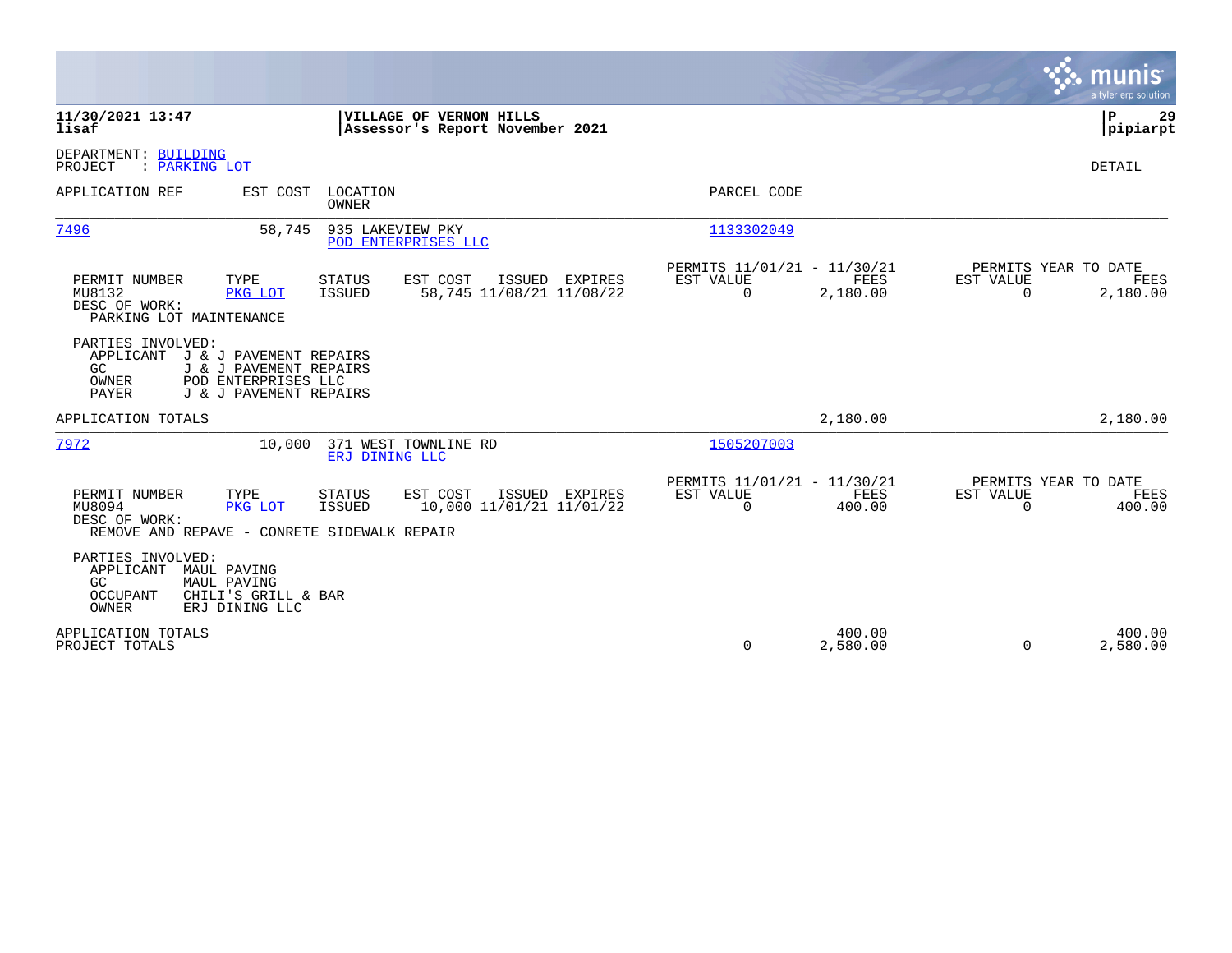|                                                                                                                                                                    |                                                                                                                                               | munis<br>a tyler erp solution            |
|--------------------------------------------------------------------------------------------------------------------------------------------------------------------|-----------------------------------------------------------------------------------------------------------------------------------------------|------------------------------------------|
| 11/30/2021 13:47<br>VILLAGE OF VERNON HILLS<br>lisaf<br>Assessor's Report November 2021                                                                            |                                                                                                                                               | P<br>29<br> pipiarpt                     |
| DEPARTMENT: BUILDING<br>: PARKING LOT<br>PROJECT                                                                                                                   |                                                                                                                                               | <b>DETAIL</b>                            |
| APPLICATION REF<br>EST COST<br>LOCATION<br><b>OWNER</b>                                                                                                            | PARCEL CODE                                                                                                                                   |                                          |
| 935 LAKEVIEW PKY<br>7496<br>58,745<br>POD ENTERPRISES LLC                                                                                                          | 1133302049                                                                                                                                    |                                          |
| PERMIT NUMBER<br>TYPE<br><b>STATUS</b><br>EST COST<br>MU8132<br>ISSUED<br>PKG LOT<br>DESC OF WORK:<br>PARKING LOT MAINTENANCE                                      | PERMITS 11/01/21 - 11/30/21<br>EST VALUE<br>FEES<br>ISSUED EXPIRES<br>EST VALUE<br>58,745 11/08/21 11/08/22<br>0<br>2,180.00<br>$\Omega$      | PERMITS YEAR TO DATE<br>FEES<br>2,180.00 |
| PARTIES INVOLVED:<br>APPLICANT<br>J & J PAVEMENT REPAIRS<br>GC<br>J & J PAVEMENT REPAIRS<br>POD ENTERPRISES LLC<br>OWNER<br>J & J PAVEMENT REPAIRS<br><b>PAYER</b> |                                                                                                                                               |                                          |
| APPLICATION TOTALS                                                                                                                                                 | 2,180.00                                                                                                                                      | 2,180.00                                 |
| 7972<br>371 WEST TOWNLINE RD<br>10,000<br>ERJ DINING LLC                                                                                                           | 1505207003                                                                                                                                    |                                          |
| PERMIT NUMBER<br>TYPE<br><b>STATUS</b><br>EST COST<br>MU8094<br>ISSUED<br>PKG LOT<br>DESC OF WORK:<br>REMOVE AND REPAVE - CONRETE SIDEWALK REPAIR                  | PERMITS 11/01/21 - 11/30/21<br>EST VALUE<br>FEES<br>ISSUED EXPIRES<br>EST VALUE<br>10,000 11/01/21 11/01/22<br>$\Omega$<br>400.00<br>$\Omega$ | PERMITS YEAR TO DATE<br>FEES<br>400.00   |
| PARTIES INVOLVED:<br>APPLICANT<br>MAUL PAVING<br>GC<br>MAUL PAVING<br>OCCUPANT<br>CHILI'S GRILL & BAR<br>OWNER<br>ERJ DINING LLC                                   |                                                                                                                                               |                                          |
| APPLICATION TOTALS<br>PROJECT TOTALS                                                                                                                               | 400.00<br>0<br>2,580.00<br>$\Omega$                                                                                                           | 400.00<br>2,580.00                       |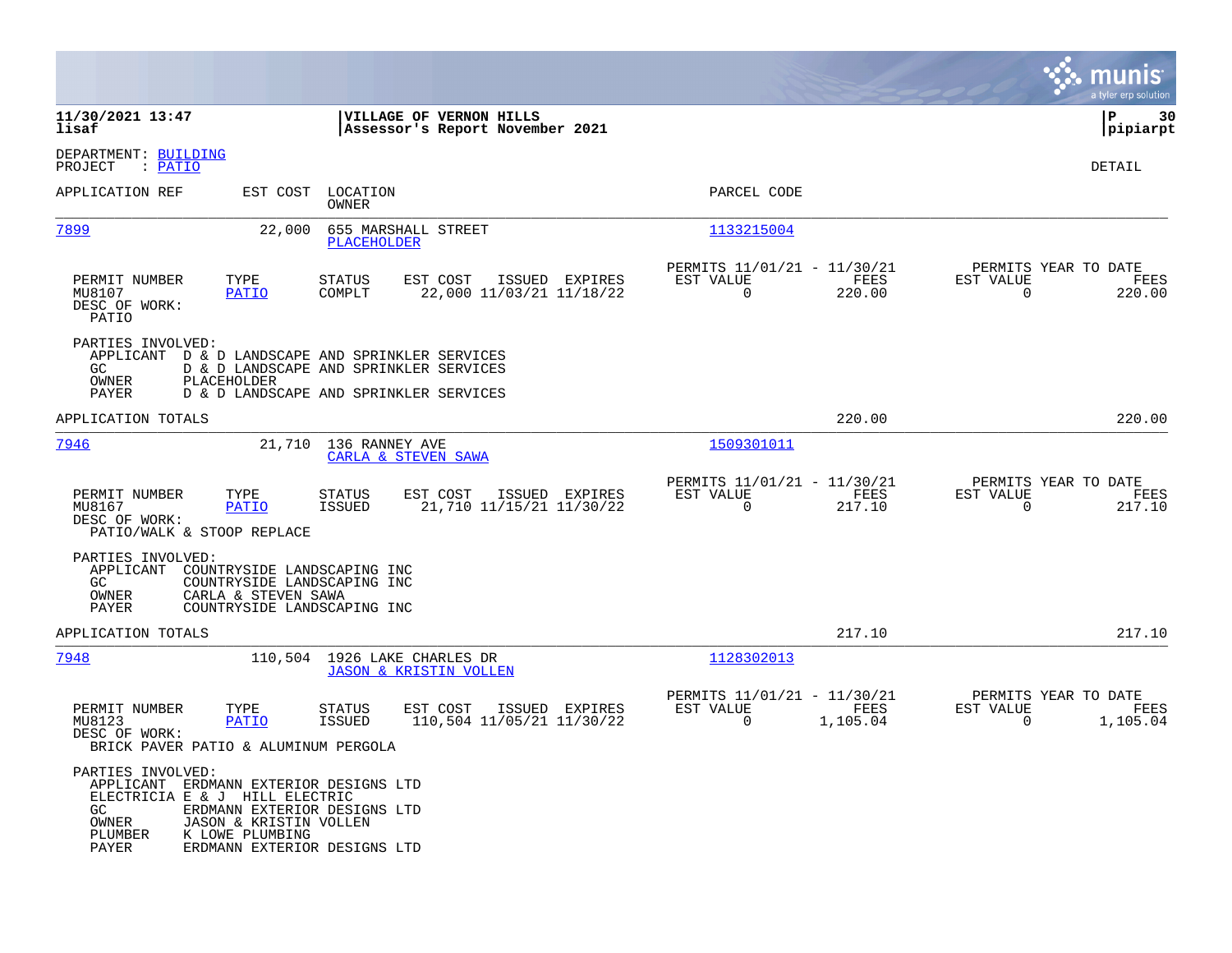|                                                                                                                                   |                                                    |                                                                                                                                      |                                             |                                                         |                  |                                                  | a tyler erp solution  |
|-----------------------------------------------------------------------------------------------------------------------------------|----------------------------------------------------|--------------------------------------------------------------------------------------------------------------------------------------|---------------------------------------------|---------------------------------------------------------|------------------|--------------------------------------------------|-----------------------|
| 11/30/2021 13:47<br>lisaf                                                                                                         |                                                    | VILLAGE OF VERNON HILLS                                                                                                              | Assessor's Report November 2021             |                                                         |                  |                                                  | lР<br>30<br> pipiarpt |
| DEPARTMENT: BUILDING<br>PROJECT<br>: PATIO                                                                                        |                                                    |                                                                                                                                      |                                             |                                                         |                  |                                                  | DETAIL                |
| APPLICATION REF                                                                                                                   | EST COST                                           | LOCATION<br>OWNER                                                                                                                    |                                             | PARCEL CODE                                             |                  |                                                  |                       |
| 7899                                                                                                                              | 22,000                                             | 655 MARSHALL STREET<br><b>PLACEHOLDER</b>                                                                                            |                                             | 1133215004                                              |                  |                                                  |                       |
| PERMIT NUMBER<br>MU8107<br>DESC OF WORK:<br>PATIO                                                                                 | TYPE<br><b>PATIO</b>                               | <b>STATUS</b><br>EST COST<br>COMPLT                                                                                                  | ISSUED EXPIRES<br>22,000 11/03/21 11/18/22  | PERMITS 11/01/21 - 11/30/21<br>EST VALUE<br>$\mathbf 0$ | FEES<br>220.00   | PERMITS YEAR TO DATE<br>EST VALUE<br>$\mathbf 0$ | FEES<br>220.00        |
| PARTIES INVOLVED:<br>GC.<br>OWNER<br>PAYER                                                                                        | PLACEHOLDER                                        | APPLICANT D & D LANDSCAPE AND SPRINKLER SERVICES<br>D & D LANDSCAPE AND SPRINKLER SERVICES<br>D & D LANDSCAPE AND SPRINKLER SERVICES |                                             |                                                         |                  |                                                  |                       |
| APPLICATION TOTALS                                                                                                                |                                                    |                                                                                                                                      |                                             |                                                         | 220.00           |                                                  | 220.00                |
| 7946                                                                                                                              |                                                    | 21,710 136 RANNEY AVE<br>CARLA & STEVEN SAWA                                                                                         |                                             | 1509301011                                              |                  |                                                  |                       |
| PERMIT NUMBER<br>MU8167<br>DESC OF WORK:<br>PATIO/WALK & STOOP REPLACE                                                            | TYPE<br><b>PATIO</b>                               | EST COST<br>STATUS<br>ISSUED                                                                                                         | ISSUED EXPIRES<br>21,710 11/15/21 11/30/22  | PERMITS 11/01/21 - 11/30/21<br>EST VALUE<br>0           | FEES<br>217.10   | PERMITS YEAR TO DATE<br>EST VALUE<br>0           | FEES<br>217.10        |
| PARTIES INVOLVED:<br>APPLICANT<br>GC<br>OWNER<br>PAYER                                                                            | CARLA & STEVEN SAWA<br>COUNTRYSIDE LANDSCAPING INC | COUNTRYSIDE LANDSCAPING INC<br>COUNTRYSIDE LANDSCAPING INC                                                                           |                                             |                                                         |                  |                                                  |                       |
| APPLICATION TOTALS                                                                                                                |                                                    |                                                                                                                                      |                                             |                                                         | 217.10           |                                                  | 217.10                |
| 7948                                                                                                                              |                                                    | 110,504 1926 LAKE CHARLES DR<br><b>JASON &amp; KRISTIN VOLLEN</b>                                                                    |                                             | 1128302013                                              |                  |                                                  |                       |
| PERMIT NUMBER<br>MU8123<br>DESC OF WORK:<br>BRICK PAVER PATIO & ALUMINUM PERGOLA                                                  | TYPE<br>PATIO                                      | <b>STATUS</b><br>EST COST<br><b>ISSUED</b>                                                                                           | ISSUED EXPIRES<br>110,504 11/05/21 11/30/22 | PERMITS 11/01/21 - 11/30/21<br>EST VALUE<br>0           | FEES<br>1,105.04 | PERMITS YEAR TO DATE<br>EST VALUE<br>0           | FEES<br>1,105.04      |
| PARTIES INVOLVED:<br>APPLICANT ERDMANN EXTERIOR DESIGNS LTD<br>ELECTRICIA E & J HILL ELECTRIC<br>GC.<br>OWNER<br>PLUMBER<br>PAYER | JASON & KRISTIN VOLLEN<br>K LOWE PLUMBING          | ERDMANN EXTERIOR DESIGNS LTD<br>ERDMANN EXTERIOR DESIGNS LTD                                                                         |                                             |                                                         |                  |                                                  |                       |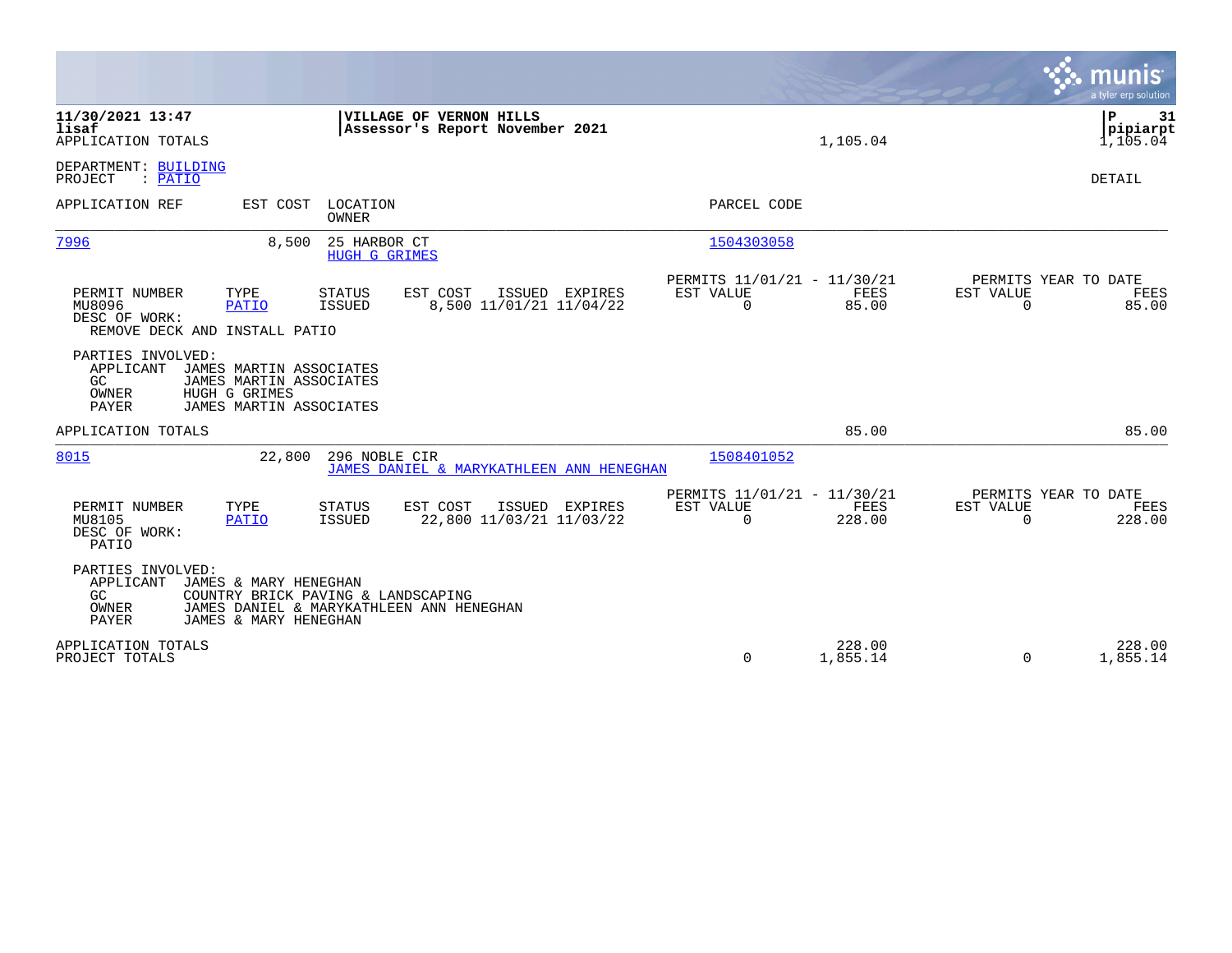|                                                                                                                                                                  |                                                                                |                                            |                                                      |                                         | a tyler erp solution                   |
|------------------------------------------------------------------------------------------------------------------------------------------------------------------|--------------------------------------------------------------------------------|--------------------------------------------|------------------------------------------------------|-----------------------------------------|----------------------------------------|
| 11/30/2021 13:47<br>lisaf<br>APPLICATION TOTALS                                                                                                                  | VILLAGE OF VERNON HILLS                                                        | Assessor's Report November 2021            |                                                      | 1,105.04                                | l P<br>31<br> pipiarpt<br>1,105.04     |
| DEPARTMENT: BUILDING<br>: PATIO<br>PROJECT                                                                                                                       |                                                                                |                                            |                                                      |                                         | DETAIL                                 |
| APPLICATION REF<br>EST COST                                                                                                                                      | LOCATION<br>OWNER                                                              |                                            | PARCEL CODE                                          |                                         |                                        |
| 7996                                                                                                                                                             | 25 HARBOR CT<br>8,500<br><b>HUGH G GRIMES</b>                                  |                                            | 1504303058                                           |                                         |                                        |
| PERMIT NUMBER<br>TYPE<br>MU8096<br><b>PATIO</b><br>DESC OF WORK:<br>REMOVE DECK AND INSTALL PATIO                                                                | <b>STATUS</b><br>EST COST<br>ISSUED                                            | ISSUED EXPIRES<br>8,500 11/01/21 11/04/22  | PERMITS 11/01/21 - 11/30/21<br>EST VALUE<br>$\Omega$ | FEES<br>EST VALUE<br>85.00<br>$\Omega$  | PERMITS YEAR TO DATE<br>FEES<br>85.00  |
| PARTIES INVOLVED:<br>APPLICANT<br>JAMES MARTIN ASSOCIATES<br>GC.<br>JAMES MARTIN ASSOCIATES<br>OWNER<br>HUGH G GRIMES<br><b>PAYER</b><br>JAMES MARTIN ASSOCIATES |                                                                                |                                            |                                                      |                                         |                                        |
| APPLICATION TOTALS                                                                                                                                               |                                                                                |                                            |                                                      | 85.00                                   | 85.00                                  |
| 8015                                                                                                                                                             | 296 NOBLE CIR<br>22,800                                                        | JAMES DANIEL & MARYKATHLEEN ANN HENEGHAN   | 1508401052                                           |                                         |                                        |
| PERMIT NUMBER<br>TYPE<br>MU8105<br>PATIO<br>DESC OF WORK:<br>PATIO                                                                                               | EST COST<br><b>STATUS</b><br><b>ISSUED</b>                                     | ISSUED EXPIRES<br>22,800 11/03/21 11/03/22 | PERMITS 11/01/21 - 11/30/21<br>EST VALUE<br>$\Omega$ | FEES<br>EST VALUE<br>228.00<br>$\Omega$ | PERMITS YEAR TO DATE<br>FEES<br>228.00 |
| PARTIES INVOLVED:<br>APPLICANT<br>JAMES & MARY HENEGHAN<br>GC.<br>OWNER<br>JAMES & MARY HENEGHAN<br><b>PAYER</b>                                                 | COUNTRY BRICK PAVING & LANDSCAPING<br>JAMES DANIEL & MARYKATHLEEN ANN HENEGHAN |                                            |                                                      |                                         |                                        |
| APPLICATION TOTALS<br>PROJECT TOTALS                                                                                                                             |                                                                                |                                            | 0                                                    | 228.00<br>1,855.14<br>$\Omega$          | 228.00<br>1,855.14                     |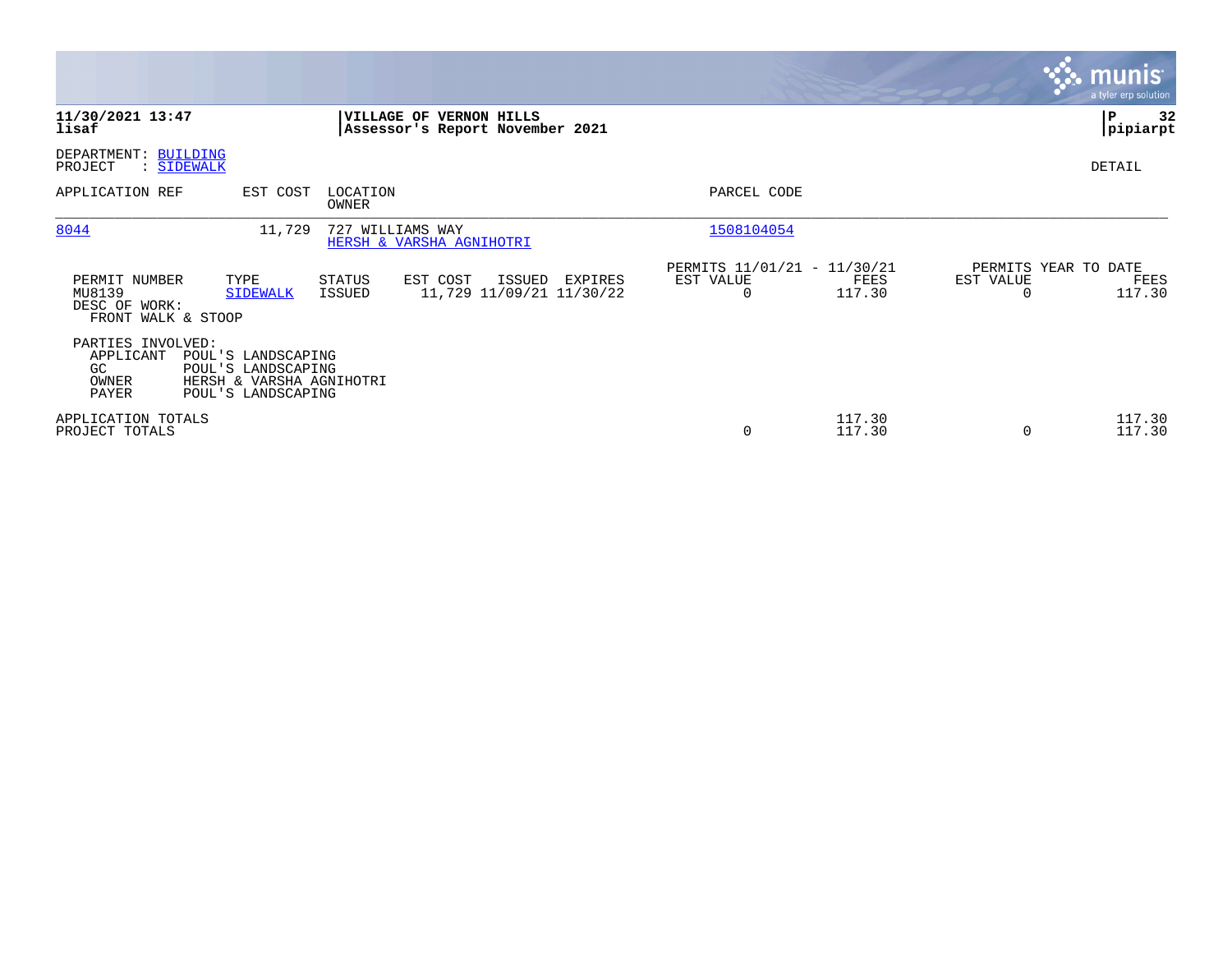|                                                                                                                                                       |                                                                                                                         | <b>munis</b><br>a tyler erp solution                            |
|-------------------------------------------------------------------------------------------------------------------------------------------------------|-------------------------------------------------------------------------------------------------------------------------|-----------------------------------------------------------------|
| 11/30/2021 13:47<br>VILLAGE OF VERNON HILLS<br>lisaf<br>Assessor's Report November 2021                                                               |                                                                                                                         | 32<br>IΡ<br> pipiarpt                                           |
| DEPARTMENT: BUILDING<br>PROJECT<br>: SIDEWALK                                                                                                         |                                                                                                                         | DETAIL                                                          |
| APPLICATION REF<br>EST COST<br>LOCATION<br>OWNER                                                                                                      | PARCEL CODE                                                                                                             |                                                                 |
| 8044<br>11,729<br>727 WILLIAMS WAY<br>HERSH & VARSHA AGNIHOTRI                                                                                        | 1508104054                                                                                                              |                                                                 |
| PERMIT NUMBER<br>TYPE<br>STATUS<br>EST COST<br>MU8139<br><b>SIDEWALK</b><br>ISSUED<br>DESC OF WORK:<br>FRONT WALK & STOOP                             | PERMITS 11/01/21 - 11/30/21<br>ISSUED<br>EST VALUE<br>EXPIRES<br>FEES<br>117.30<br>11,729 11/09/21 11/30/22<br>$\Omega$ | PERMITS YEAR TO DATE<br>EST VALUE<br>FEES<br>117.30<br>$\Omega$ |
| PARTIES INVOLVED:<br>APPLICANT<br>POUL'S LANDSCAPING<br>GC.<br>POUL'S LANDSCAPING<br>OWNER<br>HERSH & VARSHA AGNIHOTRI<br>PAYER<br>POUL'S LANDSCAPING |                                                                                                                         |                                                                 |
| APPLICATION TOTALS<br>PROJECT TOTALS                                                                                                                  | 117.30<br>0<br>117.30                                                                                                   | 117.30<br>117.30<br>$\Omega$                                    |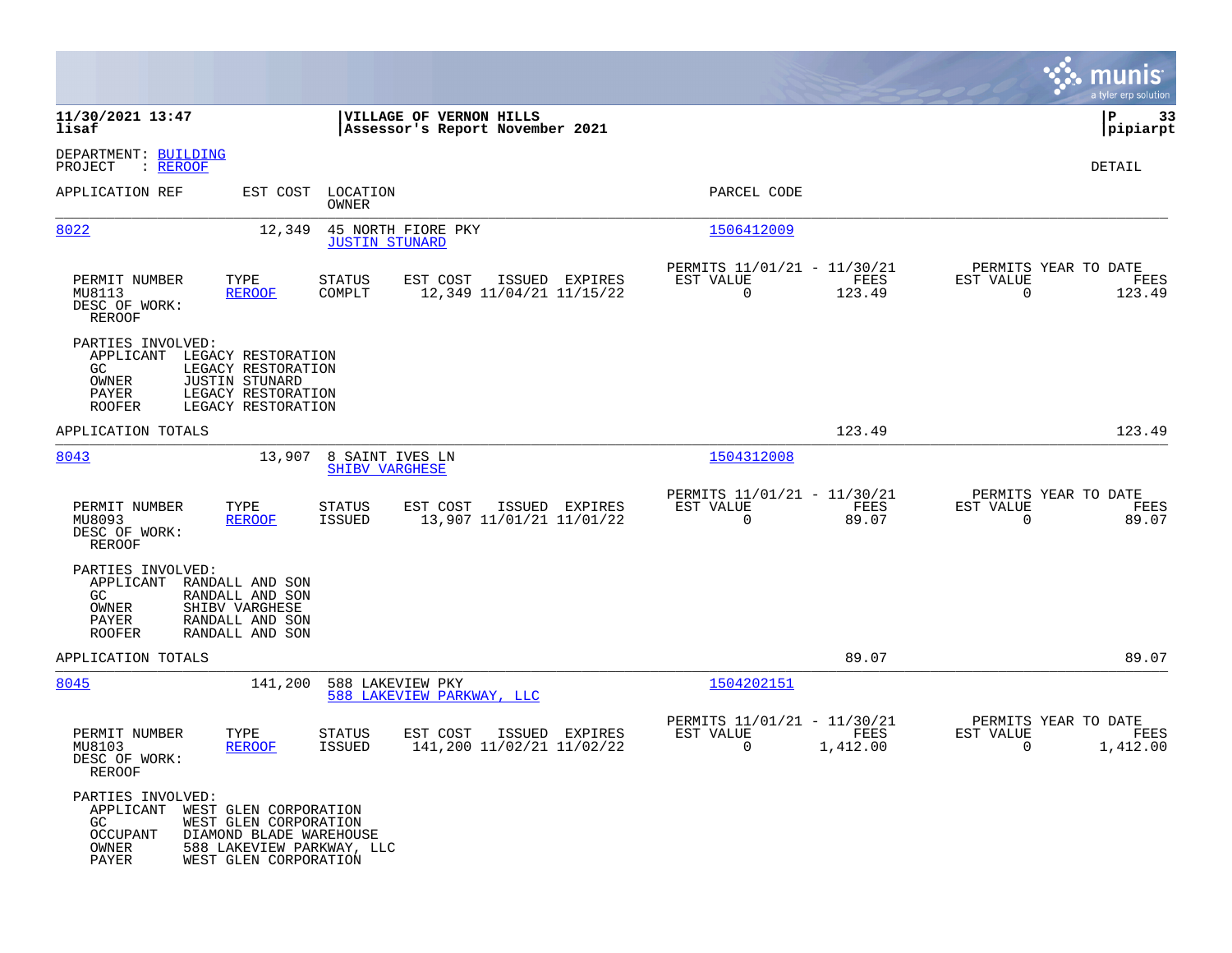|                                                                                                   |                                                                                                        |                                                            |                |                                                         |                  |                                                  | munis<br>a tyler erp solution |
|---------------------------------------------------------------------------------------------------|--------------------------------------------------------------------------------------------------------|------------------------------------------------------------|----------------|---------------------------------------------------------|------------------|--------------------------------------------------|-------------------------------|
| 11/30/2021 13:47<br>lisaf                                                                         |                                                                                                        | VILLAGE OF VERNON HILLS<br>Assessor's Report November 2021 |                |                                                         |                  |                                                  | 33<br>IΡ<br> pipiarpt         |
| DEPARTMENT: BUILDING<br>: <u>REROOF</u><br>PROJECT                                                |                                                                                                        |                                                            |                |                                                         |                  |                                                  | DETAIL                        |
| APPLICATION REF                                                                                   | EST COST LOCATION<br>OWNER                                                                             |                                                            |                | PARCEL CODE                                             |                  |                                                  |                               |
| 8022                                                                                              | 12,349<br><b>JUSTIN STUNARD</b>                                                                        | 45 NORTH FIORE PKY                                         |                | 1506412009                                              |                  |                                                  |                               |
| TYPE<br>PERMIT NUMBER<br>MU8113<br>DESC OF WORK:<br>REROOF                                        | <b>STATUS</b><br>COMPLT<br><b>REROOF</b>                                                               | EST COST<br>12,349 11/04/21 11/15/22                       | ISSUED EXPIRES | PERMITS 11/01/21 - 11/30/21<br>EST VALUE<br>$\mathbf 0$ | FEES<br>123.49   | PERMITS YEAR TO DATE<br>EST VALUE<br>$\mathbf 0$ | FEES<br>123.49                |
| PARTIES INVOLVED:<br>APPLICANT<br>GC.<br>OWNER<br><b>JUSTIN STUNARD</b><br>PAYER<br><b>ROOFER</b> | LEGACY RESTORATION<br>LEGACY RESTORATION<br>LEGACY RESTORATION<br>LEGACY RESTORATION                   |                                                            |                |                                                         |                  |                                                  |                               |
| APPLICATION TOTALS                                                                                |                                                                                                        |                                                            |                |                                                         | 123.49           |                                                  | 123.49                        |
| 8043                                                                                              | 13,907 8 SAINT IVES LN<br><b>SHIBV VARGHESE</b>                                                        |                                                            |                | 1504312008                                              |                  |                                                  |                               |
| PERMIT NUMBER<br>TYPE<br>MU8093<br>DESC OF WORK:<br><b>REROOF</b>                                 | STATUS<br><b>REROOF</b><br>ISSUED                                                                      | EST COST<br>13,907 11/01/21 11/01/22                       | ISSUED EXPIRES | PERMITS 11/01/21 - 11/30/21<br>EST VALUE<br>$\mathbf 0$ | FEES<br>89.07    | PERMITS YEAR TO DATE<br>EST VALUE<br>$\Omega$    | FEES<br>89.07                 |
| PARTIES INVOLVED:<br>APPLICANT<br>GC.<br>OWNER<br>SHIBV VARGHESE<br>PAYER<br><b>ROOFER</b>        | RANDALL AND SON<br>RANDALL AND SON<br>RANDALL AND SON<br>RANDALL AND SON                               |                                                            |                |                                                         |                  |                                                  |                               |
| APPLICATION TOTALS                                                                                |                                                                                                        |                                                            |                |                                                         | 89.07            |                                                  | 89.07                         |
| 8045                                                                                              | 588 LAKEVIEW PKY<br>141,200                                                                            | 588 LAKEVIEW PARKWAY, LLC                                  |                | 1504202151                                              |                  |                                                  |                               |
| PERMIT NUMBER<br>TYPE<br>MU8103<br>DESC OF WORK:<br>REROOF                                        | <b>STATUS</b><br><b>REROOF</b><br>ISSUED                                                               | EST COST<br>141,200 11/02/21 11/02/22                      | ISSUED EXPIRES | PERMITS 11/01/21 - 11/30/21<br>EST VALUE<br>0           | FEES<br>1,412.00 | PERMITS YEAR TO DATE<br>EST VALUE<br>0           | FEES<br>1,412.00              |
| PARTIES INVOLVED:<br>APPLICANT WEST GLEN CORPORATION<br>GC.<br><b>OCCUPANT</b><br>OWNER<br>PAYER  | WEST GLEN CORPORATION<br>DIAMOND BLADE WAREHOUSE<br>588 LAKEVIEW PARKWAY, LLC<br>WEST GLEN CORPORATION |                                                            |                |                                                         |                  |                                                  |                               |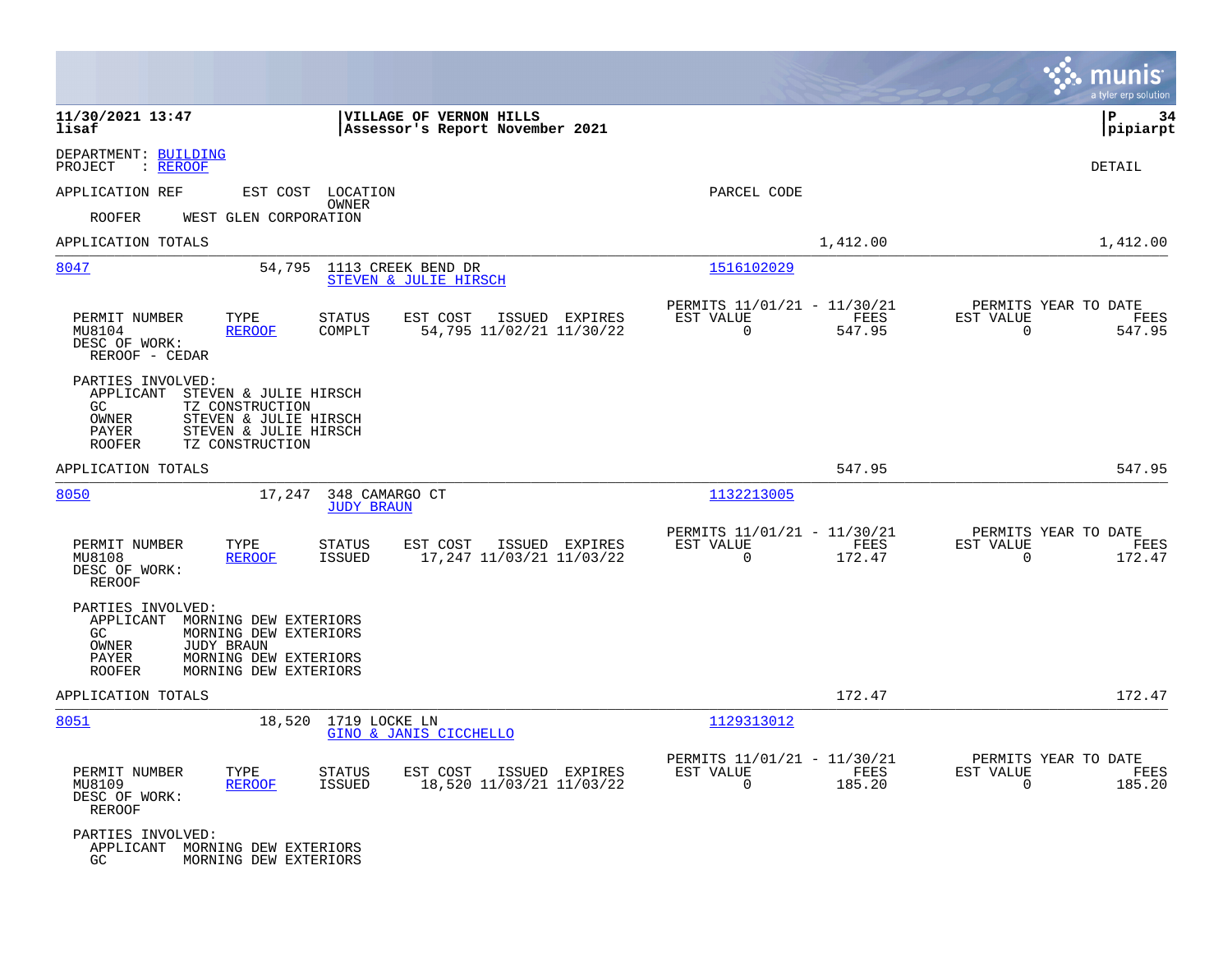|                                                                                                                                                                                                  |                                                                                          |                                                      |                | munis<br>a tyler erp solution                                      |
|--------------------------------------------------------------------------------------------------------------------------------------------------------------------------------------------------|------------------------------------------------------------------------------------------|------------------------------------------------------|----------------|--------------------------------------------------------------------|
| 11/30/2021 13:47<br>lisaf                                                                                                                                                                        | VILLAGE OF VERNON HILLS<br>Assessor's Report November 2021                               |                                                      |                | ΙP<br>-34<br> pipiarpt                                             |
| DEPARTMENT: BUILDING<br>PROJECT<br>: <u>REROOF</u>                                                                                                                                               |                                                                                          |                                                      |                | DETAIL                                                             |
| APPLICATION REF                                                                                                                                                                                  | EST COST LOCATION                                                                        | PARCEL CODE                                          |                |                                                                    |
| ROOFER<br>WEST GLEN CORPORATION                                                                                                                                                                  | OWNER                                                                                    |                                                      |                |                                                                    |
| APPLICATION TOTALS                                                                                                                                                                               |                                                                                          |                                                      | 1,412.00       | 1,412.00                                                           |
| 8047<br>54,795                                                                                                                                                                                   | 1113 CREEK BEND DR<br>STEVEN & JULIE HIRSCH                                              | 1516102029                                           |                |                                                                    |
| PERMIT NUMBER<br>TYPE<br>MU8104<br>REROOF<br>DESC OF WORK:<br>REROOF - CEDAR                                                                                                                     | <b>STATUS</b><br>EST COST<br>ISSUED EXPIRES<br>COMPLT<br>54,795 11/02/21 11/30/22        | PERMITS 11/01/21 - 11/30/21<br>EST VALUE<br>$\Omega$ | FEES<br>547.95 | PERMITS YEAR TO DATE<br>EST VALUE<br>FEES<br>$\Omega$<br>547.95    |
| PARTIES INVOLVED:<br>APPLICANT<br>STEVEN & JULIE HIRSCH<br>GC<br>TZ CONSTRUCTION<br>OWNER<br>STEVEN & JULIE HIRSCH<br>STEVEN & JULIE HIRSCH<br>PAYER<br>ROOFER<br>TZ CONSTRUCTION                |                                                                                          |                                                      |                |                                                                    |
| APPLICATION TOTALS                                                                                                                                                                               |                                                                                          |                                                      | 547.95         | 547.95                                                             |
| 8050<br>17,247                                                                                                                                                                                   | 348 CAMARGO CT<br><b>JUDY BRAUN</b>                                                      | 1132213005                                           |                |                                                                    |
| PERMIT NUMBER<br>TYPE<br>MU8108<br><b>REROOF</b><br>DESC OF WORK:<br><b>REROOF</b>                                                                                                               | <b>STATUS</b><br>EST COST<br>ISSUED EXPIRES<br><b>ISSUED</b><br>17,247 11/03/21 11/03/22 | PERMITS 11/01/21 - 11/30/21<br>EST VALUE<br>$\Omega$ | FEES<br>172.47 | PERMITS YEAR TO DATE<br>EST VALUE<br>FEES<br>$\mathbf 0$<br>172.47 |
| PARTIES INVOLVED:<br>APPLICANT<br>MORNING DEW EXTERIORS<br>GC<br>MORNING DEW EXTERIORS<br><b>JUDY BRAUN</b><br>OWNER<br>MORNING DEW EXTERIORS<br>PAYER<br><b>ROOFER</b><br>MORNING DEW EXTERIORS |                                                                                          |                                                      |                |                                                                    |
| APPLICATION TOTALS                                                                                                                                                                               |                                                                                          |                                                      | 172.47         | 172.47                                                             |
| 8051                                                                                                                                                                                             | 18,520 1719 LOCKE LN<br>GINO & JANIS CICCHELLO                                           | 1129313012                                           |                |                                                                    |
| PERMIT NUMBER<br>TYPE<br>MU8109<br><b>REROOF</b><br>DESC OF WORK:<br>REROOF                                                                                                                      | <b>STATUS</b><br>EST COST<br>ISSUED EXPIRES<br>18,520 11/03/21 11/03/22<br>ISSUED        | PERMITS 11/01/21 - 11/30/21<br>EST VALUE<br>0        | FEES<br>185.20 | PERMITS YEAR TO DATE<br>EST VALUE<br>FEES<br>$\Omega$<br>185.20    |
| PARTIES INVOLVED:<br>APPLICANT MORNING DEW EXTERIORS<br>MORNING DEW EXTERIORS<br>GC.                                                                                                             |                                                                                          |                                                      |                |                                                                    |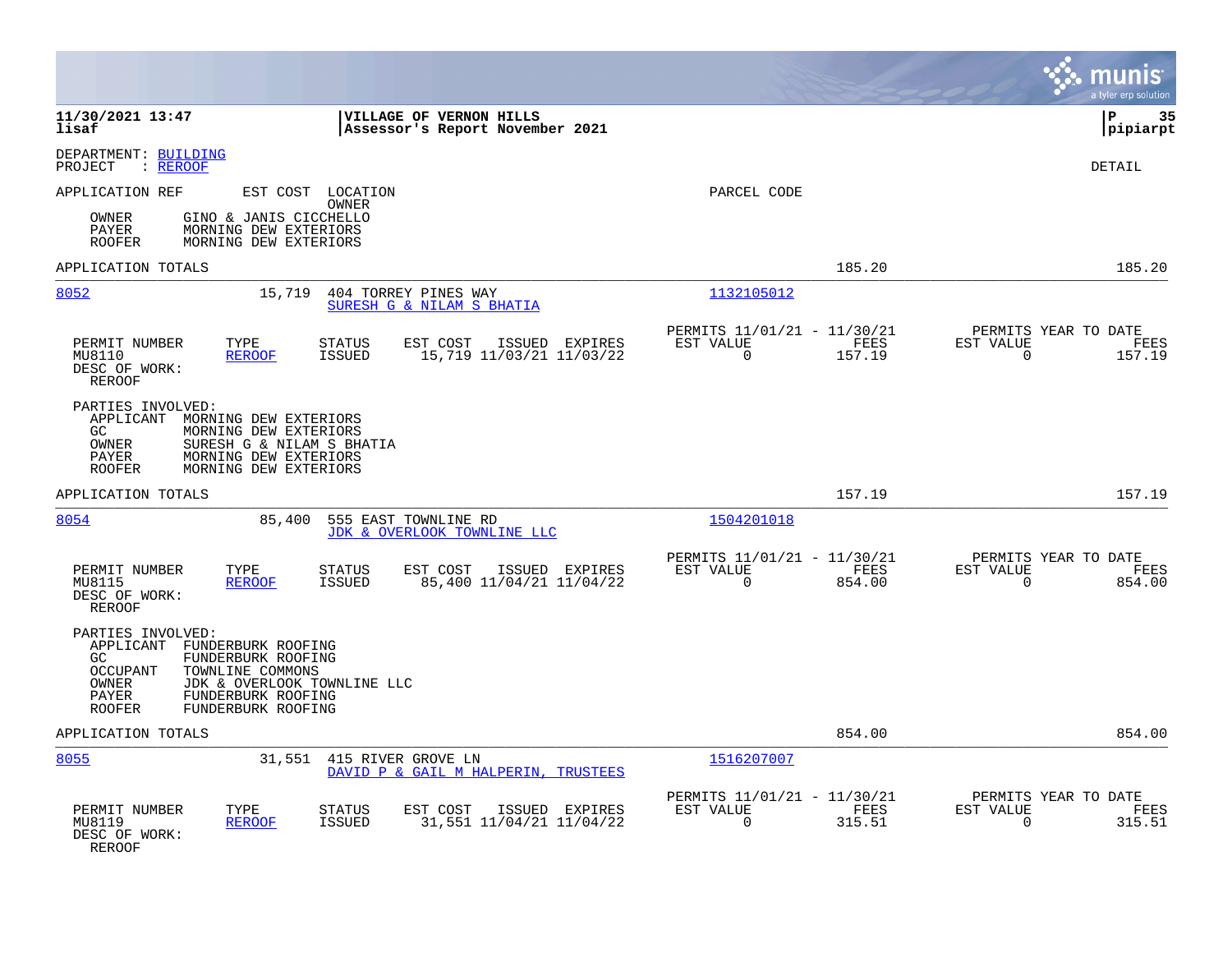|                                                                                                                                                                                                                                     |                                                                           | munis<br>a tyler erp solution                                      |
|-------------------------------------------------------------------------------------------------------------------------------------------------------------------------------------------------------------------------------------|---------------------------------------------------------------------------|--------------------------------------------------------------------|
| 11/30/2021 13:47<br>VILLAGE OF VERNON HILLS<br>lisaf<br>Assessor's Report November 2021                                                                                                                                             |                                                                           | 35<br>l P<br> pipiarpt                                             |
| DEPARTMENT: BUILDING<br>PROJECT<br>: REROOF                                                                                                                                                                                         |                                                                           | DETAIL                                                             |
| APPLICATION REF<br>EST COST LOCATION<br>OWNER<br>GINO & JANIS CICCHELLO<br>OWNER<br>MORNING DEW EXTERIORS<br>PAYER<br><b>ROOFER</b><br>MORNING DEW EXTERIORS                                                                        | PARCEL CODE                                                               |                                                                    |
| APPLICATION TOTALS                                                                                                                                                                                                                  | 185.20                                                                    | 185.20                                                             |
| 8052<br>15,719<br>404 TORREY PINES WAY<br>SURESH G & NILAM S BHATIA                                                                                                                                                                 | 1132105012                                                                |                                                                    |
| PERMIT NUMBER<br>TYPE<br>STATUS<br>EST COST<br>ISSUED EXPIRES<br><b>REROOF</b><br><b>ISSUED</b><br>15,719 11/03/21 11/03/22<br>MU8110<br>DESC OF WORK:<br><b>REROOF</b>                                                             | PERMITS 11/01/21 - 11/30/21<br>EST VALUE<br>FEES<br>$\mathbf 0$<br>157.19 | PERMITS YEAR TO DATE<br>EST VALUE<br>FEES<br>$\mathbf 0$<br>157.19 |
| PARTIES INVOLVED:<br>APPLICANT<br>MORNING DEW EXTERIORS<br>GC.<br>MORNING DEW EXTERIORS<br>OWNER<br>SURESH G & NILAM S BHATIA<br><b>PAYER</b><br>MORNING DEW EXTERIORS<br>MORNING DEW EXTERIORS<br><b>ROOFER</b>                    |                                                                           |                                                                    |
| APPLICATION TOTALS                                                                                                                                                                                                                  | 157.19                                                                    | 157.19                                                             |
| 8054<br>85,400<br>555 EAST TOWNLINE RD<br>JDK & OVERLOOK TOWNLINE LLC                                                                                                                                                               | 1504201018                                                                |                                                                    |
| PERMIT NUMBER<br>TYPE<br>STATUS<br>EST COST<br>ISSUED EXPIRES<br>MU8115<br><b>REROOF</b><br>ISSUED<br>85,400 11/04/21 11/04/22<br>DESC OF WORK:<br><b>REROOF</b>                                                                    | PERMITS 11/01/21 - 11/30/21<br>EST VALUE<br>FEES<br>854.00<br>$\Omega$    | PERMITS YEAR TO DATE<br>EST VALUE<br>FEES<br>$\Omega$<br>854.00    |
| PARTIES INVOLVED:<br>APPLICANT FUNDERBURK ROOFING<br>FUNDERBURK ROOFING<br>GC.<br><b>OCCUPANT</b><br>TOWNLINE COMMONS<br>JDK & OVERLOOK TOWNLINE LLC<br>OWNER<br>PAYER<br>FUNDERBURK ROOFING<br><b>ROOFER</b><br>FUNDERBURK ROOFING |                                                                           |                                                                    |
| APPLICATION TOTALS                                                                                                                                                                                                                  | 854.00                                                                    | 854.00                                                             |
| 8055<br>31,551<br>415 RIVER GROVE LN<br>DAVID P & GAIL M HALPERIN, TRUSTEES                                                                                                                                                         | 1516207007                                                                |                                                                    |
| PERMIT NUMBER<br>TYPE<br><b>STATUS</b><br>EST COST<br>ISSUED EXPIRES<br>31,551 11/04/21 11/04/22<br>MU8119<br><b>REROOF</b><br><b>ISSUED</b><br>DESC OF WORK:<br>REROOF                                                             | PERMITS 11/01/21 - 11/30/21<br>EST VALUE<br>FEES<br>315.51<br>$\Omega$    | PERMITS YEAR TO DATE<br>EST VALUE<br>FEES<br>315.51<br>$\Omega$    |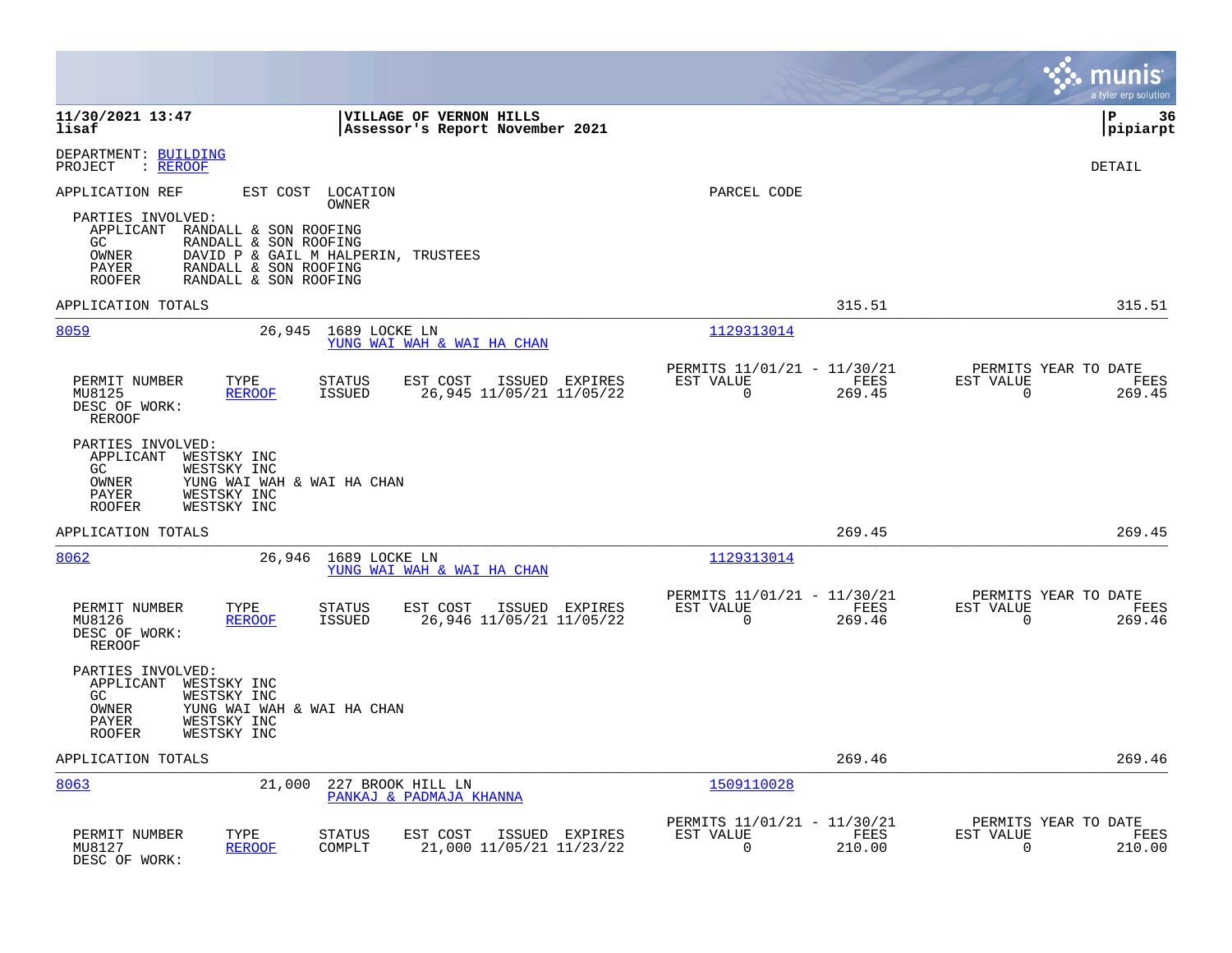|                                                                                                                                                                                                          |                                                     |                                                      |                       | munis<br>a tyler erp solution                                       |
|----------------------------------------------------------------------------------------------------------------------------------------------------------------------------------------------------------|-----------------------------------------------------|------------------------------------------------------|-----------------------|---------------------------------------------------------------------|
| 11/30/2021 13:47<br><b>VILLAGE OF VERNON HILLS</b><br>lisaf                                                                                                                                              | Assessor's Report November 2021                     |                                                      |                       | lР<br>36<br> pipiarpt                                               |
| DEPARTMENT: BUILDING<br>: REROOF<br>PROJECT                                                                                                                                                              |                                                     |                                                      |                       | <b>DETAIL</b>                                                       |
| APPLICATION REF<br>EST COST LOCATION<br><b>OWNER</b>                                                                                                                                                     |                                                     | PARCEL CODE                                          |                       |                                                                     |
| PARTIES INVOLVED:<br>APPLICANT RANDALL & SON ROOFING<br>GC<br>RANDALL & SON ROOFING<br>DAVID P & GAIL M HALPERIN, TRUSTEES<br>OWNER<br>PAYER<br>RANDALL & SON ROOFING<br>RANDALL & SON ROOFING<br>ROOFER |                                                     |                                                      |                       |                                                                     |
| APPLICATION TOTALS                                                                                                                                                                                       |                                                     |                                                      | 315.51                | 315.51                                                              |
| 8059<br>26,945<br>1689 LOCKE LN<br>YUNG WAI WAH & WAI HA CHAN                                                                                                                                            |                                                     | 1129313014                                           |                       |                                                                     |
| PERMIT NUMBER<br>TYPE<br>EST COST<br>STATUS<br>MU8125<br><b>REROOF</b><br><b>ISSUED</b><br>DESC OF WORK:<br><b>REROOF</b>                                                                                | ISSUED EXPIRES<br>26,945 11/05/21 11/05/22          | PERMITS 11/01/21 - 11/30/21<br>EST VALUE<br>$\Omega$ | FEES<br>269.45        | PERMITS YEAR TO DATE<br>EST VALUE<br>FEES<br>$\mathsf{O}$<br>269.45 |
| PARTIES INVOLVED:<br>APPLICANT<br>WESTSKY INC<br>GC<br>WESTSKY INC<br>OWNER<br>YUNG WAI WAH & WAI HA CHAN<br>PAYER<br>WESTSKY INC<br>ROOFER<br>WESTSKY INC                                               |                                                     |                                                      |                       |                                                                     |
| APPLICATION TOTALS                                                                                                                                                                                       |                                                     |                                                      | 269.45                | 269.45                                                              |
| 8062<br>26,946<br>1689 LOCKE LN<br>YUNG WAI WAH & WAI HA CHAN                                                                                                                                            |                                                     | 1129313014                                           |                       |                                                                     |
| PERMIT NUMBER<br>TYPE<br>STATUS<br><b>ISSUED</b><br>MU8126<br><b>REROOF</b><br>DESC OF WORK:<br><b>REROOF</b>                                                                                            | EST COST ISSUED EXPIRES<br>26,946 11/05/21 11/05/22 | PERMITS 11/01/21 - 11/30/21<br>EST VALUE<br>$\Omega$ | FEES<br>269.46        | PERMITS YEAR TO DATE<br>EST VALUE<br>FEES<br>$\Omega$<br>269.46     |
| PARTIES INVOLVED:<br>APPLICANT WESTSKY INC<br>GC<br>WESTSKY INC<br>OWNER<br>YUNG WAI WAH & WAI HA CHAN<br>WESTSKY INC<br>PAYER<br><b>ROOFER</b><br>WESTSKY INC                                           |                                                     |                                                      |                       |                                                                     |
| APPLICATION TOTALS                                                                                                                                                                                       |                                                     |                                                      | 269.46                | 269.46                                                              |
| 8063<br>21,000<br>227 BROOK HILL LN<br>PANKAJ & PADMAJA KHANNA                                                                                                                                           |                                                     | 1509110028                                           |                       |                                                                     |
| PERMIT NUMBER<br>TYPE<br><b>STATUS</b><br>EST COST<br>MU8127<br><b>REROOF</b><br>COMPLT<br>DESC OF WORK:                                                                                                 | ISSUED EXPIRES<br>21,000 11/05/21 11/23/22          | PERMITS 11/01/21 - 11/30/21<br>EST VALUE<br>0        | <b>FEES</b><br>210.00 | PERMITS YEAR TO DATE<br>EST VALUE<br>FEES<br>$\mathbf 0$<br>210.00  |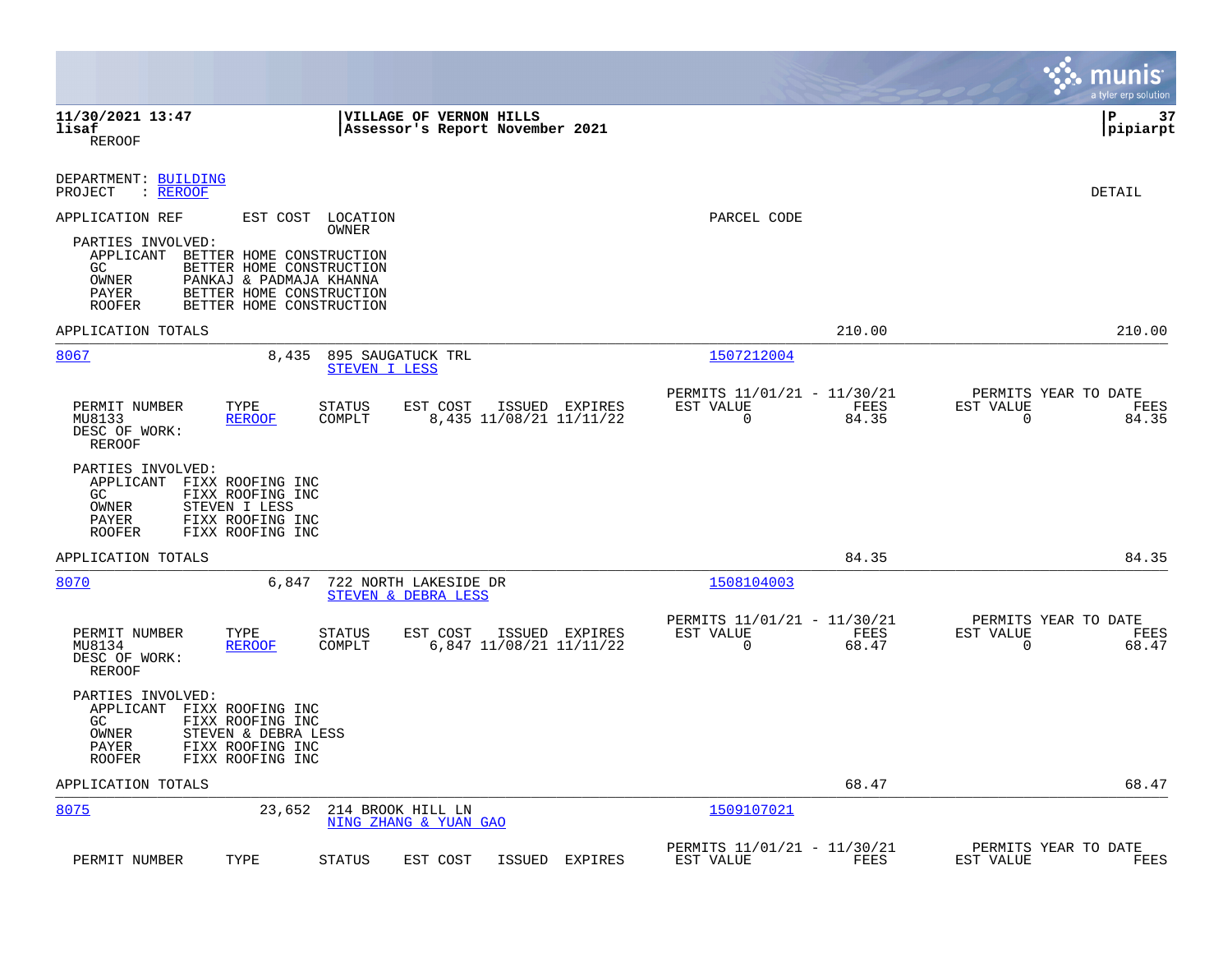|                                                                                                                                                                                                                  |                                                                          | munis<br>a tyler erp solution                                     |
|------------------------------------------------------------------------------------------------------------------------------------------------------------------------------------------------------------------|--------------------------------------------------------------------------|-------------------------------------------------------------------|
| 11/30/2021 13:47<br><b>VILLAGE OF VERNON HILLS</b><br>lisaf<br>Assessor's Report November 2021<br><b>REROOF</b>                                                                                                  |                                                                          | 37<br>l P<br> pipiarpt                                            |
| DEPARTMENT: BUILDING<br>PROJECT<br>: REROOF                                                                                                                                                                      |                                                                          | DETAIL                                                            |
| APPLICATION REF<br>EST COST LOCATION<br>OWNER                                                                                                                                                                    | PARCEL CODE                                                              |                                                                   |
| PARTIES INVOLVED:<br>APPLICANT BETTER HOME CONSTRUCTION<br>GC.<br>BETTER HOME CONSTRUCTION<br>OWNER<br>PANKAJ & PADMAJA KHANNA<br>BETTER HOME CONSTRUCTION<br>PAYER<br>BETTER HOME CONSTRUCTION<br><b>ROOFER</b> |                                                                          |                                                                   |
| APPLICATION TOTALS                                                                                                                                                                                               | 210.00                                                                   | 210.00                                                            |
| 8067<br>8,435<br>895 SAUGATUCK TRL<br>STEVEN I LESS                                                                                                                                                              | 1507212004                                                               |                                                                   |
| PERMIT NUMBER<br>TYPE<br><b>STATUS</b><br>EST COST<br>ISSUED EXPIRES<br>MU8133<br>COMPLT<br>8,435 11/08/21 11/11/22<br><b>REROOF</b><br>DESC OF WORK:<br>REROOF                                                  | PERMITS 11/01/21 - 11/30/21<br>EST VALUE<br>FEES<br>$\mathbf 0$<br>84.35 | PERMITS YEAR TO DATE<br>EST VALUE<br>FEES<br>$\mathbf 0$<br>84.35 |
| PARTIES INVOLVED:<br>APPLICANT FIXX ROOFING INC<br>GC.<br>FIXX ROOFING INC<br>OWNER<br>STEVEN I LESS<br>PAYER<br>FIXX ROOFING INC<br><b>ROOFER</b><br>FIXX ROOFING INC                                           |                                                                          |                                                                   |
| APPLICATION TOTALS                                                                                                                                                                                               | 84.35                                                                    | 84.35                                                             |
| 8070<br>6,847<br>722 NORTH LAKESIDE DR<br>STEVEN & DEBRA LESS                                                                                                                                                    | 1508104003                                                               |                                                                   |
| PERMIT NUMBER<br>TYPE<br><b>STATUS</b><br>EST COST<br>ISSUED EXPIRES<br>COMPLT<br>6,847 11/08/21 11/11/22<br>MU8134<br><b>REROOF</b><br>DESC OF WORK:<br>REROOF                                                  | PERMITS 11/01/21 - 11/30/21<br>EST VALUE<br>FEES<br>$\Omega$<br>68.47    | PERMITS YEAR TO DATE<br>EST VALUE<br>FEES<br>$\Omega$<br>68.47    |
| PARTIES INVOLVED:<br>APPLICANT<br>FIXX ROOFING INC<br>FIXX ROOFING INC<br>GC.<br>OWNER<br>STEVEN & DEBRA LESS<br>PAYER<br>FIXX ROOFING INC<br>FIXX ROOFING INC<br><b>ROOFER</b>                                  |                                                                          |                                                                   |
| APPLICATION TOTALS                                                                                                                                                                                               | 68.47                                                                    | 68.47                                                             |
| 8075<br>23,652<br>214 BROOK HILL LN<br>NING ZHANG & YUAN GAO                                                                                                                                                     | 1509107021                                                               |                                                                   |
| PERMIT NUMBER<br>TYPE<br><b>STATUS</b><br>EST COST<br>ISSUED<br>EXPIRES                                                                                                                                          | PERMITS 11/01/21 - 11/30/21<br>EST VALUE<br>FEES                         | PERMITS YEAR TO DATE<br>EST VALUE<br>FEES                         |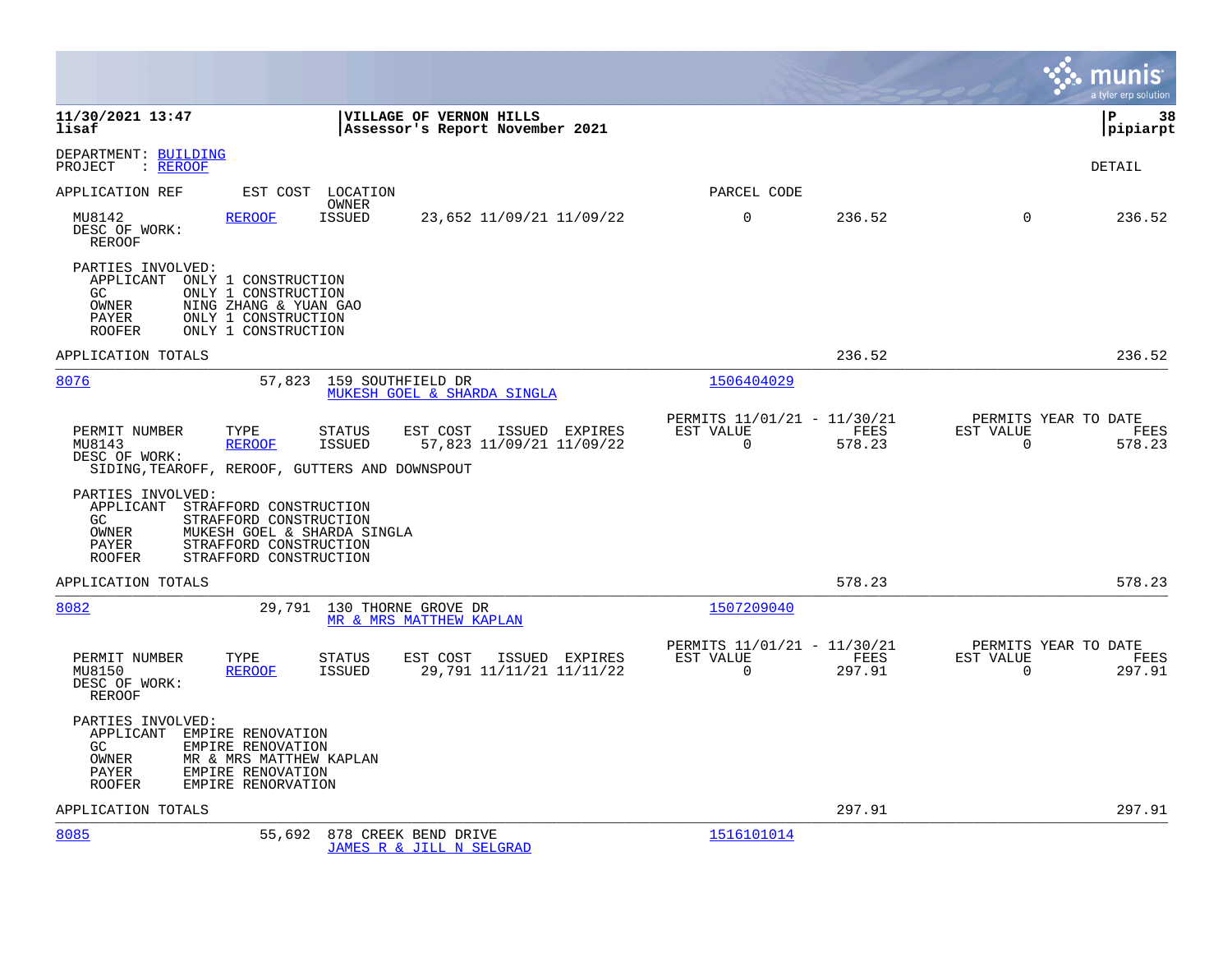|                                                                                                                                                                                                             |                                            |                                                      |                |                       | munis<br>a tyler erp solution          |
|-------------------------------------------------------------------------------------------------------------------------------------------------------------------------------------------------------------|--------------------------------------------|------------------------------------------------------|----------------|-----------------------|----------------------------------------|
| 11/30/2021 13:47<br>VILLAGE OF VERNON HILLS<br>lisaf<br>Assessor's Report November 2021                                                                                                                     |                                            |                                                      |                |                       | l P<br>38<br> pipiarpt                 |
| DEPARTMENT: BUILDING<br>PROJECT<br>$:$ REROOF                                                                                                                                                               |                                            |                                                      |                |                       | DETAIL                                 |
| EST COST LOCATION<br>APPLICATION REF                                                                                                                                                                        |                                            | PARCEL CODE                                          |                |                       |                                        |
| OWNER<br>ISSUED<br>MU8142<br><b>REROOF</b><br>DESC OF WORK:<br>REROOF                                                                                                                                       | 23,652 11/09/21 11/09/22                   | 0                                                    | 236.52         | $\mathbf 0$           | 236.52                                 |
| PARTIES INVOLVED:<br>APPLICANT<br>ONLY 1 CONSTRUCTION<br>ONLY 1 CONSTRUCTION<br>GC<br>OWNER<br>NING ZHANG & YUAN GAO<br>ONLY 1 CONSTRUCTION<br>PAYER<br>ONLY 1 CONSTRUCTION<br><b>ROOFER</b>                |                                            |                                                      |                |                       |                                        |
| APPLICATION TOTALS                                                                                                                                                                                          |                                            |                                                      | 236.52         |                       | 236.52                                 |
| 57,823 159 SOUTHFIELD DR<br>8076<br><b>MUKESH GOEL &amp; SHARDA SINGLA</b>                                                                                                                                  |                                            | 1506404029                                           |                |                       |                                        |
| PERMIT NUMBER<br>TYPE<br>STATUS<br>EST COST<br><b>ISSUED</b><br>MU8143<br><b>REROOF</b><br>DESC OF WORK:<br>SIDING, TEAROFF, REROOF, GUTTERS AND DOWNSPOUT                                                  | ISSUED EXPIRES<br>57,823 11/09/21 11/09/22 | PERMITS 11/01/21 - 11/30/21<br>EST VALUE<br>$\Omega$ | FEES<br>578.23 | EST VALUE<br>$\Omega$ | PERMITS YEAR TO DATE<br>FEES<br>578.23 |
| PARTIES INVOLVED:<br>APPLICANT STRAFFORD CONSTRUCTION<br>GC<br>STRAFFORD CONSTRUCTION<br>OWNER<br>MUKESH GOEL & SHARDA SINGLA<br>STRAFFORD CONSTRUCTION<br>PAYER<br>STRAFFORD CONSTRUCTION<br><b>ROOFER</b> |                                            |                                                      |                |                       |                                        |
| APPLICATION TOTALS                                                                                                                                                                                          |                                            |                                                      | 578.23         |                       | 578.23                                 |
| 8082<br>29,791 130 THORNE GROVE DR<br>MR & MRS MATTHEW KAPLAN                                                                                                                                               |                                            | 1507209040                                           |                |                       |                                        |
| PERMIT NUMBER<br>TYPE<br><b>STATUS</b><br>EST COST<br>MU8150<br><b>ISSUED</b><br><b>REROOF</b><br>DESC OF WORK:<br>REROOF                                                                                   | ISSUED EXPIRES<br>29,791 11/11/21 11/11/22 | PERMITS 11/01/21 - 11/30/21<br>EST VALUE<br>$\Omega$ | FEES<br>297.91 | EST VALUE<br>$\Omega$ | PERMITS YEAR TO DATE<br>FEES<br>297.91 |
| PARTIES INVOLVED:<br>APPLICANT<br>EMPIRE RENOVATION<br>GC.<br>EMPIRE RENOVATION<br>OWNER<br>MR & MRS MATTHEW KAPLAN<br>EMPIRE RENOVATION<br>PAYER<br>EMPIRE RENORVATION<br><b>ROOFER</b>                    |                                            |                                                      |                |                       |                                        |
| APPLICATION TOTALS                                                                                                                                                                                          |                                            |                                                      | 297.91         |                       | 297.91                                 |
| 8085<br>55,692<br>878 CREEK BEND DRIVE<br>JAMES R & JILL N SELGRAD                                                                                                                                          |                                            | 1516101014                                           |                |                       |                                        |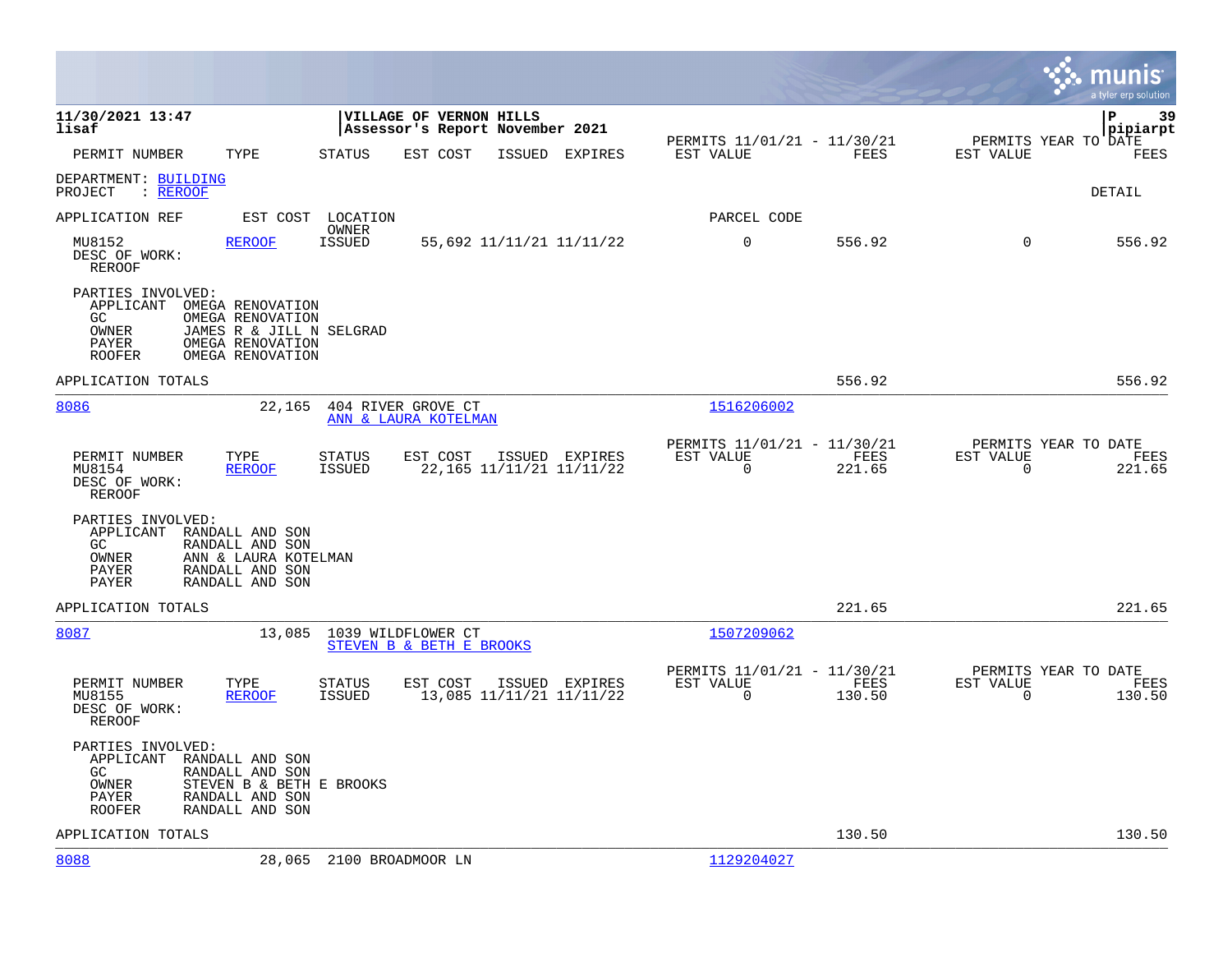|                                                                                                                                                                                     |                                                                                           |                                                                        | munis<br>a tyler erp solution                                      |
|-------------------------------------------------------------------------------------------------------------------------------------------------------------------------------------|-------------------------------------------------------------------------------------------|------------------------------------------------------------------------|--------------------------------------------------------------------|
| 11/30/2021 13:47<br>lisaf                                                                                                                                                           | VILLAGE OF VERNON HILLS<br>Assessor's Report November 2021                                |                                                                        | lР<br>39<br> pipiarpt                                              |
| PERMIT NUMBER<br>TYPE                                                                                                                                                               | <b>STATUS</b><br>EST COST<br>ISSUED<br>EXPIRES                                            | PERMITS 11/01/21 - 11/30/21<br>EST VALUE<br>FEES                       | PERMITS YEAR TO DATE<br>EST VALUE<br>FEES                          |
| DEPARTMENT: BUILDING<br>PROJECT<br>: REROOF                                                                                                                                         |                                                                                           |                                                                        | <b>DETAIL</b>                                                      |
| APPLICATION REF<br>EST COST                                                                                                                                                         | LOCATION                                                                                  | PARCEL CODE                                                            |                                                                    |
| MU8152<br><b>REROOF</b><br>DESC OF WORK:<br><b>REROOF</b>                                                                                                                           | OWNER<br><b>ISSUED</b><br>55,692 11/11/21 11/11/22                                        | $\mathbf 0$<br>556.92                                                  | $\mathbf 0$<br>556.92                                              |
| PARTIES INVOLVED:<br>APPLICANT<br>OMEGA RENOVATION<br>GC<br>OMEGA RENOVATION<br>OWNER<br>JAMES R & JILL N SELGRAD<br>PAYER<br>OMEGA RENOVATION<br><b>ROOFER</b><br>OMEGA RENOVATION |                                                                                           |                                                                        |                                                                    |
| APPLICATION TOTALS                                                                                                                                                                  |                                                                                           | 556.92                                                                 | 556.92                                                             |
| 8086<br>22,165                                                                                                                                                                      | 404 RIVER GROVE CT<br>ANN & LAURA KOTELMAN                                                | 1516206002                                                             |                                                                    |
| PERMIT NUMBER<br>TYPE<br>MU8154<br><b>REROOF</b><br>DESC OF WORK:<br>REROOF                                                                                                         | <b>STATUS</b><br>EST COST<br>ISSUED EXPIRES<br>22, 165 11/11/21 11/11/22<br><b>ISSUED</b> | PERMITS 11/01/21 - 11/30/21<br>EST VALUE<br>FEES<br>$\Omega$<br>221.65 | PERMITS YEAR TO DATE<br>EST VALUE<br>FEES<br>$\mathbf 0$<br>221.65 |
| PARTIES INVOLVED:<br>APPLICANT RANDALL AND SON<br>RANDALL AND SON<br>GC.<br>OWNER<br>ANN & LAURA KOTELMAN<br>PAYER<br>RANDALL AND SON<br>PAYER<br>RANDALL AND SON                   |                                                                                           |                                                                        |                                                                    |
| APPLICATION TOTALS                                                                                                                                                                  |                                                                                           | 221.65                                                                 | 221.65                                                             |
| 8087<br>13,085                                                                                                                                                                      | 1039 WILDFLOWER CT<br>STEVEN B & BETH E BROOKS                                            | 1507209062                                                             |                                                                    |
| PERMIT NUMBER<br>TYPE<br>MU8155<br><b>REROOF</b><br>DESC OF WORK:<br>REROOF                                                                                                         | <b>STATUS</b><br>EST COST<br>ISSUED EXPIRES<br>13,085 11/11/21 11/11/22<br><b>ISSUED</b>  | PERMITS 11/01/21 - 11/30/21<br>EST VALUE<br>FEES<br>$\Omega$<br>130.50 | PERMITS YEAR TO DATE<br>EST VALUE<br>FEES<br>$\Omega$<br>130.50    |
| PARTIES INVOLVED:<br>APPLICANT RANDALL AND SON<br>RANDALL AND SON<br>GC.<br>OWNER<br>STEVEN B & BETH E BROOKS<br>PAYER<br>RANDALL AND SON<br>RANDALL AND SON<br>ROOFER              |                                                                                           |                                                                        |                                                                    |
| APPLICATION TOTALS                                                                                                                                                                  |                                                                                           | 130.50                                                                 | 130.50                                                             |
| 8088                                                                                                                                                                                | 28,065 2100 BROADMOOR LN                                                                  | 1129204027                                                             |                                                                    |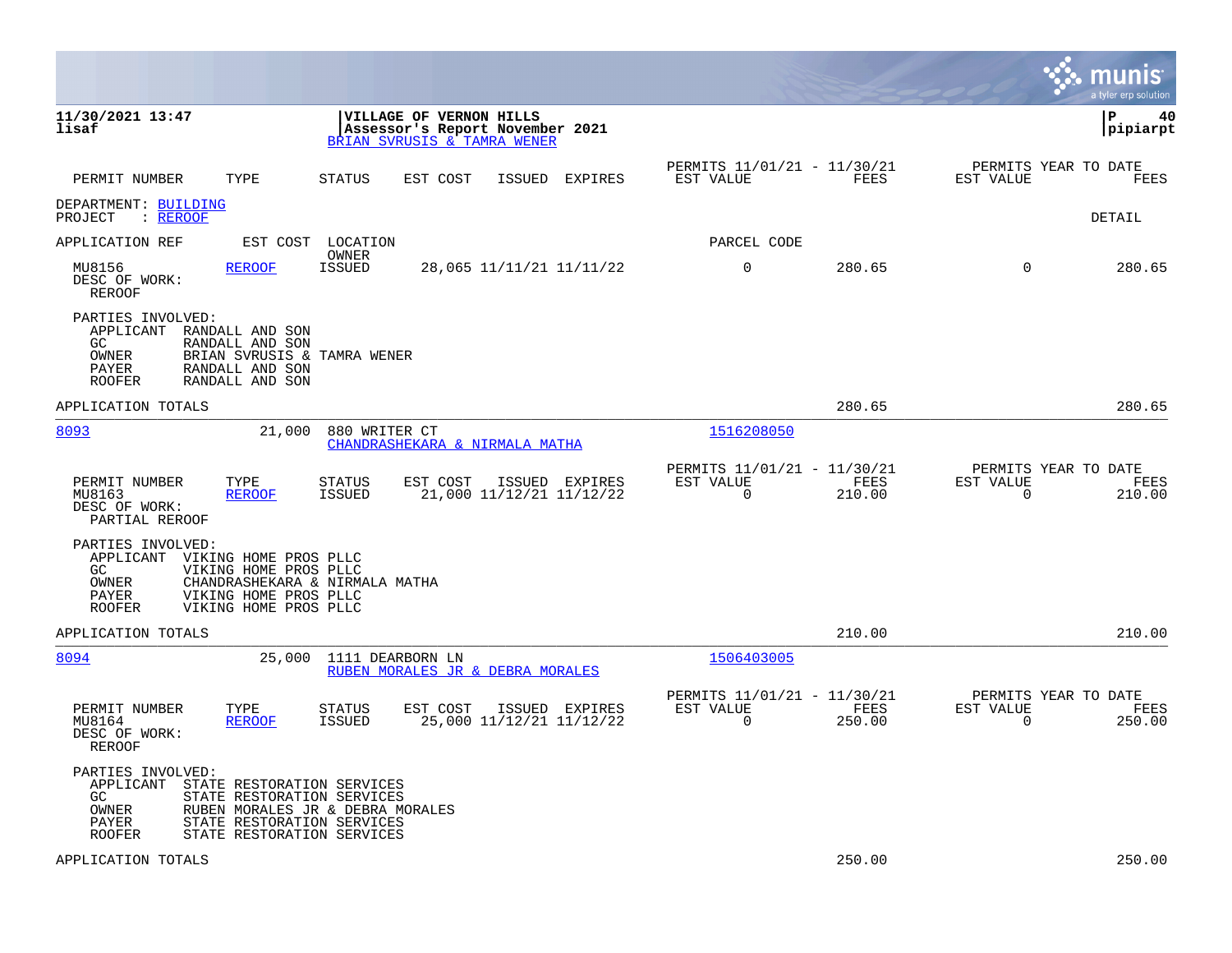|                                                                                                                                                                                           |                                                                                           |                                                                              | munis<br>a tyler erp solution                                      |
|-------------------------------------------------------------------------------------------------------------------------------------------------------------------------------------------|-------------------------------------------------------------------------------------------|------------------------------------------------------------------------------|--------------------------------------------------------------------|
| 11/30/2021 13:47<br>lisaf                                                                                                                                                                 | VILLAGE OF VERNON HILLS<br>Assessor's Report November 2021<br>BRIAN SVRUSIS & TAMRA WENER |                                                                              | ΙP<br>40<br> pipiarpt                                              |
| TYPE<br>PERMIT NUMBER                                                                                                                                                                     | <b>STATUS</b><br>EST COST<br>ISSUED EXPIRES                                               | PERMITS 11/01/21 - 11/30/21<br>FEES<br>EST VALUE                             | PERMITS YEAR TO DATE<br>EST VALUE<br>FEES                          |
| DEPARTMENT: BUILDING<br>PROJECT<br>: REROOF                                                                                                                                               |                                                                                           |                                                                              | DETAIL                                                             |
| APPLICATION REF                                                                                                                                                                           | EST COST LOCATION                                                                         | PARCEL CODE                                                                  |                                                                    |
| <b>REROOF</b><br>MU8156<br>DESC OF WORK:<br>REROOF                                                                                                                                        | OWNER<br>ISSUED<br>28,065 11/11/21 11/11/22                                               | 0<br>280.65                                                                  | 280.65<br>$\Omega$                                                 |
| PARTIES INVOLVED:<br>APPLICANT<br>RANDALL AND SON<br>GC.<br>RANDALL AND SON<br>OWNER<br>PAYER<br>RANDALL AND SON<br>RANDALL AND SON<br>ROOFER                                             | BRIAN SVRUSIS & TAMRA WENER                                                               |                                                                              |                                                                    |
| APPLICATION TOTALS                                                                                                                                                                        |                                                                                           | 280.65                                                                       | 280.65                                                             |
| 8093<br>21,000                                                                                                                                                                            | 880 WRITER CT<br>CHANDRASHEKARA & NIRMALA MATHA                                           | 1516208050                                                                   |                                                                    |
| PERMIT NUMBER<br>TYPE<br>MU8163<br><b>REROOF</b><br>DESC OF WORK:<br>PARTIAL REROOF                                                                                                       | EST COST<br>STATUS<br>ISSUED EXPIRES<br>21,000 11/12/21 11/12/22<br>ISSUED                | PERMITS 11/01/21 - 11/30/21<br>EST VALUE<br>FEES<br>$\overline{0}$<br>210.00 | PERMITS YEAR TO DATE<br>EST VALUE<br>FEES<br>$\mathbf 0$<br>210.00 |
| PARTIES INVOLVED:<br>APPLICANT<br>VIKING HOME PROS PLLC<br>GC.<br>VIKING HOME PROS PLLC<br>OWNER<br>VIKING HOME PROS PLLC<br>PAYER<br>VIKING HOME PROS PLLC<br>ROOFER                     | CHANDRASHEKARA & NIRMALA MATHA                                                            |                                                                              |                                                                    |
| APPLICATION TOTALS                                                                                                                                                                        |                                                                                           | 210.00                                                                       | 210.00                                                             |
| 8094<br>25,000                                                                                                                                                                            | 1111 DEARBORN LN<br>RUBEN MORALES JR & DEBRA MORALES                                      | 1506403005                                                                   |                                                                    |
| PERMIT NUMBER<br>TYPE<br>MU8164<br><b>REROOF</b><br>DESC OF WORK:<br>REROOF                                                                                                               | <b>STATUS</b><br>EST COST<br>ISSUED EXPIRES<br>ISSUED<br>25,000 11/12/21 11/12/22         | PERMITS 11/01/21 - 11/30/21<br>EST VALUE<br>FEES<br>$\Omega$<br>250.00       | PERMITS YEAR TO DATE<br>EST VALUE<br>FEES<br>$\Omega$<br>250.00    |
| PARTIES INVOLVED:<br>APPLICANT<br>STATE RESTORATION SERVICES<br>GC.<br>STATE RESTORATION SERVICES<br>OWNER<br>PAYER<br>STATE RESTORATION SERVICES<br>ROOFER<br>STATE RESTORATION SERVICES | RUBEN MORALES JR & DEBRA MORALES                                                          |                                                                              |                                                                    |
| APPLICATION TOTALS                                                                                                                                                                        |                                                                                           | 250.00                                                                       | 250.00                                                             |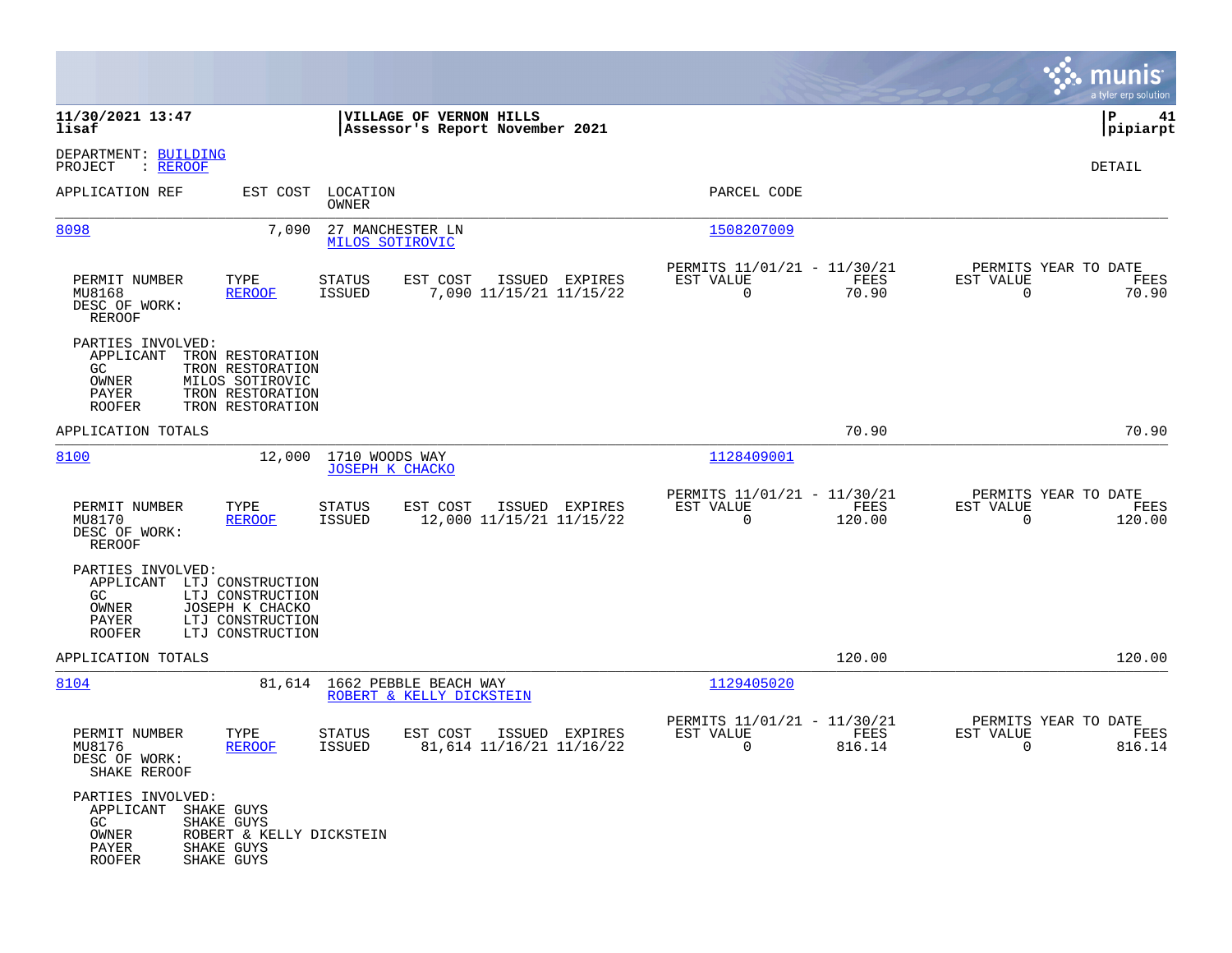|                                                                                    |                                                                                                 |                                          |                                                            |                |                                                         |                |                                                  | munis<br>a tyler erp solution |
|------------------------------------------------------------------------------------|-------------------------------------------------------------------------------------------------|------------------------------------------|------------------------------------------------------------|----------------|---------------------------------------------------------|----------------|--------------------------------------------------|-------------------------------|
| 11/30/2021 13:47<br>lisaf                                                          |                                                                                                 |                                          | VILLAGE OF VERNON HILLS<br>Assessor's Report November 2021 |                |                                                         |                |                                                  | P<br>41<br> pipiarpt          |
| DEPARTMENT: BUILDING<br>PROJECT<br>: <u>REROOF</u>                                 |                                                                                                 |                                          |                                                            |                |                                                         |                |                                                  | DETAIL                        |
| APPLICATION REF                                                                    | EST COST                                                                                        | LOCATION<br>OWNER                        |                                                            |                | PARCEL CODE                                             |                |                                                  |                               |
| 8098                                                                               | 7,090                                                                                           | 27 MANCHESTER LN<br>MILOS SOTIROVIC      |                                                            |                | 1508207009                                              |                |                                                  |                               |
| PERMIT NUMBER<br>MU8168<br>DESC OF WORK:<br>REROOF                                 | TYPE<br><b>REROOF</b>                                                                           | <b>STATUS</b><br>ISSUED                  | EST COST<br>7,090 11/15/21 11/15/22                        | ISSUED EXPIRES | PERMITS 11/01/21 - 11/30/21<br>EST VALUE<br>0           | FEES<br>70.90  | PERMITS YEAR TO DATE<br>EST VALUE<br>$\mathbf 0$ | FEES<br>70.90                 |
| PARTIES INVOLVED:<br>APPLICANT<br>GC.<br>OWNER<br>PAYER<br><b>ROOFER</b>           | TRON RESTORATION<br>TRON RESTORATION<br>MILOS SOTIROVIC<br>TRON RESTORATION<br>TRON RESTORATION |                                          |                                                            |                |                                                         |                |                                                  |                               |
| APPLICATION TOTALS                                                                 |                                                                                                 |                                          |                                                            |                |                                                         | 70.90          |                                                  | 70.90                         |
| 8100                                                                               | 12,000                                                                                          | 1710 WOODS WAY<br><b>JOSEPH K CHACKO</b> |                                                            |                | 1128409001                                              |                |                                                  |                               |
| PERMIT NUMBER<br>MU8170<br>DESC OF WORK:<br><b>REROOF</b>                          | TYPE<br><b>REROOF</b>                                                                           | STATUS<br>ISSUED                         | EST COST<br>12,000 11/15/21 11/15/22                       | ISSUED EXPIRES | PERMITS 11/01/21 - 11/30/21<br>EST VALUE<br>$\mathbf 0$ | FEES<br>120.00 | PERMITS YEAR TO DATE<br>EST VALUE<br>$\mathbf 0$ | FEES<br>120.00                |
| PARTIES INVOLVED:<br>APPLICANT<br>GC<br>OWNER<br>PAYER<br><b>ROOFER</b>            | LTJ CONSTRUCTION<br>LTJ CONSTRUCTION<br>JOSEPH K CHACKO<br>LTJ CONSTRUCTION<br>LTJ CONSTRUCTION |                                          |                                                            |                |                                                         |                |                                                  |                               |
| APPLICATION TOTALS                                                                 |                                                                                                 |                                          |                                                            |                |                                                         | 120.00         |                                                  | 120.00                        |
| 8104                                                                               |                                                                                                 |                                          | 81,614 1662 PEBBLE BEACH WAY<br>ROBERT & KELLY DICKSTEIN   |                | 1129405020                                              |                |                                                  |                               |
| PERMIT NUMBER<br>MU8176<br>DESC OF WORK:<br>SHAKE REROOF                           | TYPE<br><b>REROOF</b>                                                                           | <b>STATUS</b><br><b>ISSUED</b>           | EST COST<br>81,614 11/16/21 11/16/22                       | ISSUED EXPIRES | PERMITS 11/01/21 - 11/30/21<br>EST VALUE<br>0           | FEES<br>816.14 | PERMITS YEAR TO DATE<br>EST VALUE<br>0           | FEES<br>816.14                |
| PARTIES INVOLVED:<br>APPLICANT SHAKE GUYS<br>GC<br>OWNER<br>PAYER<br><b>ROOFER</b> | SHAKE GUYS<br>ROBERT & KELLY DICKSTEIN<br>SHAKE GUYS<br>SHAKE GUYS                              |                                          |                                                            |                |                                                         |                |                                                  |                               |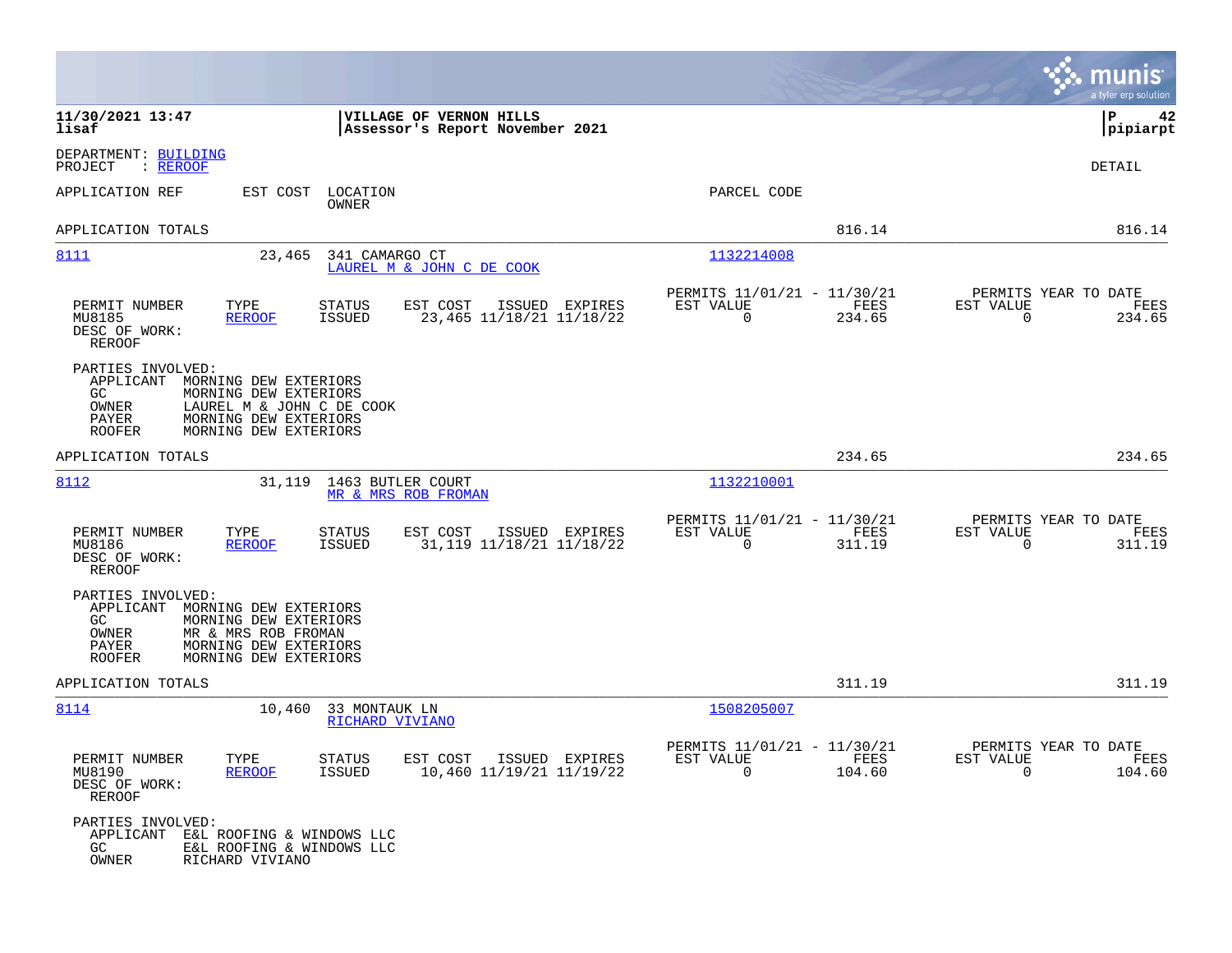|                                                                                                                                                                                                           |                                                                           | munis<br>a tyler erp solution                                      |
|-----------------------------------------------------------------------------------------------------------------------------------------------------------------------------------------------------------|---------------------------------------------------------------------------|--------------------------------------------------------------------|
| 11/30/2021 13:47<br>VILLAGE OF VERNON HILLS<br>lisaf<br>Assessor's Report November 2021                                                                                                                   |                                                                           | l P<br>42<br> pipiarpt                                             |
| DEPARTMENT: BUILDING<br>PROJECT<br>: <u>REROOF</u>                                                                                                                                                        |                                                                           | DETAIL                                                             |
| APPLICATION REF<br>EST COST<br>LOCATION<br>OWNER                                                                                                                                                          | PARCEL CODE                                                               |                                                                    |
| APPLICATION TOTALS                                                                                                                                                                                        | 816.14                                                                    | 816.14                                                             |
| 8111<br>23,465<br>341 CAMARGO CT<br>LAUREL M & JOHN C DE COOK                                                                                                                                             | 1132214008                                                                |                                                                    |
| PERMIT NUMBER<br>TYPE<br><b>STATUS</b><br>EST COST<br>ISSUED EXPIRES<br>MU8185<br><b>REROOF</b><br>ISSUED<br>23,465 11/18/21 11/18/22<br>DESC OF WORK:<br><b>REROOF</b>                                   | PERMITS 11/01/21 - 11/30/21<br>EST VALUE<br>FEES<br>$\mathbf 0$<br>234.65 | PERMITS YEAR TO DATE<br>EST VALUE<br>FEES<br>$\mathbf 0$<br>234.65 |
| PARTIES INVOLVED:<br>APPLICANT<br>MORNING DEW EXTERIORS<br>GC.<br>MORNING DEW EXTERIORS<br>OWNER<br>LAUREL M & JOHN C DE COOK<br>PAYER<br>MORNING DEW EXTERIORS<br><b>ROOFER</b><br>MORNING DEW EXTERIORS |                                                                           |                                                                    |
| APPLICATION TOTALS                                                                                                                                                                                        | 234.65                                                                    | 234.65                                                             |
| 8112<br>31,119<br>1463 BUTLER COURT<br>MR & MRS ROB FROMAN                                                                                                                                                | 1132210001                                                                |                                                                    |
| TYPE<br>PERMIT NUMBER<br>STATUS<br>EST COST<br>ISSUED EXPIRES<br>MU8186<br><b>REROOF</b><br>ISSUED<br>31,119 11/18/21 11/18/22<br>DESC OF WORK:<br>REROOF                                                 | PERMITS 11/01/21 - 11/30/21<br>FEES<br>EST VALUE<br>$\mathbf 0$<br>311.19 | PERMITS YEAR TO DATE<br>EST VALUE<br>FEES<br>0<br>311.19           |
| PARTIES INVOLVED:<br>APPLICANT<br>MORNING DEW EXTERIORS<br>GC.<br>MORNING DEW EXTERIORS<br>MR & MRS ROB FROMAN<br>OWNER<br>MORNING DEW EXTERIORS<br>PAYER<br>MORNING DEW EXTERIORS<br><b>ROOFER</b>       |                                                                           |                                                                    |
| APPLICATION TOTALS                                                                                                                                                                                        | 311.19                                                                    | 311.19                                                             |
| 8114<br>10,460<br>33 MONTAUK LN<br>RICHARD VIVIANO                                                                                                                                                        | 1508205007                                                                |                                                                    |
| PERMIT NUMBER<br>TYPE<br>STATUS<br>EST COST ISSUED EXPIRES<br>MU8190<br><b>REROOF</b><br>ISSUED<br>10,460 11/19/21 11/19/22<br>DESC OF WORK:<br>REROOF                                                    | PERMITS 11/01/21 - 11/30/21<br>EST VALUE<br>FEES<br>$\Omega$<br>104.60    | PERMITS YEAR TO DATE<br>EST VALUE<br>FEES<br>$\Omega$<br>104.60    |
| PARTIES INVOLVED:<br>APPLICANT<br>E&L ROOFING & WINDOWS LLC<br>GC.<br>E&L ROOFING & WINDOWS LLC<br>OWNER<br>RICHARD VIVIANO                                                                               |                                                                           |                                                                    |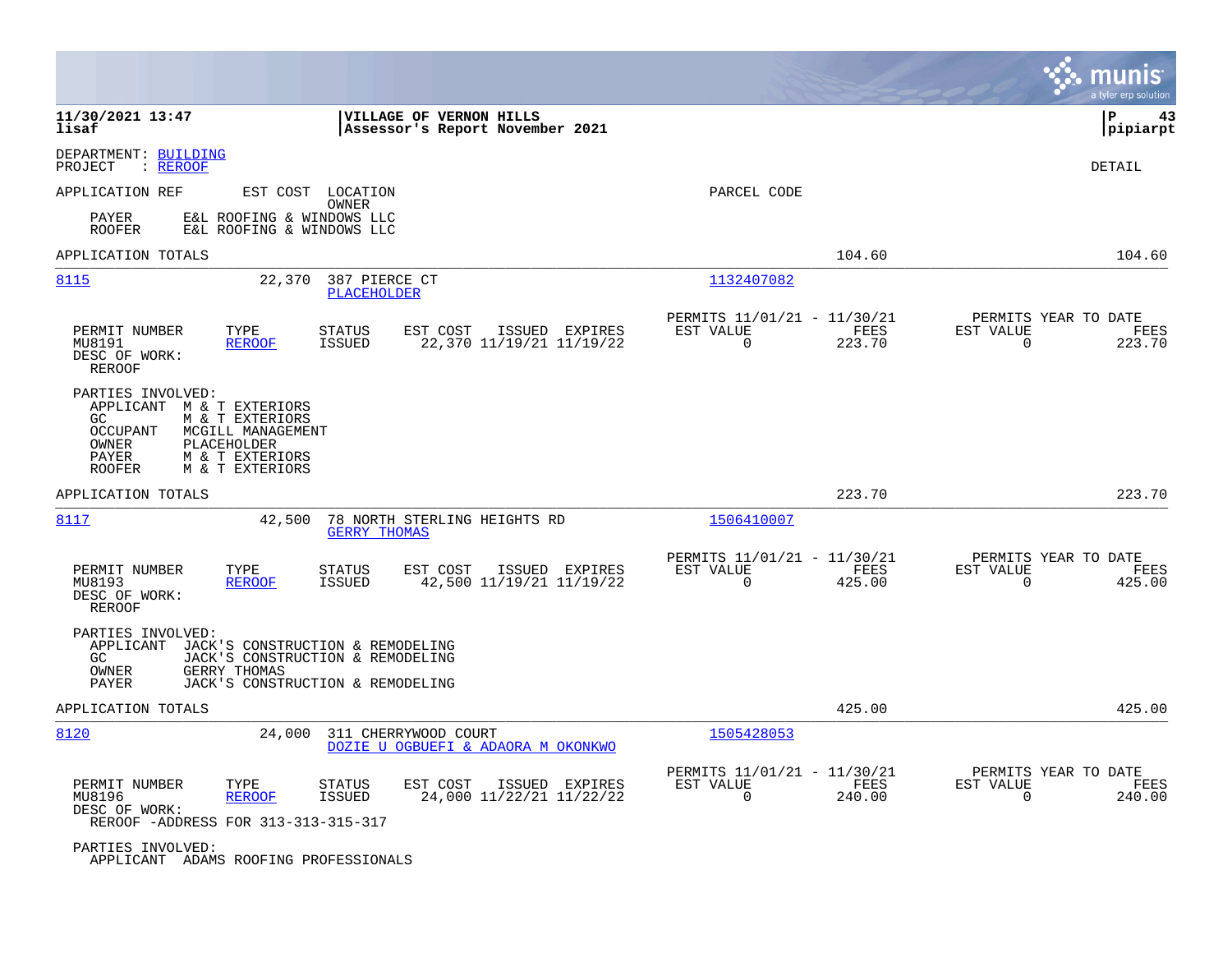|                                                                                                                                                                                                          |                                                                           | a tyler erp solution                                                  |
|----------------------------------------------------------------------------------------------------------------------------------------------------------------------------------------------------------|---------------------------------------------------------------------------|-----------------------------------------------------------------------|
| 11/30/2021 13:47<br>VILLAGE OF VERNON HILLS<br>lisaf<br>Assessor's Report November 2021                                                                                                                  |                                                                           | lР<br>43<br> pipiarpt                                                 |
| DEPARTMENT: BUILDING<br>: REROOF<br>PROJECT                                                                                                                                                              |                                                                           | DETAIL                                                                |
| APPLICATION REF<br>EST COST LOCATION<br>OWNER                                                                                                                                                            | PARCEL CODE                                                               |                                                                       |
| E&L ROOFING & WINDOWS LLC<br>PAYER<br>E&L ROOFING & WINDOWS LLC<br><b>ROOFER</b>                                                                                                                         |                                                                           |                                                                       |
| APPLICATION TOTALS                                                                                                                                                                                       | 104.60                                                                    | 104.60                                                                |
| 8115<br>22,370<br>387 PIERCE CT<br><b>PLACEHOLDER</b>                                                                                                                                                    | 1132407082                                                                |                                                                       |
| PERMIT NUMBER<br>TYPE<br><b>STATUS</b><br>EST COST<br>ISSUED EXPIRES<br><b>ISSUED</b><br>22,370 11/19/21 11/19/22<br>MU8191<br><b>REROOF</b><br>DESC OF WORK:<br><b>REROOF</b>                           | PERMITS 11/01/21 - 11/30/21<br>EST VALUE<br>FEES<br>$\mathbf 0$<br>223.70 | PERMITS YEAR TO DATE<br>EST VALUE<br>FEES<br>$\overline{0}$<br>223.70 |
| PARTIES INVOLVED:<br>APPLICANT M & T EXTERIORS<br>M & T EXTERIORS<br>GC.<br><b>OCCUPANT</b><br>MCGILL MANAGEMENT<br>OWNER<br>PLACEHOLDER<br>PAYER<br>M & T EXTERIORS<br><b>ROOFER</b><br>M & T EXTERIORS |                                                                           |                                                                       |
| APPLICATION TOTALS                                                                                                                                                                                       | 223.70                                                                    | 223.70                                                                |
| 8117<br>42,500<br>78 NORTH STERLING HEIGHTS RD<br><b>GERRY THOMAS</b>                                                                                                                                    | 1506410007                                                                |                                                                       |
| PERMIT NUMBER<br>TYPE<br><b>STATUS</b><br>EST COST<br>ISSUED EXPIRES<br>MU8193<br><b>REROOF</b><br><b>ISSUED</b><br>42,500 11/19/21 11/19/22<br>DESC OF WORK:<br>REROOF                                  | PERMITS 11/01/21 - 11/30/21<br>EST VALUE<br>FEES<br>$\Omega$<br>425.00    | PERMITS YEAR TO DATE<br>EST VALUE<br>FEES<br>$\mathbf 0$<br>425.00    |
| PARTIES INVOLVED:<br>APPLICANT<br>JACK'S CONSTRUCTION & REMODELING<br>JACK'S CONSTRUCTION & REMODELING<br>GC.<br>OWNER<br>GERRY THOMAS<br>PAYER<br>JACK'S CONSTRUCTION & REMODELING                      |                                                                           |                                                                       |
| APPLICATION TOTALS                                                                                                                                                                                       | 425.00                                                                    | 425.00                                                                |
| 8120<br>24,000<br>311 CHERRYWOOD COURT<br>DOZIE U OGBUEFI & ADAORA M OKONKWO                                                                                                                             | 1505428053                                                                |                                                                       |
| PERMIT NUMBER<br>TYPE<br><b>STATUS</b><br>EST COST<br>ISSUED EXPIRES<br>MU8196<br><b>REROOF</b><br><b>ISSUED</b><br>24,000 11/22/21 11/22/22<br>DESC OF WORK:<br>REROOF -ADDRESS FOR 313-313-315-317     | PERMITS 11/01/21 - 11/30/21<br>EST VALUE<br>FEES<br>$\Omega$<br>240.00    | PERMITS YEAR TO DATE<br>EST VALUE<br>FEES<br>$\Omega$<br>240.00       |
| PARTIES INVOLVED:                                                                                                                                                                                        |                                                                           |                                                                       |

APPLICANT ADAMS ROOFING PROFESSIONALS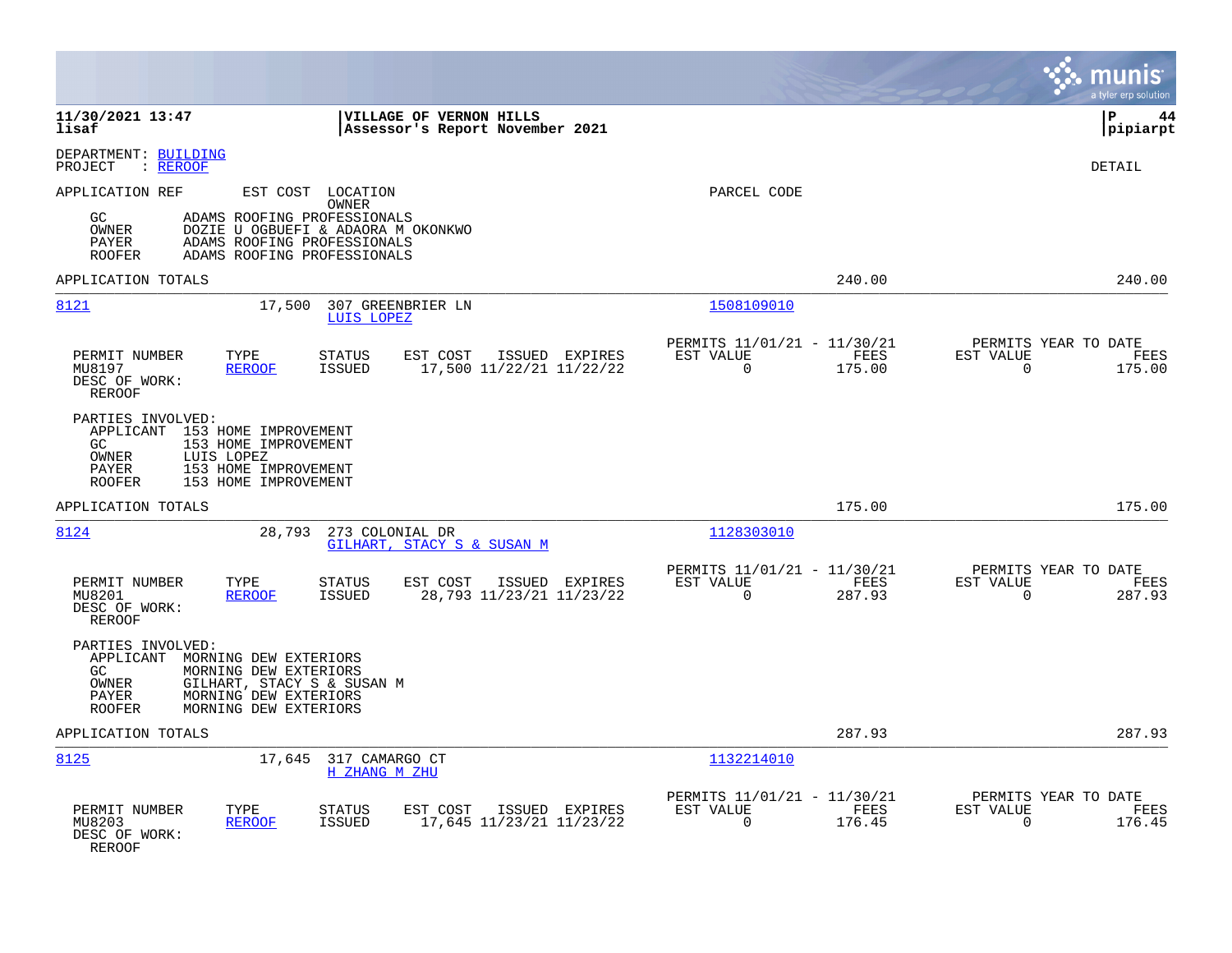|                                                                                                                                                                                                                           |                                                                        | a tyler erp solution                                               |
|---------------------------------------------------------------------------------------------------------------------------------------------------------------------------------------------------------------------------|------------------------------------------------------------------------|--------------------------------------------------------------------|
| 11/30/2021 13:47<br>VILLAGE OF VERNON HILLS<br>lisaf<br>Assessor's Report November 2021                                                                                                                                   |                                                                        | l P<br>44<br> pipiarpt                                             |
| DEPARTMENT: BUILDING<br>: REROOF<br>PROJECT                                                                                                                                                                               |                                                                        | <b>DETAIL</b>                                                      |
| APPLICATION REF<br>EST COST LOCATION<br>OWNER<br>ADAMS ROOFING PROFESSIONALS<br>GC<br>OWNER<br>DOZIE U OGBUEFI & ADAORA M OKONKWO<br>PAYER<br>ADAMS ROOFING PROFESSIONALS<br>ADAMS ROOFING PROFESSIONALS<br><b>ROOFER</b> | PARCEL CODE                                                            |                                                                    |
| APPLICATION TOTALS                                                                                                                                                                                                        | 240.00                                                                 | 240.00                                                             |
| 8121<br>17,500<br>307 GREENBRIER LN<br>LUIS LOPEZ                                                                                                                                                                         | 1508109010                                                             |                                                                    |
| PERMIT NUMBER<br>TYPE<br>STATUS<br>EST COST<br>ISSUED EXPIRES<br>17,500 11/22/21 11/22/22<br>MU8197<br><b>REROOF</b><br>ISSUED<br>DESC OF WORK:<br>REROOF                                                                 | PERMITS 11/01/21 - 11/30/21<br>EST VALUE<br>FEES<br>175.00<br>$\Omega$ | PERMITS YEAR TO DATE<br>EST VALUE<br>FEES<br>$\Omega$<br>175.00    |
| PARTIES INVOLVED:<br>APPLICANT 153 HOME IMPROVEMENT<br>GC<br>153 HOME IMPROVEMENT<br>OWNER<br>LUIS LOPEZ<br>153 HOME IMPROVEMENT<br>PAYER<br><b>ROOFER</b><br>153 HOME IMPROVEMENT                                        |                                                                        |                                                                    |
| APPLICATION TOTALS                                                                                                                                                                                                        | 175.00                                                                 | 175.00                                                             |
| 8124<br>28,793<br>273 COLONIAL DR<br>GILHART, STACY S & SUSAN M                                                                                                                                                           | 1128303010                                                             |                                                                    |
| PERMIT NUMBER<br>TYPE<br><b>STATUS</b><br>EST COST<br>ISSUED EXPIRES<br>28,793 11/23/21 11/23/22<br>MU8201<br><b>REROOF</b><br>ISSUED<br>DESC OF WORK:<br><b>REROOF</b>                                                   | PERMITS 11/01/21 - 11/30/21<br>EST VALUE<br>FEES<br>$\Omega$<br>287.93 | PERMITS YEAR TO DATE<br>EST VALUE<br>FEES<br>$\mathbf 0$<br>287.93 |
| PARTIES INVOLVED:<br>APPLICANT MORNING DEW EXTERIORS<br>GC<br>MORNING DEW EXTERIORS<br>GILHART, STACY S & SUSAN M<br>OWNER<br>MORNING DEW EXTERIORS<br>PAYER<br>MORNING DEW EXTERIORS<br><b>ROOFER</b>                    |                                                                        |                                                                    |
| APPLICATION TOTALS                                                                                                                                                                                                        | 287.93                                                                 | 287.93                                                             |
| 8125<br>17,645 317 CAMARGO CT<br><b>H ZHANG M ZHU</b>                                                                                                                                                                     | 1132214010                                                             |                                                                    |
| PERMIT NUMBER<br>TYPE<br><b>STATUS</b><br>EST COST<br>ISSUED EXPIRES<br>17,645 11/23/21 11/23/22<br>MU8203<br><b>REROOF</b><br><b>ISSUED</b><br>DESC OF WORK:<br>REROOF                                                   | PERMITS 11/01/21 - 11/30/21<br>EST VALUE<br>FEES<br>$\Omega$<br>176.45 | PERMITS YEAR TO DATE<br>EST VALUE<br>FEES<br>$\Omega$<br>176.45    |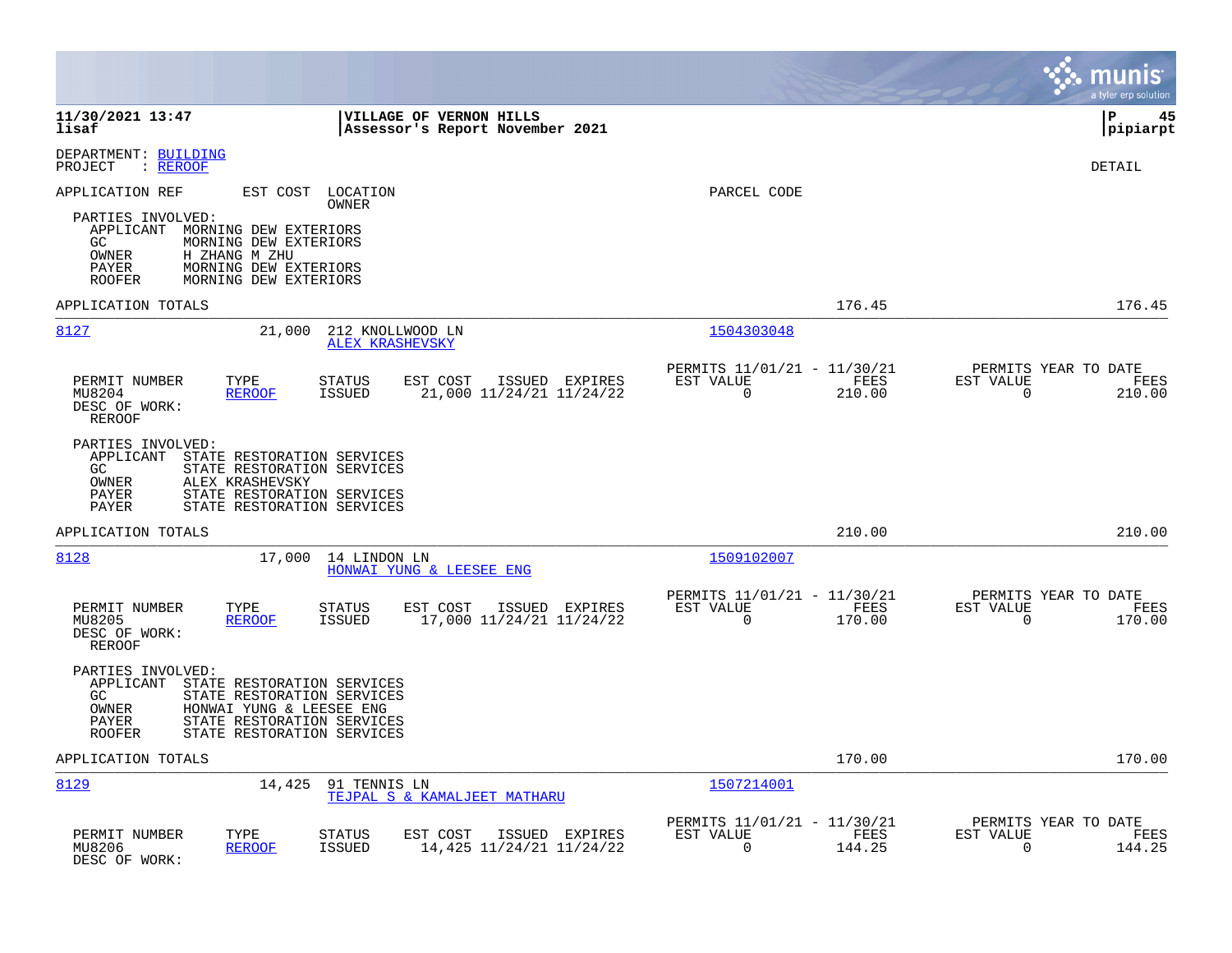|                                                                                                                                                                                                                             |                                                                           | munis<br>a tyler erp solution                                      |
|-----------------------------------------------------------------------------------------------------------------------------------------------------------------------------------------------------------------------------|---------------------------------------------------------------------------|--------------------------------------------------------------------|
| 11/30/2021 13:47<br>VILLAGE OF VERNON HILLS<br>lisaf<br>Assessor's Report November 2021                                                                                                                                     |                                                                           | l P<br>45<br> pipiarpt                                             |
| DEPARTMENT: BUILDING<br>: REROOF<br>PROJECT                                                                                                                                                                                 |                                                                           | DETAIL                                                             |
| APPLICATION REF<br>EST COST<br>LOCATION                                                                                                                                                                                     | PARCEL CODE                                                               |                                                                    |
| OWNER<br>PARTIES INVOLVED:<br>APPLICANT<br>MORNING DEW EXTERIORS<br>MORNING DEW EXTERIORS<br>GC.<br>OWNER<br>H ZHANG M ZHU<br>PAYER<br>MORNING DEW EXTERIORS<br>MORNING DEW EXTERIORS<br><b>ROOFER</b>                      |                                                                           |                                                                    |
| APPLICATION TOTALS                                                                                                                                                                                                          | 176.45                                                                    | 176.45                                                             |
| 8127<br>21,000<br>212 KNOLLWOOD LN<br>ALEX KRASHEVSKY                                                                                                                                                                       | 1504303048                                                                |                                                                    |
| PERMIT NUMBER<br>TYPE<br><b>STATUS</b><br>EST COST<br>ISSUED EXPIRES<br>MU8204<br><b>REROOF</b><br><b>ISSUED</b><br>21,000 11/24/21 11/24/22<br>DESC OF WORK:<br><b>REROOF</b>                                              | PERMITS 11/01/21 - 11/30/21<br>EST VALUE<br>FEES<br>$\mathbf 0$<br>210.00 | PERMITS YEAR TO DATE<br>EST VALUE<br>FEES<br>$\mathbf 0$<br>210.00 |
| PARTIES INVOLVED:<br>APPLICANT<br>STATE RESTORATION SERVICES<br>STATE RESTORATION SERVICES<br>GC.<br>ALEX KRASHEVSKY<br>OWNER<br>PAYER<br>STATE RESTORATION SERVICES<br>PAYER<br>STATE RESTORATION SERVICES                 |                                                                           |                                                                    |
| APPLICATION TOTALS                                                                                                                                                                                                          | 210.00                                                                    | 210.00                                                             |
| 8128<br>17,000<br>14 LINDON LN<br>HONWAI YUNG & LEESEE ENG                                                                                                                                                                  | 1509102007                                                                |                                                                    |
| PERMIT NUMBER<br>TYPE<br><b>STATUS</b><br>EST COST<br>ISSUED EXPIRES<br>17,000 11/24/21 11/24/22<br>MU8205<br><b>REROOF</b><br><b>ISSUED</b><br>DESC OF WORK:<br><b>REROOF</b>                                              | PERMITS 11/01/21 - 11/30/21<br>EST VALUE<br>FEES<br>$\mathbf 0$<br>170.00 | PERMITS YEAR TO DATE<br>EST VALUE<br>FEES<br>$\mathbf 0$<br>170.00 |
| PARTIES INVOLVED:<br>APPLICANT<br>STATE RESTORATION SERVICES<br>GC<br>STATE RESTORATION SERVICES<br>OWNER<br>HONWAI YUNG & LEESEE ENG<br>STATE RESTORATION SERVICES<br>PAYER<br>STATE RESTORATION SERVICES<br><b>ROOFER</b> |                                                                           |                                                                    |
| APPLICATION TOTALS                                                                                                                                                                                                          | 170.00                                                                    | 170.00                                                             |
| 8129<br>14,425<br>91 TENNIS LN<br>TEJPAL S & KAMALJEET MATHARU                                                                                                                                                              | 1507214001                                                                |                                                                    |
| PERMIT NUMBER<br>TYPE<br>STATUS<br>EST COST<br>ISSUED EXPIRES<br>14,425 11/24/21 11/24/22<br>MU8206<br><b>REROOF</b><br><b>ISSUED</b><br>DESC OF WORK:                                                                      | PERMITS 11/01/21 - 11/30/21<br>EST VALUE<br>FEES<br>$\mathbf 0$<br>144.25 | PERMITS YEAR TO DATE<br>EST VALUE<br>FEES<br>$\mathbf 0$<br>144.25 |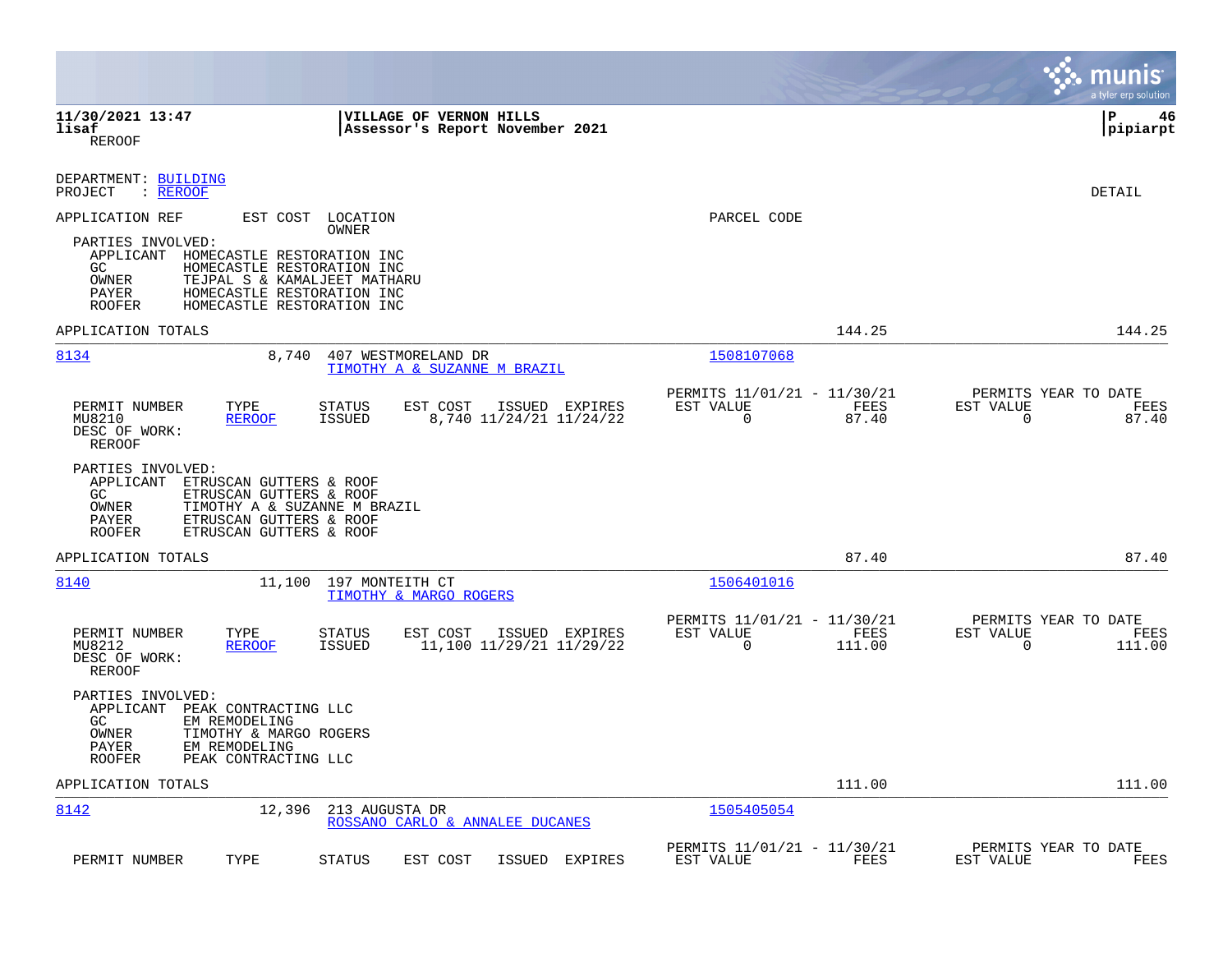|                                                                                                                                                                                                                               |                                                                           | munis<br>a tyler erp solution                                   |
|-------------------------------------------------------------------------------------------------------------------------------------------------------------------------------------------------------------------------------|---------------------------------------------------------------------------|-----------------------------------------------------------------|
| 11/30/2021 13:47<br><b>VILLAGE OF VERNON HILLS</b><br>lisaf<br>Assessor's Report November 2021<br>REROOF                                                                                                                      |                                                                           | l P<br>46<br> pipiarpt                                          |
| DEPARTMENT: BUILDING<br>PROJECT<br>: REROOF                                                                                                                                                                                   |                                                                           | DETAIL                                                          |
| APPLICATION REF<br>EST COST LOCATION<br><b>OWNER</b>                                                                                                                                                                          | PARCEL CODE                                                               |                                                                 |
| PARTIES INVOLVED:<br>APPLICANT HOMECASTLE RESTORATION INC<br>GC.<br>HOMECASTLE RESTORATION INC<br>OWNER<br>TEJPAL S & KAMALJEET MATHARU<br>PAYER<br>HOMECASTLE RESTORATION INC<br>HOMECASTLE RESTORATION INC<br><b>ROOFER</b> |                                                                           |                                                                 |
| APPLICATION TOTALS                                                                                                                                                                                                            | 144.25                                                                    | 144.25                                                          |
| 8134<br>8,740<br>407 WESTMORELAND DR<br>TIMOTHY A & SUZANNE M BRAZIL                                                                                                                                                          | 1508107068                                                                |                                                                 |
| TYPE<br>EST COST<br>PERMIT NUMBER<br><b>STATUS</b><br>ISSUED EXPIRES<br>8,740 11/24/21 11/24/22<br>MU8210<br><b>REROOF</b><br>ISSUED<br>DESC OF WORK:<br>REROOF                                                               | PERMITS 11/01/21 - 11/30/21<br>EST VALUE<br>FEES<br>$\mathbf 0$<br>87.40  | PERMITS YEAR TO DATE<br>EST VALUE<br>FEES<br>0<br>87.40         |
| PARTIES INVOLVED:<br>APPLICANT<br>ETRUSCAN GUTTERS & ROOF<br>GC.<br>ETRUSCAN GUTTERS & ROOF<br>OWNER<br>TIMOTHY A & SUZANNE M BRAZIL<br>PAYER<br>ETRUSCAN GUTTERS & ROOF<br>ETRUSCAN GUTTERS & ROOF<br><b>ROOFER</b>          |                                                                           |                                                                 |
| APPLICATION TOTALS                                                                                                                                                                                                            | 87.40                                                                     | 87.40                                                           |
| 8140<br>11,100<br>197 MONTEITH CT<br>TIMOTHY & MARGO ROGERS                                                                                                                                                                   | 1506401016                                                                |                                                                 |
| PERMIT NUMBER<br>TYPE<br><b>STATUS</b><br>EST COST<br>ISSUED EXPIRES<br>MU8212<br><b>REROOF</b><br><b>ISSUED</b><br>11,100 11/29/21 11/29/22<br>DESC OF WORK:<br><b>REROOF</b>                                                | PERMITS 11/01/21 - 11/30/21<br>EST VALUE<br>FEES<br>$\mathbf 0$<br>111.00 | PERMITS YEAR TO DATE<br>EST VALUE<br>FEES<br>$\Omega$<br>111.00 |
| PARTIES INVOLVED:<br>APPLICANT<br>PEAK CONTRACTING LLC<br>GC<br>EM REMODELING<br>OWNER<br>TIMOTHY & MARGO ROGERS<br>PAYER<br>EM REMODELING<br><b>ROOFER</b><br>PEAK CONTRACTING LLC                                           |                                                                           |                                                                 |
| APPLICATION TOTALS                                                                                                                                                                                                            | 111.00                                                                    | 111.00                                                          |
| 8142<br>12,396<br>213 AUGUSTA DR<br>ROSSANO CARLO & ANNALEE DUCANES                                                                                                                                                           | 1505405054                                                                |                                                                 |
| TYPE<br>ISSUED<br>PERMIT NUMBER<br>STATUS<br>EST COST<br>EXPIRES                                                                                                                                                              | PERMITS 11/01/21 - 11/30/21<br>EST VALUE<br>FEES                          | PERMITS YEAR TO DATE<br>EST VALUE<br>FEES                       |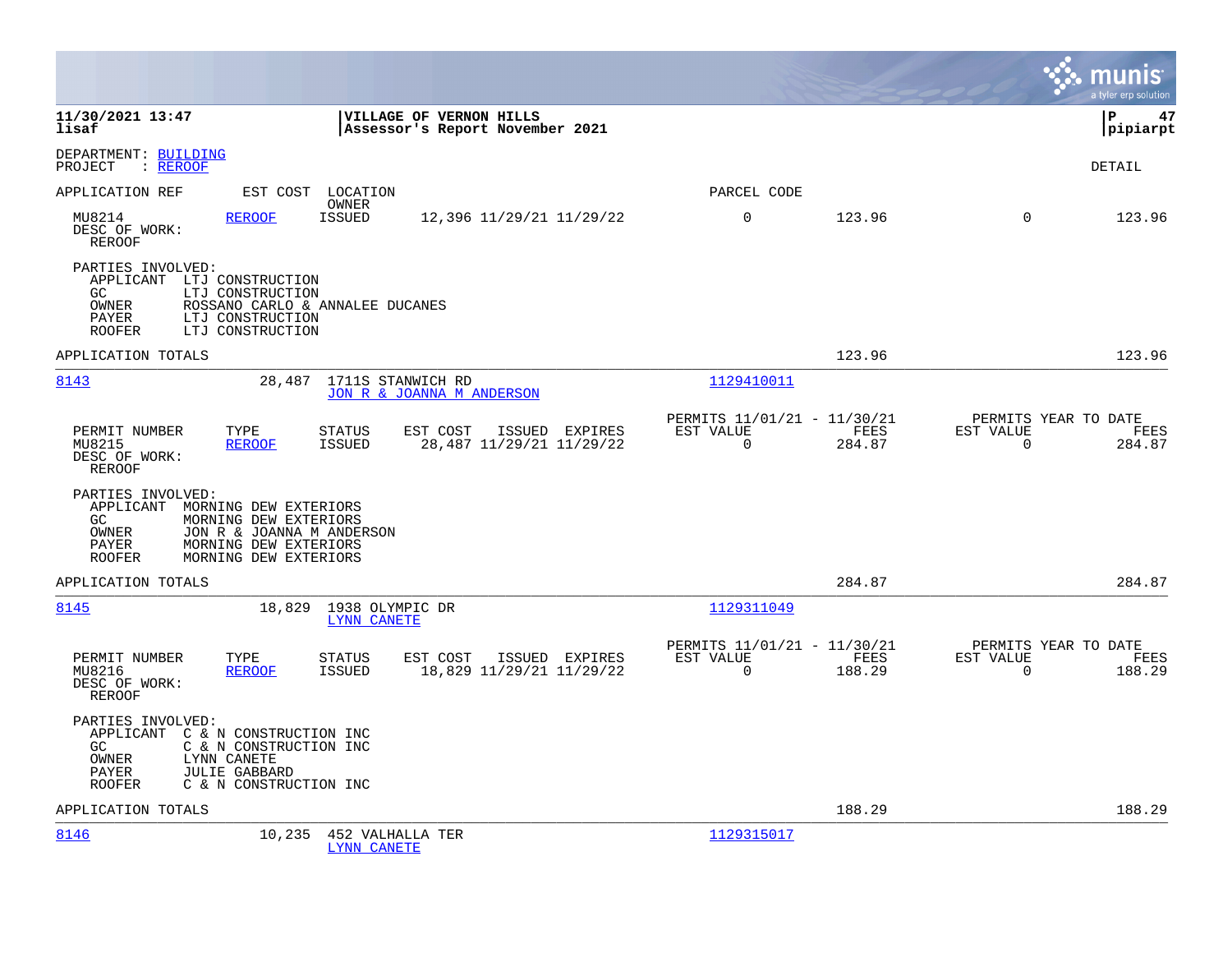|                                                                                                       |                                                                                                      |                                                            |                |                                                         |                |                                                  | munis<br>a tyler erp solution |
|-------------------------------------------------------------------------------------------------------|------------------------------------------------------------------------------------------------------|------------------------------------------------------------|----------------|---------------------------------------------------------|----------------|--------------------------------------------------|-------------------------------|
| 11/30/2021 13:47<br>lisaf                                                                             |                                                                                                      | VILLAGE OF VERNON HILLS<br>Assessor's Report November 2021 |                |                                                         |                |                                                  | 47<br>l P<br> pipiarpt        |
| DEPARTMENT: BUILDING<br>PROJECT<br>$:$ REROOF                                                         |                                                                                                      |                                                            |                |                                                         |                |                                                  | DETAIL                        |
| APPLICATION REF                                                                                       | EST COST LOCATION                                                                                    |                                                            |                | PARCEL CODE                                             |                |                                                  |                               |
| MU8214<br>DESC OF WORK:<br>REROOF                                                                     | OWNER<br><b>ISSUED</b><br><b>REROOF</b>                                                              | 12,396 11/29/21 11/29/22                                   |                | 0                                                       | 123.96         | $\mathbf 0$                                      | 123.96                        |
| PARTIES INVOLVED:<br>APPLICANT LTJ CONSTRUCTION<br>GC.<br>OWNER<br>PAYER<br><b>ROOFER</b>             | LTJ CONSTRUCTION<br>ROSSANO CARLO & ANNALEE DUCANES<br>LTJ CONSTRUCTION<br>LTJ CONSTRUCTION          |                                                            |                |                                                         |                |                                                  |                               |
| APPLICATION TOTALS                                                                                    |                                                                                                      |                                                            |                |                                                         | 123.96         |                                                  | 123.96                        |
| 8143                                                                                                  | 28,487                                                                                               | 1711S STANWICH RD<br>JON R & JOANNA M ANDERSON             |                | 1129410011                                              |                |                                                  |                               |
| PERMIT NUMBER<br>MU8215<br>DESC OF WORK:<br>REROOF                                                    | TYPE<br><b>STATUS</b><br><b>REROOF</b><br>ISSUED                                                     | EST COST<br>28,487 11/29/21 11/29/22                       | ISSUED EXPIRES | PERMITS 11/01/21 - 11/30/21<br>EST VALUE<br>$\Omega$    | FEES<br>284.87 | PERMITS YEAR TO DATE<br>EST VALUE<br>$\Omega$    | FEES<br>284.87                |
| PARTIES INVOLVED:<br>APPLICANT MORNING DEW EXTERIORS<br>GC.<br>OWNER<br>PAYER<br><b>ROOFER</b>        | MORNING DEW EXTERIORS<br>JON R & JOANNA M ANDERSON<br>MORNING DEW EXTERIORS<br>MORNING DEW EXTERIORS |                                                            |                |                                                         |                |                                                  |                               |
| APPLICATION TOTALS                                                                                    |                                                                                                      |                                                            |                |                                                         | 284.87         |                                                  | 284.87                        |
| 8145                                                                                                  | 18,829 1938 OLYMPIC DR                                                                               | LYNN CANETE                                                |                | 1129311049                                              |                |                                                  |                               |
| PERMIT NUMBER<br>MU8216<br>DESC OF WORK:<br><b>REROOF</b>                                             | TYPE<br><b>STATUS</b><br><b>REROOF</b><br>ISSUED                                                     | EST COST<br>18,829 11/29/21 11/29/22                       | ISSUED EXPIRES | PERMITS 11/01/21 - 11/30/21<br>EST VALUE<br>$\mathbf 0$ | FEES<br>188.29 | PERMITS YEAR TO DATE<br>EST VALUE<br>$\mathbf 0$ | FEES<br>188.29                |
| PARTIES INVOLVED:<br>APPLICANT C & N CONSTRUCTION INC<br>GC<br><b>OWNER</b><br>PAYER<br><b>ROOFER</b> | C & N CONSTRUCTION INC<br>LYNN CANETE<br><b>JULIE GABBARD</b><br>C & N CONSTRUCTION INC              |                                                            |                |                                                         |                |                                                  |                               |
| APPLICATION TOTALS                                                                                    |                                                                                                      |                                                            |                |                                                         | 188.29         |                                                  | 188.29                        |
| 8146                                                                                                  | 10,235                                                                                               | 452 VALHALLA TER<br>LYNN CANETE                            |                | 1129315017                                              |                |                                                  |                               |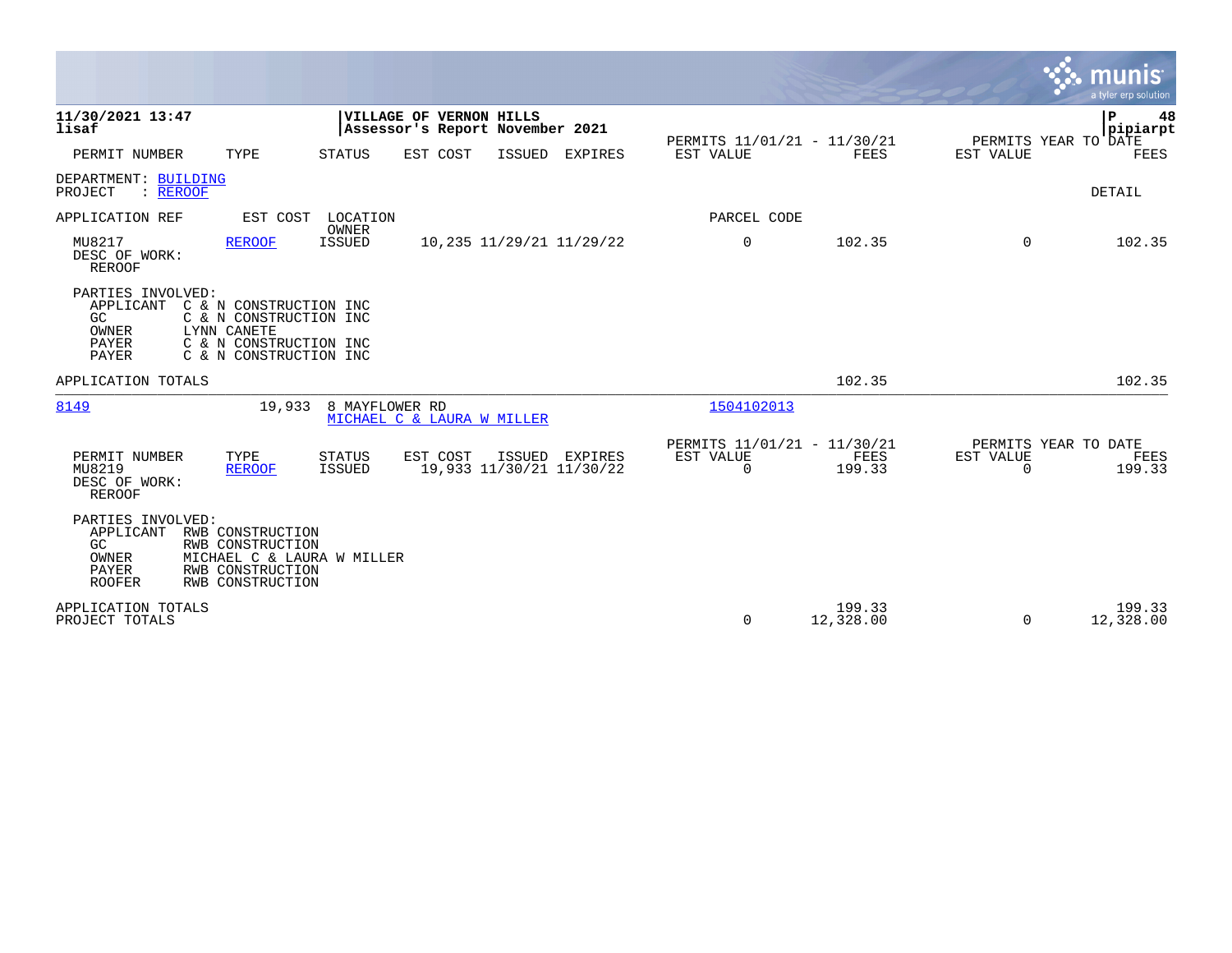|                                                                          |                                                                                                                     |                                              |                                                            |        |                                            |                                               |                     |                       | $\ddot{\mathbf{v}}$ munis<br>a tyler erp solution |
|--------------------------------------------------------------------------|---------------------------------------------------------------------------------------------------------------------|----------------------------------------------|------------------------------------------------------------|--------|--------------------------------------------|-----------------------------------------------|---------------------|-----------------------|---------------------------------------------------|
| 11/30/2021 13:47<br>lisaf                                                |                                                                                                                     |                                              | VILLAGE OF VERNON HILLS<br>Assessor's Report November 2021 |        |                                            | PERMITS 11/01/21 - 11/30/21                   |                     |                       | l P<br>48<br> pipiarpt<br>PERMITS YEAR TO DATE    |
| PERMIT NUMBER                                                            | TYPE                                                                                                                | <b>STATUS</b>                                | EST COST                                                   | ISSUED | <b>EXPIRES</b>                             | EST VALUE                                     | <b>FEES</b>         | <b>EST VALUE</b>      | <b>FEES</b>                                       |
| DEPARTMENT: BUILDING<br>: REROOF<br>PROJECT                              |                                                                                                                     |                                              |                                                            |        |                                            |                                               |                     |                       | DETAIL                                            |
| APPLICATION REF                                                          | EST COST                                                                                                            | LOCATION                                     |                                                            |        |                                            | PARCEL CODE                                   |                     |                       |                                                   |
| MU8217<br>DESC OF WORK:<br><b>REROOF</b>                                 | <b>REROOF</b>                                                                                                       | OWNER<br><b>ISSUED</b>                       |                                                            |        | 10,235 11/29/21 11/29/22                   | 0                                             | 102.35              | $\Omega$              | 102.35                                            |
| PARTIES INVOLVED:<br>APPLICANT<br>GC<br>OWNER<br>PAYER<br>PAYER          | C & N CONSTRUCTION INC<br>C & N CONSTRUCTION INC<br>LYNN CANETE<br>C & N CONSTRUCTION INC<br>C & N CONSTRUCTION INC |                                              |                                                            |        |                                            |                                               |                     |                       |                                                   |
| APPLICATION TOTALS                                                       |                                                                                                                     |                                              |                                                            |        |                                            |                                               | 102.35              |                       | 102.35                                            |
| 8149                                                                     | 19,933                                                                                                              | 8 MAYFLOWER RD<br>MICHAEL C & LAURA W MILLER |                                                            |        |                                            | 1504102013                                    |                     |                       |                                                   |
| PERMIT NUMBER<br>MU8219<br>DESC OF WORK:<br><b>REROOF</b>                | TYPE<br><b>REROOF</b>                                                                                               | <b>STATUS</b><br><b>ISSUED</b>               | EST COST                                                   |        | ISSUED EXPIRES<br>19,933 11/30/21 11/30/22 | PERMITS 11/01/21 - 11/30/21<br>EST VALUE<br>0 | FEES<br>199.33      | EST VALUE<br>$\Omega$ | PERMITS YEAR TO DATE<br>FEES<br>199.33            |
| PARTIES INVOLVED:<br>APPLICANT<br>GC.<br>OWNER<br>PAYER<br><b>ROOFER</b> | RWB CONSTRUCTION<br>RWB CONSTRUCTION<br>MICHAEL C & LAURA W MILLER<br>RWB CONSTRUCTION<br>RWB CONSTRUCTION          |                                              |                                                            |        |                                            |                                               |                     |                       |                                                   |
| APPLICATION TOTALS<br>PROJECT TOTALS                                     |                                                                                                                     |                                              |                                                            |        |                                            | 0                                             | 199.33<br>12,328.00 | $\Omega$              | 199.33<br>12,328.00                               |

**The State**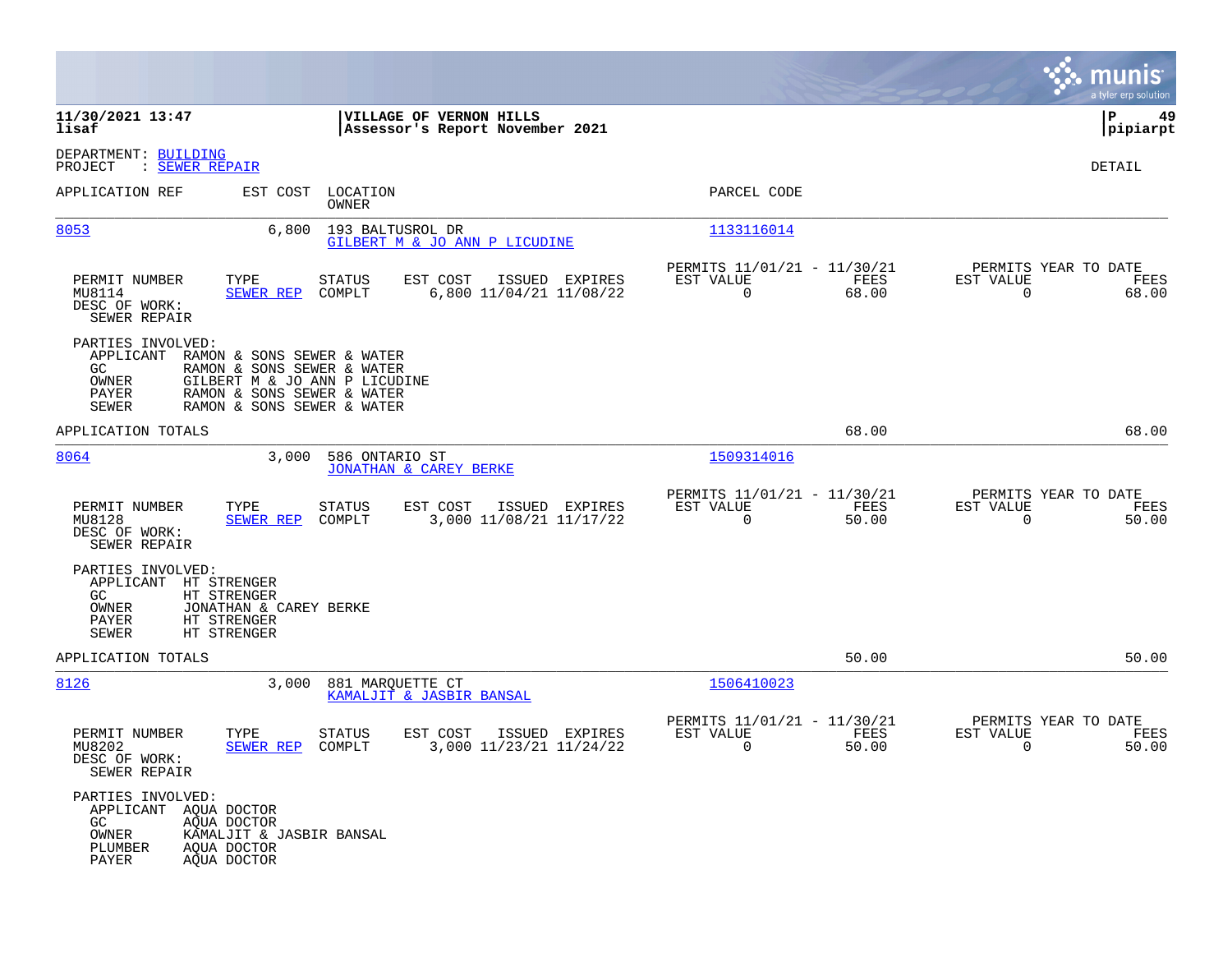|                                                                                                                                                                                                 |                                                                                  |                                                                          | munis<br>a tyler erp solution                                     |
|-------------------------------------------------------------------------------------------------------------------------------------------------------------------------------------------------|----------------------------------------------------------------------------------|--------------------------------------------------------------------------|-------------------------------------------------------------------|
| 11/30/2021 13:47<br>lisaf                                                                                                                                                                       | VILLAGE OF VERNON HILLS<br>Assessor's Report November 2021                       |                                                                          | ΙP<br>49<br> pipiarpt                                             |
| DEPARTMENT: BUILDING<br>: SEWER REPAIR<br>PROJECT                                                                                                                                               |                                                                                  |                                                                          | DETAIL                                                            |
| APPLICATION REF<br>EST COST                                                                                                                                                                     | LOCATION<br>OWNER                                                                | PARCEL CODE                                                              |                                                                   |
| 8053<br>6,800                                                                                                                                                                                   | 193 BALTUSROL DR<br>GILBERT M & JO ANN P LICUDINE                                | 1133116014                                                               |                                                                   |
| PERMIT NUMBER<br>TYPE<br>MU8114<br><b>SEWER REP</b><br>DESC OF WORK:<br>SEWER REPAIR                                                                                                            | <b>STATUS</b><br>EST COST<br>ISSUED EXPIRES<br>6,800 11/04/21 11/08/22<br>COMPLT | PERMITS 11/01/21 - 11/30/21<br>EST VALUE<br>FEES<br>68.00<br>$\mathbf 0$ | PERMITS YEAR TO DATE<br>EST VALUE<br>FEES<br>$\Omega$<br>68.00    |
| PARTIES INVOLVED:<br>APPLICANT<br>RAMON & SONS SEWER & WATER<br>GC.<br>RAMON & SONS SEWER & WATER<br>OWNER<br>PAYER<br>RAMON & SONS SEWER & WATER<br><b>SEWER</b><br>RAMON & SONS SEWER & WATER | GILBERT M & JO ANN P LICUDINE                                                    |                                                                          |                                                                   |
| APPLICATION TOTALS                                                                                                                                                                              |                                                                                  | 68.00                                                                    | 68.00                                                             |
| 8064<br>3,000                                                                                                                                                                                   | 586 ONTARIO ST<br><b>JONATHAN &amp; CAREY BERKE</b>                              | 1509314016                                                               |                                                                   |
| PERMIT NUMBER<br>TYPE<br>MU8128<br><b>SEWER REP</b><br>DESC OF WORK:<br>SEWER REPAIR                                                                                                            | <b>STATUS</b><br>EST COST<br>ISSUED EXPIRES<br>COMPLT<br>3,000 11/08/21 11/17/22 | PERMITS 11/01/21 - 11/30/21<br>EST VALUE<br>FEES<br>$\mathbf 0$<br>50.00 | PERMITS YEAR TO DATE<br>EST VALUE<br>FEES<br>$\mathbf 0$<br>50.00 |
| PARTIES INVOLVED:<br>APPLICANT<br>HT STRENGER<br>GC<br>HT STRENGER<br>OWNER<br>JONATHAN & CAREY BERKE<br>PAYER<br>HT STRENGER<br><b>SEWER</b><br>HT STRENGER                                    |                                                                                  |                                                                          |                                                                   |
| APPLICATION TOTALS                                                                                                                                                                              |                                                                                  | 50.00                                                                    | 50.00                                                             |
| 8126<br>3,000                                                                                                                                                                                   | 881 MARQUETTE CT<br>KAMALJIT & JASBIR BANSAL                                     | 1506410023                                                               |                                                                   |
| PERMIT NUMBER<br>TYPE<br>MU8202<br>SEWER REP<br>DESC OF WORK:<br>SEWER REPAIR                                                                                                                   | STATUS<br>EST COST<br>ISSUED EXPIRES<br>3,000 11/23/21 11/24/22<br>COMPLT        | PERMITS 11/01/21 - 11/30/21<br>EST VALUE<br>FEES<br>0<br>50.00           | PERMITS YEAR TO DATE<br>EST VALUE<br>FEES<br>0<br>50.00           |
| PARTIES INVOLVED:<br>APPLICANT AOUA DOCTOR<br>GC<br>AQUA DOCTOR<br>OWNER<br>KAMALJIT & JASBIR BANSAL<br>PLUMBER<br>AQUA DOCTOR<br>PAYER<br>AOUA DOCTOR                                          |                                                                                  |                                                                          |                                                                   |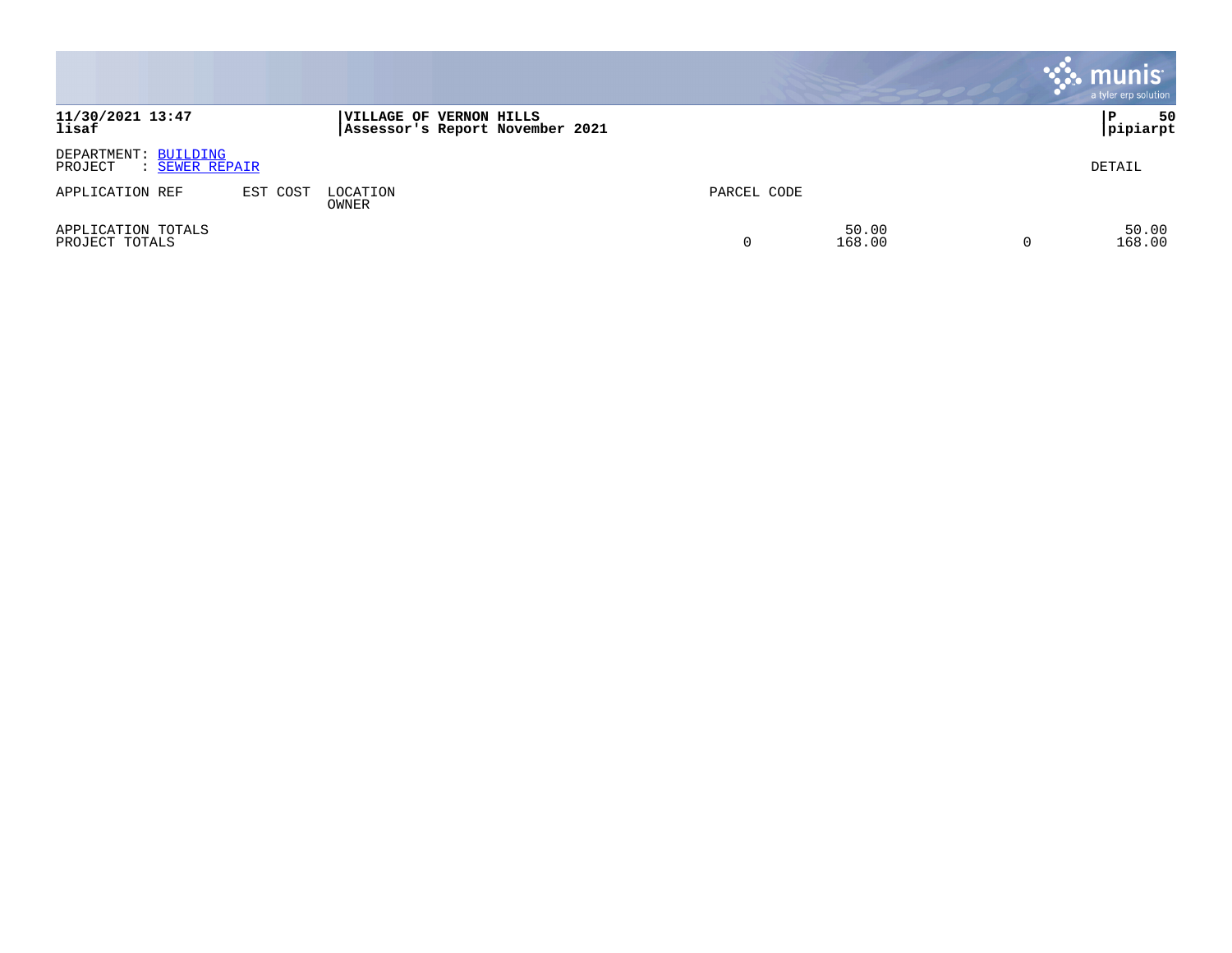|                                                   |          |                                                            |             |                 | <b>munis</b><br>a tyler erp solution |
|---------------------------------------------------|----------|------------------------------------------------------------|-------------|-----------------|--------------------------------------|
| 11/30/2021 13:47<br>lisaf                         |          | VILLAGE OF VERNON HILLS<br>Assessor's Report November 2021 |             |                 | 50<br>P<br> pipiarpt                 |
| DEPARTMENT: BUILDING<br>PROJECT<br>: SEWER REPAIR |          |                                                            |             |                 | DETAIL                               |
| APPLICATION REF                                   | EST COST | LOCATION<br>OWNER                                          | PARCEL CODE |                 |                                      |
| APPLICATION TOTALS<br>PROJECT TOTALS              |          |                                                            |             | 50.00<br>168.00 | 50.00<br>168.00                      |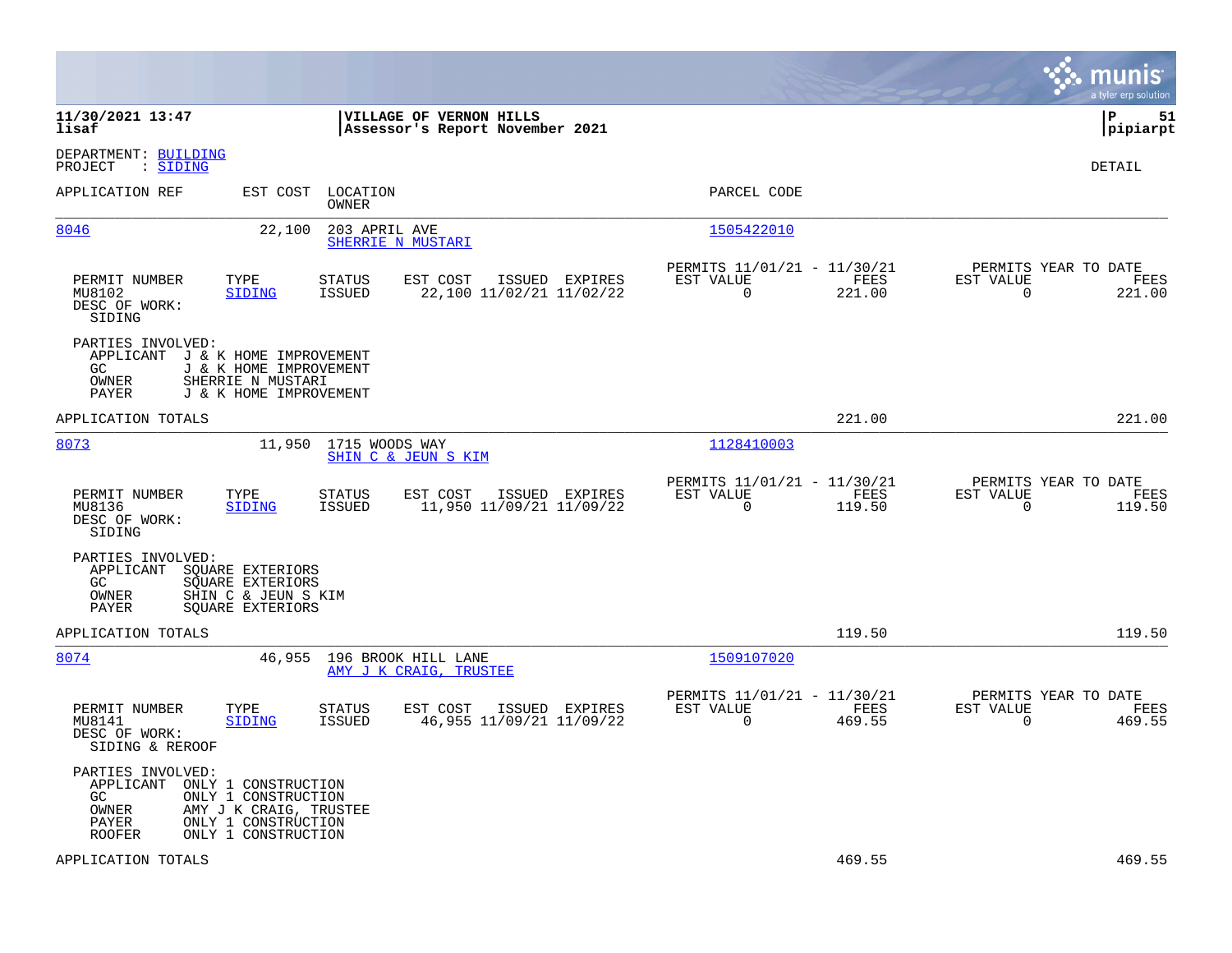|                                                                                                                                                               |                                                                                   |                                                                              | munis<br>a tyler erp solution                                      |
|---------------------------------------------------------------------------------------------------------------------------------------------------------------|-----------------------------------------------------------------------------------|------------------------------------------------------------------------------|--------------------------------------------------------------------|
| 11/30/2021 13:47<br>lisaf                                                                                                                                     | VILLAGE OF VERNON HILLS<br>Assessor's Report November 2021                        |                                                                              | lР<br>51<br> pipiarpt                                              |
| DEPARTMENT: BUILDING<br>PROJECT<br>: SIDING                                                                                                                   |                                                                                   |                                                                              | DETAIL                                                             |
| APPLICATION REF                                                                                                                                               | EST COST<br>LOCATION<br>OWNER                                                     | PARCEL CODE                                                                  |                                                                    |
| 8046                                                                                                                                                          | 22,100<br>203 APRIL AVE<br>SHERRIE N MUSTARI                                      | 1505422010                                                                   |                                                                    |
| PERMIT NUMBER<br>TYPE<br>MU8102<br><b>SIDING</b><br>DESC OF WORK:<br>SIDING                                                                                   | STATUS<br>EST COST<br>ISSUED EXPIRES<br><b>ISSUED</b><br>22,100 11/02/21 11/02/22 | PERMITS 11/01/21 - 11/30/21<br>EST VALUE<br>FEES<br>$\overline{0}$<br>221.00 | PERMITS YEAR TO DATE<br>EST VALUE<br>FEES<br>221.00<br>0           |
| PARTIES INVOLVED:<br>APPLICANT<br>J & K HOME IMPROVEMENT<br>GC.<br>SHERRIE N MUSTARI<br>OWNER<br>PAYER                                                        | J & K HOME IMPROVEMENT<br>J & K HOME IMPROVEMENT                                  |                                                                              |                                                                    |
| APPLICATION TOTALS                                                                                                                                            |                                                                                   | 221.00                                                                       | 221.00                                                             |
| 8073                                                                                                                                                          | 11,950<br>1715 WOODS WAY<br>SHIN C & JEUN S KIM                                   | 1128410003                                                                   |                                                                    |
| PERMIT NUMBER<br>TYPE<br>MU8136<br><b>SIDING</b><br>DESC OF WORK:<br>SIDING                                                                                   | ISSUED EXPIRES<br>STATUS<br>EST COST<br>11,950 11/09/21 11/09/22<br>ISSUED        | PERMITS 11/01/21 - 11/30/21<br>EST VALUE<br>FEES<br>$\Omega$<br>119.50       | PERMITS YEAR TO DATE<br>EST VALUE<br>FEES<br>$\Omega$<br>119.50    |
| PARTIES INVOLVED:<br>APPLICANT<br>SOUARE EXTERIORS<br>GC.<br>SOUARE EXTERIORS<br>OWNER<br>SHIN C & JEUN S KIM<br>PAYER<br>SOUARE EXTERIORS                    |                                                                                   |                                                                              |                                                                    |
| APPLICATION TOTALS                                                                                                                                            |                                                                                   | 119.50                                                                       | 119.50                                                             |
| 8074                                                                                                                                                          | 46,955<br>196 BROOK HILL LANE<br>AMY J K CRAIG, TRUSTEE                           | 1509107020                                                                   |                                                                    |
| PERMIT NUMBER<br>TYPE<br>MU8141<br>SIDING<br>DESC OF WORK:<br>SIDING & REROOF                                                                                 | <b>STATUS</b><br>EST COST<br>ISSUED EXPIRES<br>46,955 11/09/21 11/09/22<br>ISSUED | PERMITS 11/01/21 - 11/30/21<br>EST VALUE<br>FEES<br>0<br>469.55              | PERMITS YEAR TO DATE<br>EST VALUE<br>FEES<br>$\mathbf 0$<br>469.55 |
| PARTIES INVOLVED:<br>APPLICANT<br>ONLY 1 CONSTRUCTION<br>ONLY 1 CONSTRUCTION<br>GC.<br>OWNER<br>PAYER<br>ONLY 1 CONSTRUCTION<br>ONLY 1 CONSTRUCTION<br>ROOFER | AMY J K CRAIG, TRUSTEE                                                            |                                                                              |                                                                    |
| APPLICATION TOTALS                                                                                                                                            |                                                                                   | 469.55                                                                       | 469.55                                                             |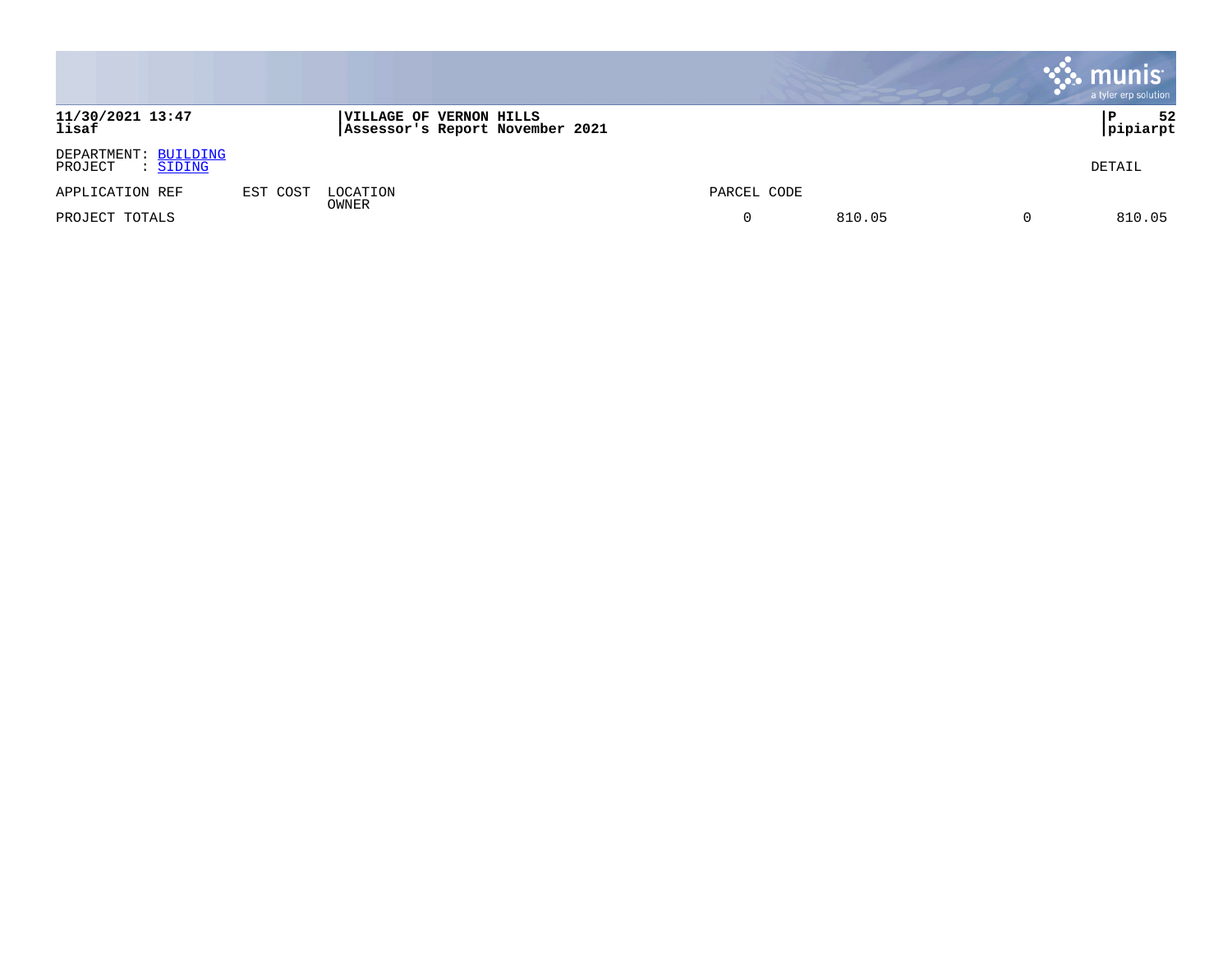|                                             |          |                                                                   |             |        | munis<br>a tyler erp solution |
|---------------------------------------------|----------|-------------------------------------------------------------------|-------------|--------|-------------------------------|
| 11/30/2021 13:47<br>lisaf                   |          | <b>VILLAGE OF VERNON HILLS</b><br>Assessor's Report November 2021 |             |        | 52<br>l P<br>pipiarpt         |
| DEPARTMENT: BUILDING<br>PROJECT<br>: SIDING |          |                                                                   |             |        | DETAIL                        |
| APPLICATION REF                             | EST COST | LOCATION                                                          | PARCEL CODE |        |                               |
| PROJECT TOTALS                              |          | OWNER                                                             | $\mathbf 0$ | 810.05 | 810.05                        |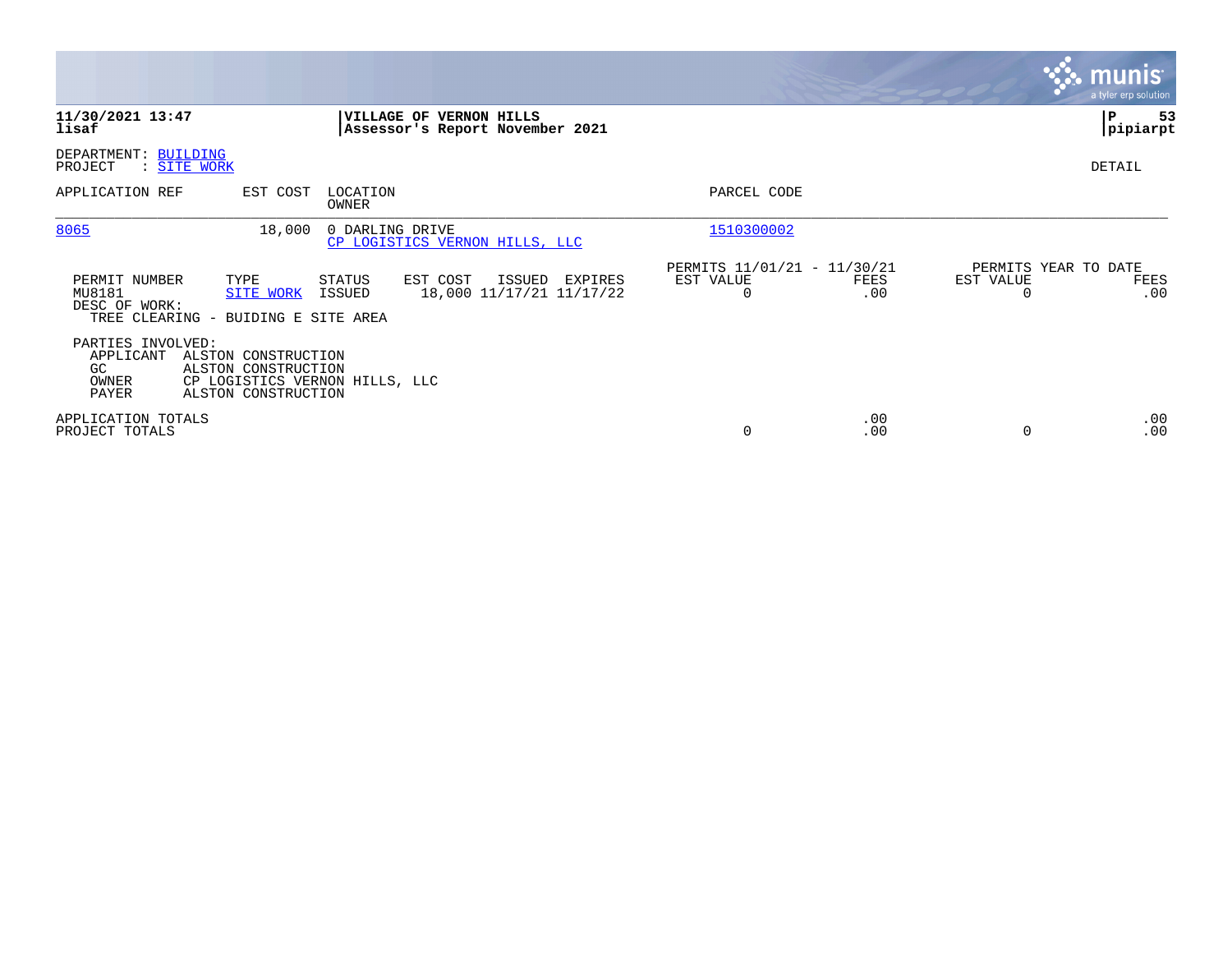|                                                                                                                              |                                                                            |                                                      |             |                                        | $\sqrt{\mathsf{munis}}$<br>a tyler erp solution |
|------------------------------------------------------------------------------------------------------------------------------|----------------------------------------------------------------------------|------------------------------------------------------|-------------|----------------------------------------|-------------------------------------------------|
| 11/30/2021 13:47<br>lisaf                                                                                                    | VILLAGE OF VERNON HILLS<br>Assessor's Report November 2021                 |                                                      |             |                                        | P<br>53<br> pipiarpt                            |
| DEPARTMENT: BUILDING<br>PROJECT<br>: SITE WORK                                                                               |                                                                            |                                                      |             |                                        | DETAIL                                          |
| APPLICATION REF<br>EST COST                                                                                                  | LOCATION<br>OWNER                                                          | PARCEL CODE                                          |             |                                        |                                                 |
| 8065<br>18,000                                                                                                               | 0 DARLING DRIVE<br>CP LOGISTICS VERNON HILLS, LLC                          | 1510300002                                           |             |                                        |                                                 |
| PERMIT NUMBER<br>TYPE<br>MU8181<br><b>SITE WORK</b><br>DESC OF WORK:<br>TREE CLEARING - BUIDING E SITE AREA                  | EST COST<br>STATUS<br>ISSUED EXPIRES<br>18,000 11/17/21 11/17/22<br>ISSUED | PERMITS 11/01/21 - 11/30/21<br>EST VALUE<br>$\Omega$ | FEES<br>.00 | PERMITS YEAR TO DATE<br>EST VALUE<br>0 | FEES<br>.00                                     |
| PARTIES INVOLVED:<br>APPLICANT<br>ALSTON CONSTRUCTION<br>ALSTON CONSTRUCTION<br>GC.<br>OWNER<br>PAYER<br>ALSTON CONSTRUCTION | CP LOGISTICS VERNON HILLS, LLC                                             |                                                      |             |                                        |                                                 |
| APPLICATION TOTALS<br>PROJECT TOTALS                                                                                         |                                                                            | 0                                                    | .00<br>.00  | 0                                      | $.00 \,$<br>.00                                 |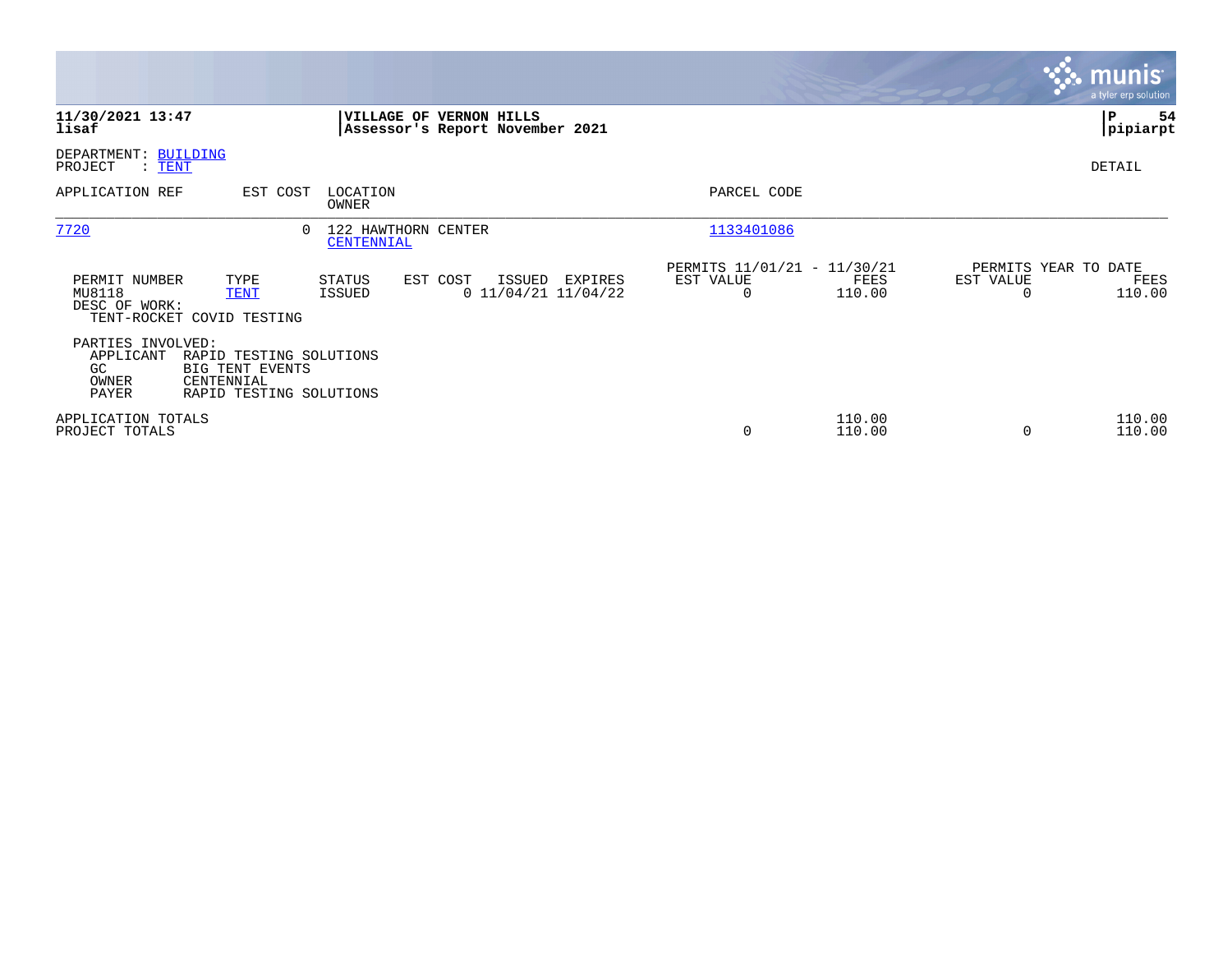|                                                        |                                                                                     |                                   |          |                                         |                                               |                  |                                               | <b>munis</b><br>a tyler erp solution |
|--------------------------------------------------------|-------------------------------------------------------------------------------------|-----------------------------------|----------|-----------------------------------------|-----------------------------------------------|------------------|-----------------------------------------------|--------------------------------------|
| 11/30/2021 13:47<br>lisaf                              |                                                                                     | <b>VILLAGE OF VERNON HILLS</b>    |          | Assessor's Report November 2021         |                                               |                  |                                               | 54<br>P<br> pipiarpt                 |
| DEPARTMENT: BUILDING<br>PROJECT<br>$\therefore$ TENT   |                                                                                     |                                   |          |                                         |                                               |                  |                                               | DETAIL                               |
| APPLICATION REF                                        | EST COST                                                                            | LOCATION<br>OWNER                 |          |                                         | PARCEL CODE                                   |                  |                                               |                                      |
| 7720                                                   |                                                                                     | 122 HAWTHORN CENTER<br>CENTENNIAL |          |                                         | 1133401086                                    |                  |                                               |                                      |
| PERMIT NUMBER<br>MU8118<br>DESC OF WORK:               | TYPE<br><b>TENT</b><br>TENT-ROCKET COVID TESTING                                    | STATUS<br>ISSUED                  | EST COST | ISSUED EXPIRES<br>$0$ 11/04/21 11/04/22 | PERMITS 11/01/21 - 11/30/21<br>EST VALUE<br>0 | FEES<br>110.00   | PERMITS YEAR TO DATE<br>EST VALUE<br>$\Omega$ | FEES<br>110.00                       |
| PARTIES INVOLVED:<br>APPLICANT<br>GC<br>OWNER<br>PAYER | RAPID TESTING SOLUTIONS<br>BIG TENT EVENTS<br>CENTENNIAL<br>RAPID TESTING SOLUTIONS |                                   |          |                                         |                                               |                  |                                               |                                      |
| APPLICATION TOTALS<br>PROJECT TOTALS                   |                                                                                     |                                   |          |                                         | $\mathbf 0$                                   | 110.00<br>110.00 | $\Omega$                                      | 110.00<br>110.00                     |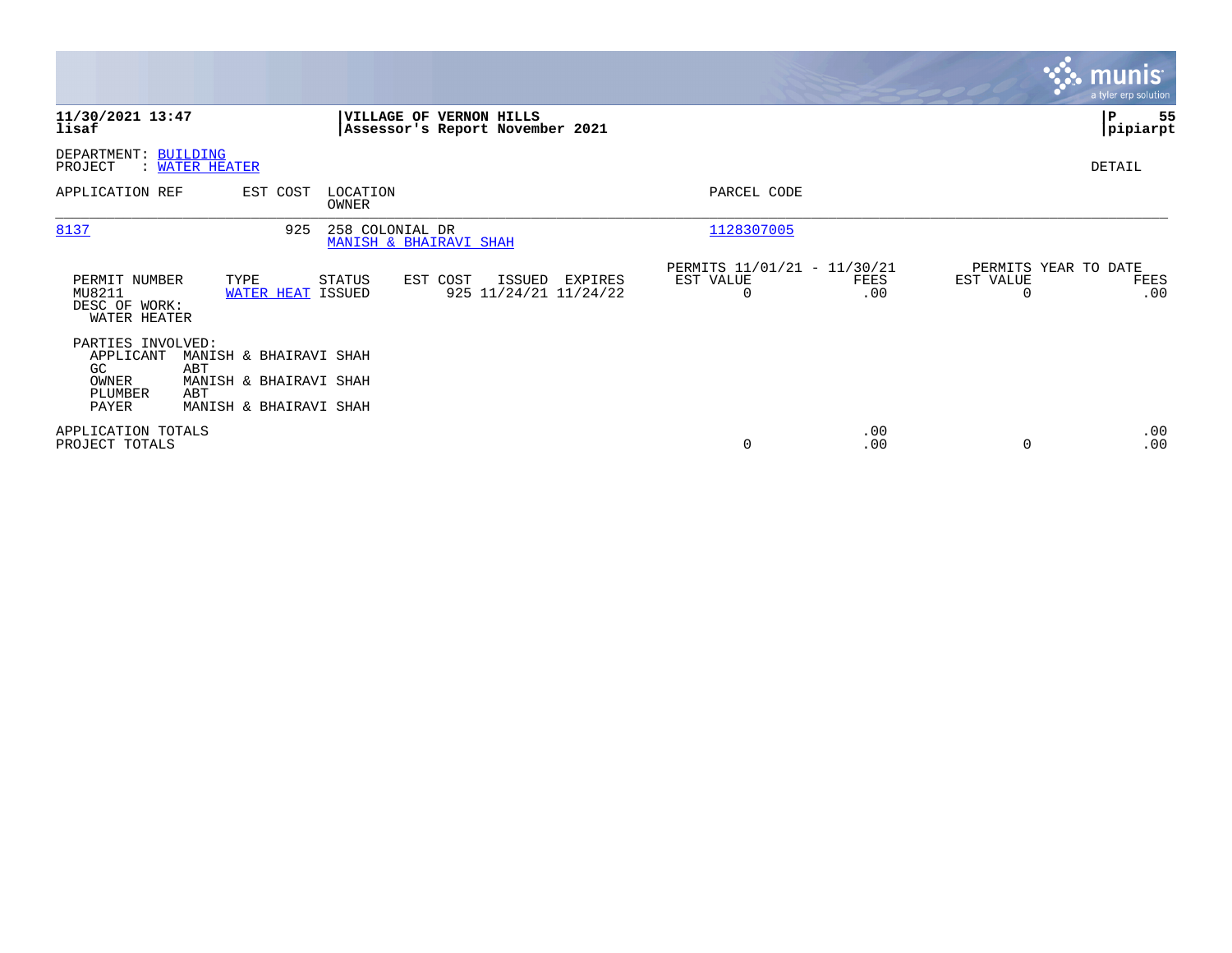|                                                                    |                                                                                          |                                           |                                                                   |                                                      |             |                       | munist<br>a tyler erp solution      |
|--------------------------------------------------------------------|------------------------------------------------------------------------------------------|-------------------------------------------|-------------------------------------------------------------------|------------------------------------------------------|-------------|-----------------------|-------------------------------------|
| 11/30/2021 13:47<br>lisaf                                          |                                                                                          |                                           | <b>VILLAGE OF VERNON HILLS</b><br>Assessor's Report November 2021 |                                                      |             |                       | 55<br>P<br> pipiarpt                |
| DEPARTMENT: BUILDING<br>PROJECT                                    | : WATER HEATER                                                                           |                                           |                                                                   |                                                      |             |                       | DETAIL                              |
| APPLICATION REF                                                    | EST COST                                                                                 | LOCATION<br>OWNER                         |                                                                   | PARCEL CODE                                          |             |                       |                                     |
| 8137                                                               | 925                                                                                      | 258 COLONIAL DR<br>MANISH & BHAIRAVI SHAH |                                                                   | 1128307005                                           |             |                       |                                     |
| PERMIT NUMBER<br>MU8211<br>DESC OF WORK:<br>WATER HEATER           | TYPE<br>WATER HEAT ISSUED                                                                | STATUS                                    | EST COST<br>ISSUED<br>EXPIRES<br>925 11/24/21 11/24/22            | PERMITS 11/01/21 - 11/30/21<br>EST VALUE<br>$\Omega$ | FEES<br>.00 | EST VALUE<br>$\Omega$ | PERMITS YEAR TO DATE<br>FEES<br>.00 |
| PARTIES INVOLVED:<br>APPLICANT<br>GC.<br>OWNER<br>PLUMBER<br>PAYER | MANISH & BHAIRAVI SHAH<br>ABT<br>MANISH & BHAIRAVI SHAH<br>ABT<br>MANISH & BHAIRAVI SHAH |                                           |                                                                   |                                                      |             |                       |                                     |
| APPLICATION TOTALS<br>PROJECT TOTALS                               |                                                                                          |                                           |                                                                   | 0                                                    | .00<br>.00  | $\Omega$              | .00<br>.00                          |

**Contract**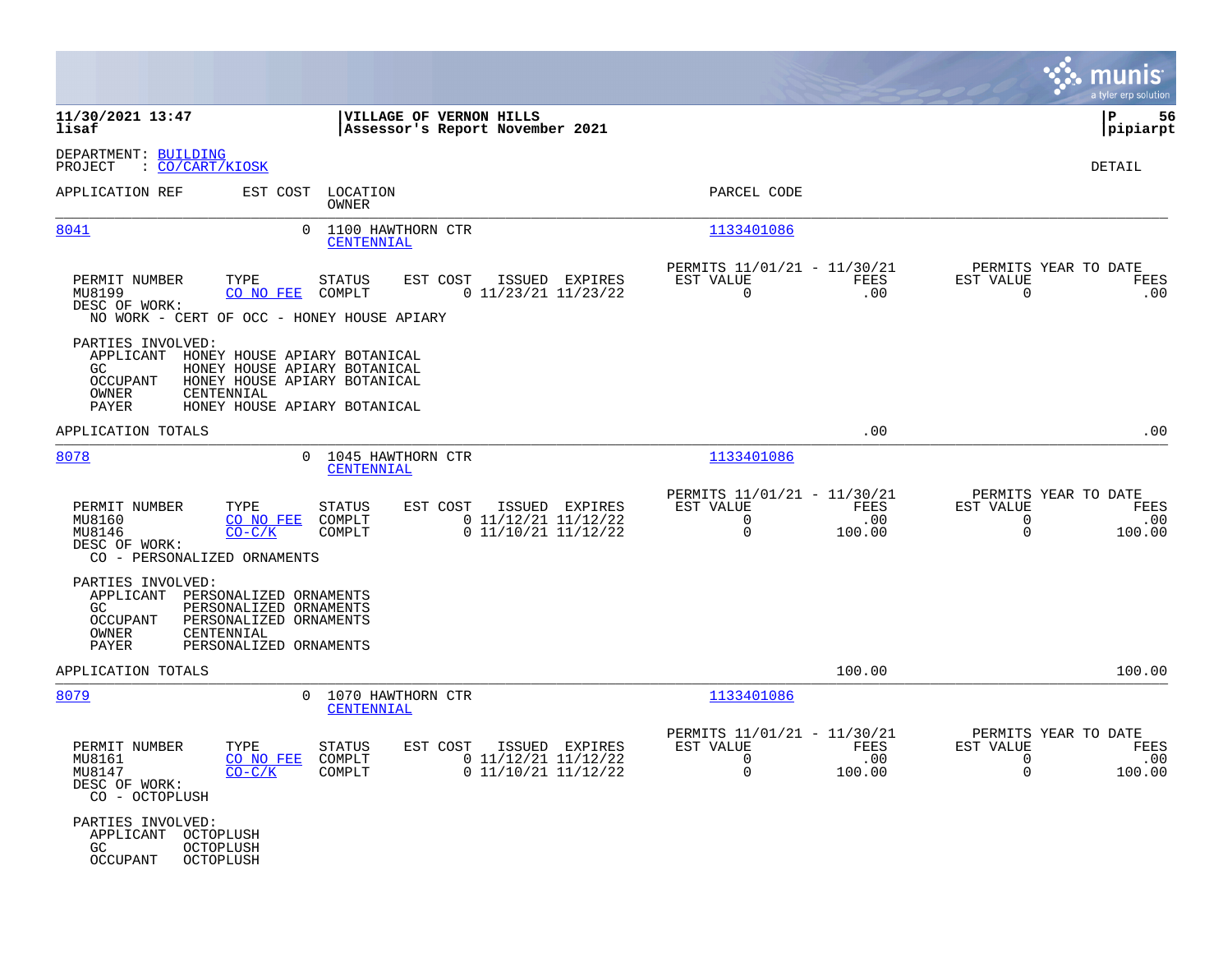|                                                                                                                    |                                                                                                                              |                                                            |                |                                                              |                       |                                                                 | munis $\dot{}$<br>a tyler erp solution |
|--------------------------------------------------------------------------------------------------------------------|------------------------------------------------------------------------------------------------------------------------------|------------------------------------------------------------|----------------|--------------------------------------------------------------|-----------------------|-----------------------------------------------------------------|----------------------------------------|
| 11/30/2021 13:47<br>lisaf                                                                                          |                                                                                                                              | VILLAGE OF VERNON HILLS<br>Assessor's Report November 2021 |                |                                                              |                       |                                                                 | l P<br>56<br> pipiarpt                 |
| DEPARTMENT: BUILDING<br>: CO/CART/KIOSK<br>PROJECT                                                                 |                                                                                                                              |                                                            |                |                                                              |                       |                                                                 | <b>DETAIL</b>                          |
| APPLICATION REF                                                                                                    | EST COST<br>LOCATION<br>OWNER                                                                                                |                                                            |                | PARCEL CODE                                                  |                       |                                                                 |                                        |
| 8041                                                                                                               | 0<br>1100 HAWTHORN CTR<br>CENTENNIAL                                                                                         |                                                            |                | 1133401086                                                   |                       |                                                                 |                                        |
| PERMIT NUMBER<br>TYPE<br>MU8199<br>CO NO FEE<br>DESC OF WORK:<br>NO WORK - CERT OF OCC - HONEY HOUSE APIARY        | STATUS<br>COMPLT                                                                                                             | EST COST<br>$0$ 11/23/21 11/23/22                          | ISSUED EXPIRES | PERMITS 11/01/21 - 11/30/21<br>EST VALUE<br>$\Omega$         | FEES<br>.00           | PERMITS YEAR TO DATE<br>EST VALUE<br>$\Omega$                   | FEES<br>.00                            |
| PARTIES INVOLVED:<br>APPLICANT<br>GC<br><b>OCCUPANT</b><br>OWNER<br>CENTENNIAL<br>PAYER                            | HONEY HOUSE APIARY BOTANICAL<br>HONEY HOUSE APIARY BOTANICAL<br>HONEY HOUSE APIARY BOTANICAL<br>HONEY HOUSE APIARY BOTANICAL |                                                            |                |                                                              |                       |                                                                 |                                        |
| APPLICATION TOTALS                                                                                                 |                                                                                                                              |                                                            |                |                                                              | .00                   |                                                                 | .00                                    |
| 8078                                                                                                               | 1045 HAWTHORN CTR<br>$\Omega$<br>CENTENNIAL                                                                                  |                                                            |                | 1133401086                                                   |                       |                                                                 |                                        |
| PERMIT NUMBER<br>TYPE<br>MU8160<br>CO NO FEE<br>MU8146<br>$CO-C/K$<br>DESC OF WORK:<br>CO - PERSONALIZED ORNAMENTS | <b>STATUS</b><br>COMPLT<br>COMPLT                                                                                            | EST COST<br>$0$ 11/12/21 11/12/22<br>$0$ 11/10/21 11/12/22 | ISSUED EXPIRES | PERMITS 11/01/21 - 11/30/21<br>EST VALUE<br>0<br>$\mathbf 0$ | FEES<br>.00<br>100.00 | PERMITS YEAR TO DATE<br>EST VALUE<br>$\mathbf 0$<br>$\mathbf 0$ | FEES<br>.00<br>100.00                  |
| PARTIES INVOLVED:<br>APPLICANT<br>GC<br>OCCUPANT<br>OWNER<br>CENTENNIAL<br>PAYER                                   | PERSONALIZED ORNAMENTS<br>PERSONALIZED ORNAMENTS<br>PERSONALIZED ORNAMENTS<br>PERSONALIZED ORNAMENTS                         |                                                            |                |                                                              |                       |                                                                 |                                        |
| APPLICATION TOTALS                                                                                                 |                                                                                                                              |                                                            |                |                                                              | 100.00                |                                                                 | 100.00                                 |
| 8079                                                                                                               | $\Omega$<br>1070 HAWTHORN CTR<br>CENTENNIAL                                                                                  |                                                            |                | 1133401086                                                   |                       |                                                                 |                                        |
| PERMIT NUMBER<br>TYPE<br>MU8161<br>CO NO FEE<br>$CO-C/K$<br>MU8147<br>DESC OF WORK:<br>CO - OCTOPLUSH              | <b>STATUS</b><br>COMPLT<br>COMPLT                                                                                            | EST COST<br>$0$ 11/12/21 11/12/22<br>$0$ 11/10/21 11/12/22 | ISSUED EXPIRES | PERMITS 11/01/21 - 11/30/21<br>EST VALUE<br>0<br>$\mathbf 0$ | FEES<br>.00<br>100.00 | PERMITS YEAR TO DATE<br>EST VALUE<br>$\mathbf 0$<br>$\Omega$    | FEES<br>.00<br>100.00                  |
| PARTIES INVOLVED:<br>APPLICANT<br>OCTOPLUSH<br>GC.<br>OCTOPLUSH<br>OCCUPANT<br>OCTOPLUSH                           |                                                                                                                              |                                                            |                |                                                              |                       |                                                                 |                                        |

**Contract**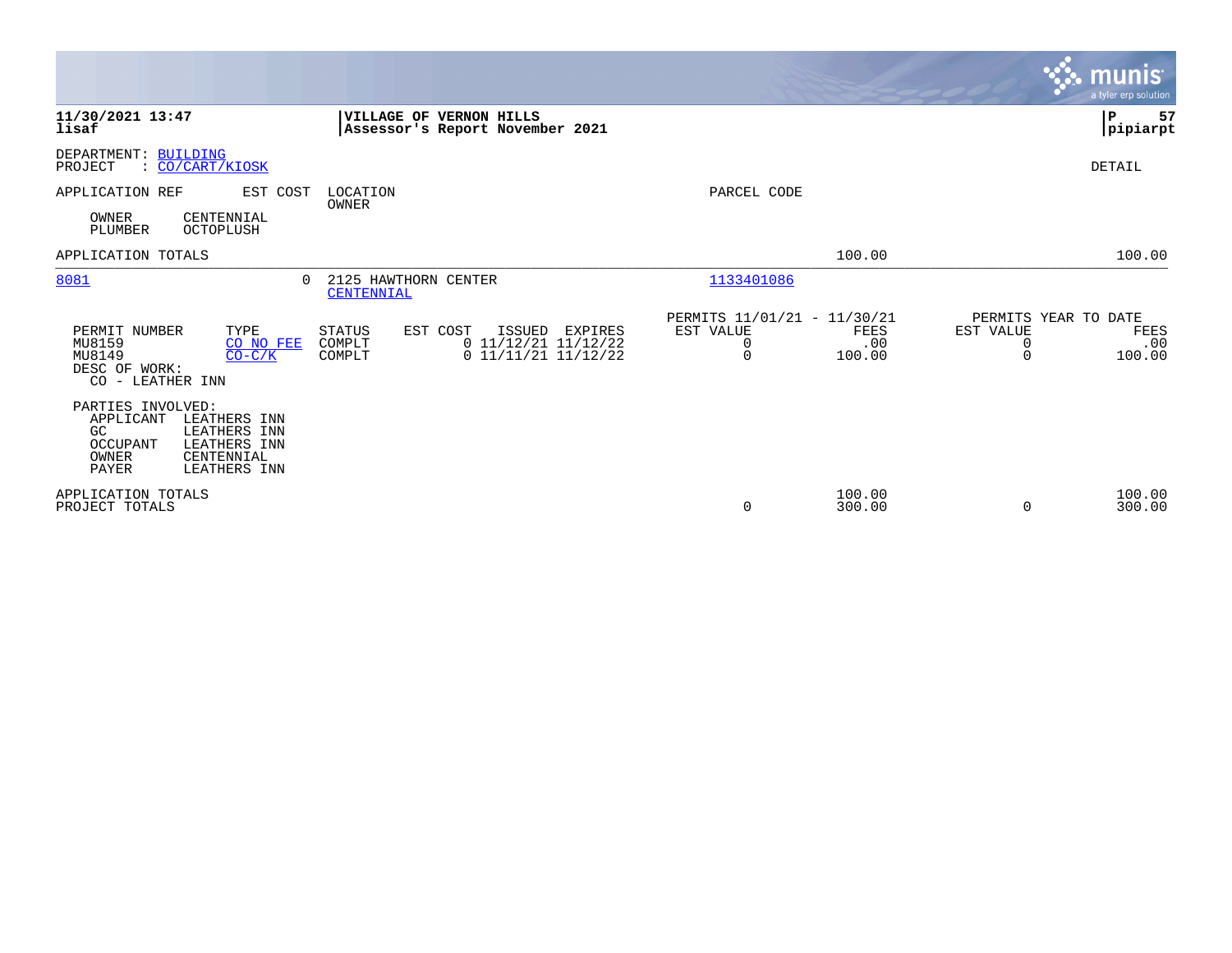|                                                                                                                                                  |                                                                                                                    |                                                                                           | <b>munis</b><br>a tyler erp solution                                 |
|--------------------------------------------------------------------------------------------------------------------------------------------------|--------------------------------------------------------------------------------------------------------------------|-------------------------------------------------------------------------------------------|----------------------------------------------------------------------|
| 11/30/2021 13:47<br>lisaf                                                                                                                        | VILLAGE OF VERNON HILLS<br>Assessor's Report November 2021                                                         |                                                                                           | P<br>57<br> pipiarpt                                                 |
| DEPARTMENT: BUILDING<br>: CO/CART/KIOSK<br>PROJECT                                                                                               |                                                                                                                    |                                                                                           | DETAIL                                                               |
| APPLICATION REF<br>EST COST                                                                                                                      | LOCATION<br>OWNER                                                                                                  | PARCEL CODE                                                                               |                                                                      |
| OWNER<br>CENTENNIAL<br>PLUMBER<br>OCTOPLUSH                                                                                                      |                                                                                                                    |                                                                                           |                                                                      |
| APPLICATION TOTALS                                                                                                                               |                                                                                                                    | 100.00                                                                                    | 100.00                                                               |
| 8081<br>0                                                                                                                                        | 2125 HAWTHORN CENTER<br>CENTENNIAL                                                                                 | 1133401086                                                                                |                                                                      |
| PERMIT NUMBER<br>TYPE<br>MU8159<br>CO NO FEE<br>MU8149<br>$CO-C/K$<br>DESC OF WORK:<br>CO - LEATHER INN                                          | EST COST<br>ISSUED<br><b>STATUS</b><br>EXPIRES<br>$0$ 11/12/21 11/12/22<br>COMPLT<br>0 11/11/21 11/12/22<br>COMPLT | PERMITS 11/01/21 - 11/30/21<br>EST VALUE<br><b>FEES</b><br>.00<br>0<br>$\Omega$<br>100.00 | PERMITS YEAR TO DATE<br>EST VALUE<br>FEES<br>.00<br>0<br>100.00<br>0 |
| PARTIES INVOLVED:<br>APPLICANT<br>LEATHERS INN<br>GC<br>LEATHERS INN<br>OCCUPANT<br>LEATHERS INN<br>OWNER<br>CENTENNIAL<br>PAYER<br>LEATHERS INN |                                                                                                                    |                                                                                           |                                                                      |
| APPLICATION TOTALS<br>PROJECT TOTALS                                                                                                             |                                                                                                                    | 100.00<br>300.00<br>0                                                                     | 100.00<br>300.00<br>$\Omega$                                         |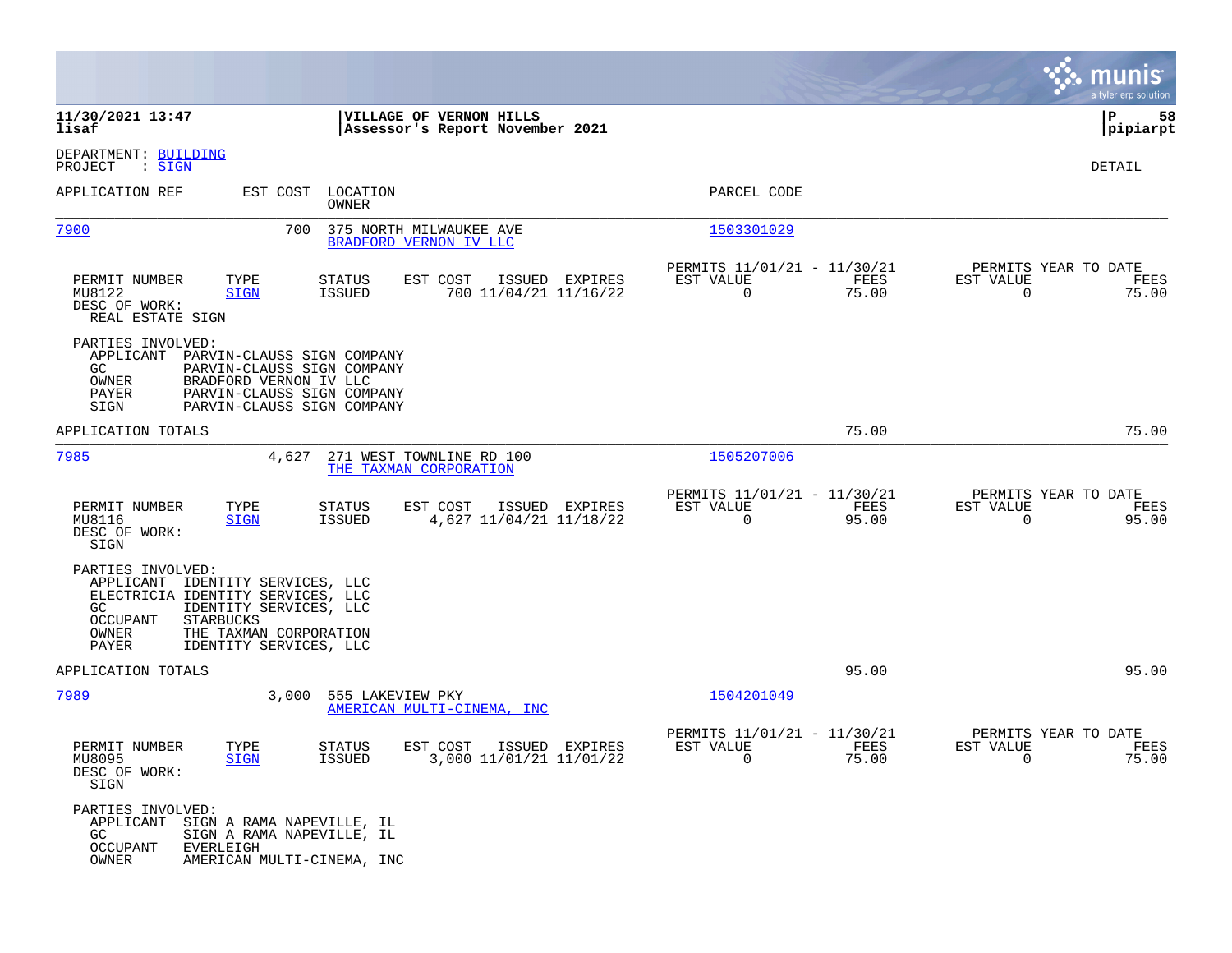|                                                                                                                                                                                                                                     |                                                                                     |                                                                             | munis<br>a tyler erp solution                                     |
|-------------------------------------------------------------------------------------------------------------------------------------------------------------------------------------------------------------------------------------|-------------------------------------------------------------------------------------|-----------------------------------------------------------------------------|-------------------------------------------------------------------|
| 11/30/2021 13:47<br>lisaf                                                                                                                                                                                                           | VILLAGE OF VERNON HILLS<br>Assessor's Report November 2021                          |                                                                             | P<br>58<br> pipiarpt                                              |
| DEPARTMENT: BUILDING<br>PROJECT<br>: SIGN                                                                                                                                                                                           |                                                                                     |                                                                             | DETAIL                                                            |
| APPLICATION REF                                                                                                                                                                                                                     | EST COST LOCATION<br>OWNER                                                          | PARCEL CODE                                                                 |                                                                   |
| 7900<br>700                                                                                                                                                                                                                         | 375 NORTH MILWAUKEE AVE<br>BRADFORD VERNON IV LLC                                   | 1503301029                                                                  |                                                                   |
| TYPE<br>PERMIT NUMBER<br>MU8122<br><b>SIGN</b><br>DESC OF WORK:<br>REAL ESTATE SIGN                                                                                                                                                 | EST COST<br>STATUS<br>ISSUED EXPIRES<br><b>ISSUED</b><br>700 11/04/21 11/16/22      | PERMITS 11/01/21 - 11/30/21<br>EST VALUE<br>FEES<br>$\mathbf 0$<br>75.00    | PERMITS YEAR TO DATE<br>EST VALUE<br>FEES<br>$\mathbf 0$<br>75.00 |
| PARTIES INVOLVED:<br>APPLICANT<br>PARVIN-CLAUSS SIGN COMPANY<br>GC.<br>PARVIN-CLAUSS SIGN COMPANY<br>OWNER<br>BRADFORD VERNON IV LLC<br>PAYER<br>PARVIN-CLAUSS SIGN COMPANY<br>SIGN<br>PARVIN-CLAUSS SIGN COMPANY                   |                                                                                     |                                                                             |                                                                   |
| APPLICATION TOTALS                                                                                                                                                                                                                  |                                                                                     | 75.00                                                                       | 75.00                                                             |
| 7985<br>4,627                                                                                                                                                                                                                       | 271 WEST TOWNLINE RD 100<br>THE TAXMAN CORPORATION                                  | 1505207006                                                                  |                                                                   |
| PERMIT NUMBER<br>TYPE<br>MU8116<br><b>SIGN</b><br>DESC OF WORK:<br>SIGN                                                                                                                                                             | EST COST<br>ISSUED EXPIRES<br><b>STATUS</b><br>4,627 11/04/21 11/18/22<br>ISSUED    | PERMITS 11/01/21 - 11/30/21<br>EST VALUE<br>FEES<br>95.00<br>$\mathbf 0$    | PERMITS YEAR TO DATE<br>EST VALUE<br>FEES<br>$\mathbf 0$<br>95.00 |
| PARTIES INVOLVED:<br>IDENTITY SERVICES, LLC<br>APPLICANT<br>ELECTRICIA IDENTITY SERVICES, LLC<br>IDENTITY SERVICES, LLC<br>GC<br><b>STARBUCKS</b><br>OCCUPANT<br>OWNER<br>THE TAXMAN CORPORATION<br>PAYER<br>IDENTITY SERVICES, LLC |                                                                                     |                                                                             |                                                                   |
| APPLICATION TOTALS                                                                                                                                                                                                                  |                                                                                     | 95.00                                                                       | 95.00                                                             |
| 7989<br>3,000                                                                                                                                                                                                                       | 555 LAKEVIEW PKY<br>AMERICAN MULTI-CINEMA, INC                                      | 1504201049                                                                  |                                                                   |
| PERMIT NUMBER<br>TYPE<br><b>SIGN</b><br>MU8095<br>DESC OF WORK:<br>SIGN                                                                                                                                                             | EXPIRES<br><b>STATUS</b><br>EST COST<br>ISSUED<br>ISSUED<br>3,000 11/01/21 11/01/22 | PERMITS 11/01/21 - 11/30/21<br>FEES<br>EST VALUE<br>75.00<br>$\overline{0}$ | PERMITS YEAR TO DATE<br>EST VALUE<br>FEES<br>75.00<br>0           |
| PARTIES INVOLVED:<br>APPLICANT<br>SIGN A RAMA NAPEVILLE, IL<br>GC<br>SIGN A RAMA NAPEVILLE, IL<br>OCCUPANT<br>EVERLEIGH<br>OWNER<br>AMERICAN MULTI-CINEMA, INC                                                                      |                                                                                     |                                                                             |                                                                   |